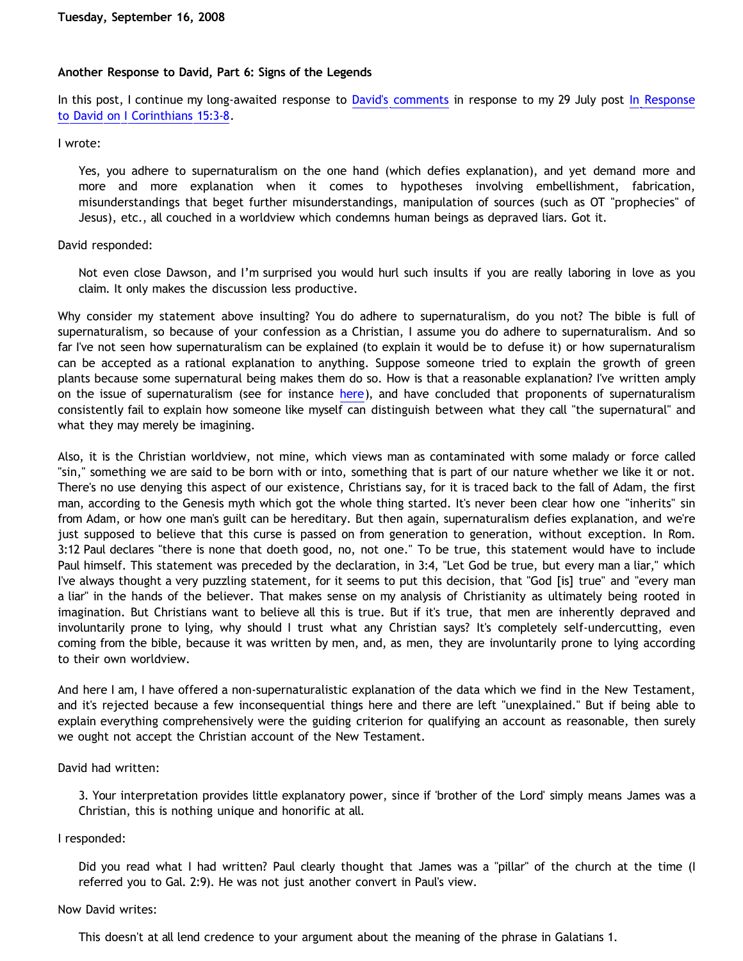## **Another Response to David, Part 6: Signs of the Legends**

In this post, I continue my long-awaited response to [David's comments](http://bahnsenburner.blogspot.com/2008/07/in-response-to-david-on-i-corinthians.html) in response to my 29 July post [In Response](http://bahnsenburner.blogspot.com/2008/07/in-response-to-david-on-i-corinthians.html) [to David on I Corinthians 15:3-8.](http://bahnsenburner.blogspot.com/2008/07/in-response-to-david-on-i-corinthians.html)

#### I wrote:

Yes, you adhere to supernaturalism on the one hand (which defies explanation), and yet demand more and more and more explanation when it comes to hypotheses involving embellishment, fabrication, misunderstandings that beget further misunderstandings, manipulation of sources (such as OT "prophecies" of Jesus), etc., all couched in a worldview which condemns human beings as depraved liars. Got it.

### David responded:

Not even close Dawson, and I'm surprised you would hurl such insults if you are really laboring in love as you claim. It only makes the discussion less productive.

Why consider my statement above insulting? You do adhere to supernaturalism, do you not? The bible is full of supernaturalism, so because of your confession as a Christian, I assume you do adhere to supernaturalism. And so far I've not seen how supernaturalism can be explained (to explain it would be to defuse it) or how supernaturalism can be accepted as a rational explanation to anything. Suppose someone tried to explain the growth of green plants because some supernatural being makes them do so. How is that a reasonable explanation? I've written amply on the issue of supernaturalism (see for instance [here\)](http://www.geocities.com/katholon/Bahnsen_Supernatural.htm), and have concluded that proponents of supernaturalism consistently fail to explain how someone like myself can distinguish between what they call "the supernatural" and what they may merely be imagining.

Also, it is the Christian worldview, not mine, which views man as contaminated with some malady or force called "sin," something we are said to be born with or into, something that is part of our nature whether we like it or not. There's no use denying this aspect of our existence, Christians say, for it is traced back to the fall of Adam, the first man, according to the Genesis myth which got the whole thing started. It's never been clear how one "inherits" sin from Adam, or how one man's guilt can be hereditary. But then again, supernaturalism defies explanation, and we're just supposed to believe that this curse is passed on from generation to generation, without exception. In Rom. 3:12 Paul declares "there is none that doeth good, no, not one." To be true, this statement would have to include Paul himself. This statement was preceded by the declaration, in 3:4, "Let God be true, but every man a liar," which I've always thought a very puzzling statement, for it seems to put this decision, that "God [is] true" and "every man a liar" in the hands of the believer. That makes sense on my analysis of Christianity as ultimately being rooted in imagination. But Christians want to believe all this is true. But if it's true, that men are inherently depraved and involuntarily prone to lying, why should I trust what any Christian says? It's completely self-undercutting, even coming from the bible, because it was written by men, and, as men, they are involuntarily prone to lying according to their own worldview.

And here I am, I have offered a non-supernaturalistic explanation of the data which we find in the New Testament, and it's rejected because a few inconsequential things here and there are left "unexplained." But if being able to explain everything comprehensively were the guiding criterion for qualifying an account as reasonable, then surely we ought not accept the Christian account of the New Testament.

### David had written:

3. Your interpretation provides little explanatory power, since if 'brother of the Lord' simply means James was a Christian, this is nothing unique and honorific at all.

### I responded:

Did you read what I had written? Paul clearly thought that James was a "pillar" of the church at the time (I referred you to Gal. 2:9). He was not just another convert in Paul's view.

#### Now David writes:

This doesn't at all lend credence to your argument about the meaning of the phrase in Galatians 1.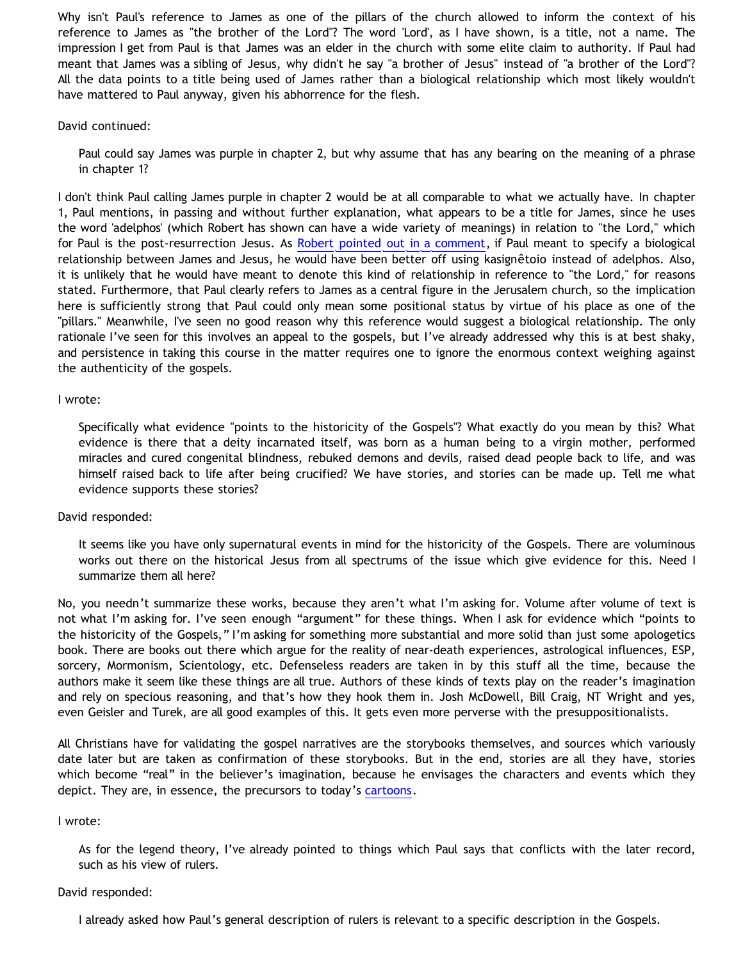Why isn't Paul's reference to James as one of the pillars of the church allowed to inform the context of his reference to James as "the brother of the Lord"? The word 'Lord', as I have shown, is a title, not a name. The impression I get from Paul is that James was an elder in the church with some elite claim to authority. If Paul had meant that James was a sibling of Jesus, why didn't he say "a brother of Jesus" instead of "a brother of the Lord"? All the data points to a title being used of James rather than a biological relationship which most likely wouldn't have mattered to Paul anyway, given his abhorrence for the flesh.

### David continued:

Paul could say James was purple in chapter 2, but why assume that has any bearing on the meaning of a phrase in chapter 1?

I don't think Paul calling James purple in chapter 2 would be at all comparable to what we actually have. In chapter 1, Paul mentions, in passing and without further explanation, what appears to be a title for James, since he uses the word 'adelphos' (which Robert has shown can have a wide variety of meanings) in relation to "the Lord," which for Paul is the post-resurrection Jesus. As [Robert pointed out in a comment,](http://bahnsenburner.blogspot.com/2008/08/another-response-to-david-part-4-paul-q.html) if Paul meant to specify a biological relationship between James and Jesus, he would have been better off using kasignêtoio instead of adelphos. Also, it is unlikely that he would have meant to denote this kind of relationship in reference to "the Lord," for reasons stated. Furthermore, that Paul clearly refers to James as a central figure in the Jerusalem church, so the implication here is sufficiently strong that Paul could only mean some positional status by virtue of his place as one of the "pillars." Meanwhile, I've seen no good reason why this reference would suggest a biological relationship. The only rationale I've seen for this involves an appeal to the gospels, but I've already addressed why this is at best shaky, and persistence in taking this course in the matter requires one to ignore the enormous context weighing against the authenticity of the gospels.

## I wrote:

Specifically what evidence "points to the historicity of the Gospels"? What exactly do you mean by this? What evidence is there that a deity incarnated itself, was born as a human being to a virgin mother, performed miracles and cured congenital blindness, rebuked demons and devils, raised dead people back to life, and was himself raised back to life after being crucified? We have stories, and stories can be made up. Tell me what evidence supports these stories?

# David responded:

It seems like you have only supernatural events in mind for the historicity of the Gospels. There are voluminous works out there on the historical Jesus from all spectrums of the issue which give evidence for this. Need I summarize them all here?

No, you needn't summarize these works, because they aren't what I'm asking for. Volume after volume of text is not what I'm asking for. I've seen enough "argument" for these things. When I ask for evidence which "points to the historicity of the Gospels," I'm asking for something more substantial and more solid than just some apologetics book. There are books out there which argue for the reality of near-death experiences, astrological influences, ESP, sorcery, Mormonism, Scientology, etc. Defenseless readers are taken in by this stuff all the time, because the authors make it seem like these things are all true. Authors of these kinds of texts play on the reader's imagination and rely on specious reasoning, and that's how they hook them in. Josh McDowell, Bill Craig, NT Wright and yes, even Geisler and Turek, are all good examples of this. It gets even more perverse with the presuppositionalists.

All Christians have for validating the gospel narratives are the storybooks themselves, and sources which variously date later but are taken as confirmation of these storybooks. But in the end, stories are all they have, stories which become "real" in the believer's imagination, because he envisages the characters and events which they depict. They are, in essence, the precursors to today's [cartoons](http://www.geocities.com/katholon/Cartoon_Universe_of_Christianity.htm).

### I wrote:

As for the legend theory, I've already pointed to things which Paul says that conflicts with the later record, such as his view of rulers.

### David responded:

I already asked how Paul's general description of rulers is relevant to a specific description in the Gospels.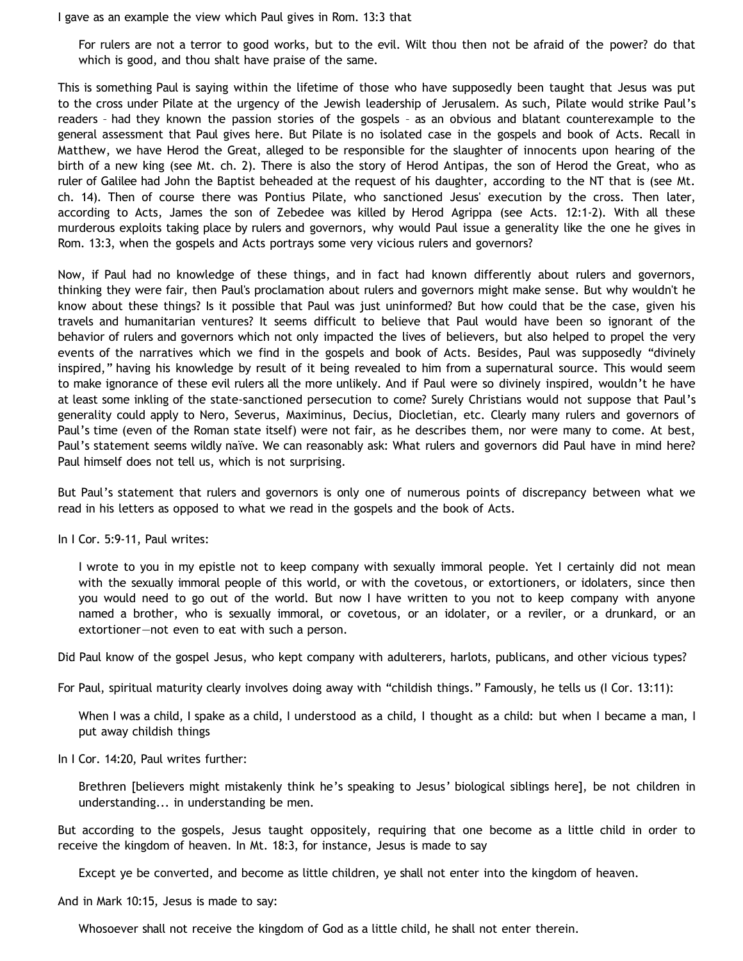I gave as an example the view which Paul gives in Rom. 13:3 that

For rulers are not a terror to good works, but to the evil. Wilt thou then not be afraid of the power? do that which is good, and thou shalt have praise of the same.

This is something Paul is saying within the lifetime of those who have supposedly been taught that Jesus was put to the cross under Pilate at the urgency of the Jewish leadership of Jerusalem. As such, Pilate would strike Paul's readers – had they known the passion stories of the gospels – as an obvious and blatant counterexample to the general assessment that Paul gives here. But Pilate is no isolated case in the gospels and book of Acts. Recall in Matthew, we have Herod the Great, alleged to be responsible for the slaughter of innocents upon hearing of the birth of a new king (see Mt. ch. 2). There is also the story of Herod Antipas, the son of Herod the Great, who as ruler of Galilee had John the Baptist beheaded at the request of his daughter, according to the NT that is (see Mt. ch. 14). Then of course there was Pontius Pilate, who sanctioned Jesus' execution by the cross. Then later, according to Acts, James the son of Zebedee was killed by Herod Agrippa (see Acts. 12:1-2). With all these murderous exploits taking place by rulers and governors, why would Paul issue a generality like the one he gives in Rom. 13:3, when the gospels and Acts portrays some very vicious rulers and governors?

Now, if Paul had no knowledge of these things, and in fact had known differently about rulers and governors, thinking they were fair, then Paul's proclamation about rulers and governors might make sense. But why wouldn't he know about these things? Is it possible that Paul was just uninformed? But how could that be the case, given his travels and humanitarian ventures? It seems difficult to believe that Paul would have been so ignorant of the behavior of rulers and governors which not only impacted the lives of believers, but also helped to propel the very events of the narratives which we find in the gospels and book of Acts. Besides, Paul was supposedly "divinely inspired," having his knowledge by result of it being revealed to him from a supernatural source. This would seem to make ignorance of these evil rulers all the more unlikely. And if Paul were so divinely inspired, wouldn't he have at least some inkling of the state-sanctioned persecution to come? Surely Christians would not suppose that Paul's generality could apply to Nero, Severus, Maximinus, Decius, Diocletian, etc. Clearly many rulers and governors of Paul's time (even of the Roman state itself) were not fair, as he describes them, nor were many to come. At best, Paul's statement seems wildly naïve. We can reasonably ask: What rulers and governors did Paul have in mind here? Paul himself does not tell us, which is not surprising.

But Paul's statement that rulers and governors is only one of numerous points of discrepancy between what we read in his letters as opposed to what we read in the gospels and the book of Acts.

In I Cor. 5:9-11, Paul writes:

I wrote to you in my epistle not to keep company with sexually immoral people. Yet I certainly did not mean with the sexually immoral people of this world, or with the covetous, or extortioners, or idolaters, since then you would need to go out of the world. But now I have written to you not to keep company with anyone named a brother, who is sexually immoral, or covetous, or an idolater, or a reviler, or a drunkard, or an extortioner—not even to eat with such a person.

Did Paul know of the gospel Jesus, who kept company with adulterers, harlots, publicans, and other vicious types?

For Paul, spiritual maturity clearly involves doing away with "childish things." Famously, he tells us (I Cor. 13:11):

When I was a child, I spake as a child, I understood as a child, I thought as a child: but when I became a man, I put away childish things

In I Cor. 14:20, Paul writes further:

Brethren [believers might mistakenly think he's speaking to Jesus' biological siblings here], be not children in understanding... in understanding be men.

But according to the gospels, Jesus taught oppositely, requiring that one become as a little child in order to receive the kingdom of heaven. In Mt. 18:3, for instance, Jesus is made to say

Except ye be converted, and become as little children, ye shall not enter into the kingdom of heaven.

And in Mark 10:15, Jesus is made to say:

Whosoever shall not receive the kingdom of God as a little child, he shall not enter therein.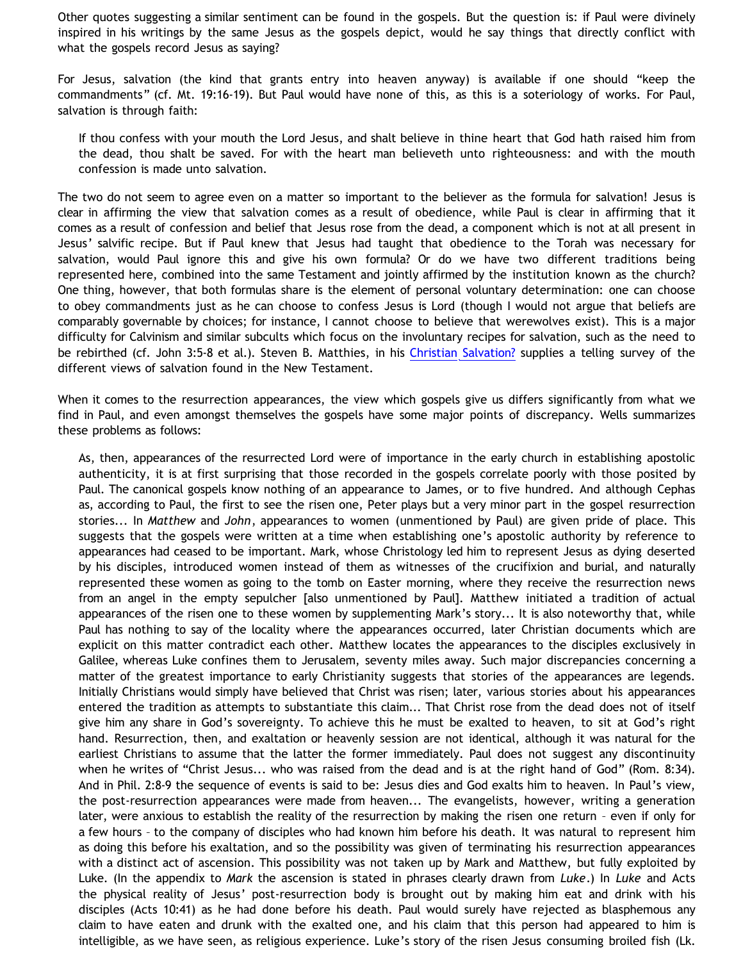Other quotes suggesting a similar sentiment can be found in the gospels. But the question is: if Paul were divinely inspired in his writings by the same Jesus as the gospels depict, would he say things that directly conflict with what the gospels record Jesus as saying?

For Jesus, salvation (the kind that grants entry into heaven anyway) is available if one should "keep the commandments" (cf. Mt. 19:16-19). But Paul would have none of this, as this is a soteriology of works. For Paul, salvation is through faith:

If thou confess with your mouth the Lord Jesus, and shalt believe in thine heart that God hath raised him from the dead, thou shalt be saved. For with the heart man believeth unto righteousness: and with the mouth confession is made unto salvation.

The two do not seem to agree even on a matter so important to the believer as the formula for salvation! Jesus is clear in affirming the view that salvation comes as a result of obedience, while Paul is clear in affirming that it comes as a result of confession and belief that Jesus rose from the dead, a component which is not at all present in Jesus' salvific recipe. But if Paul knew that Jesus had taught that obedience to the Torah was necessary for salvation, would Paul ignore this and give his own formula? Or do we have two different traditions being represented here, combined into the same Testament and jointly affirmed by the institution known as the church? One thing, however, that both formulas share is the element of personal voluntary determination: one can choose to obey commandments just as he can choose to confess Jesus is Lord (though I would not argue that beliefs are comparably governable by choices; for instance, I cannot choose to believe that werewolves exist). This is a major difficulty for Calvinism and similar subcults which focus on the involuntary recipes for salvation, such as the need to be rebirthed (cf. John 3:5-8 et al.). Steven B. Matthies, in his [Christian Salvation?](http://secweb.infidels.org/?kiosk=articles&id=192) supplies a telling survey of the different views of salvation found in the New Testament.

When it comes to the resurrection appearances, the view which gospels give us differs significantly from what we find in Paul, and even amongst themselves the gospels have some major points of discrepancy. Wells summarizes these problems as follows:

As, then, appearances of the resurrected Lord were of importance in the early church in establishing apostolic authenticity, it is at first surprising that those recorded in the gospels correlate poorly with those posited by Paul. The canonical gospels know nothing of an appearance to James, or to five hundred. And although Cephas as, according to Paul, the first to see the risen one, Peter plays but a very minor part in the gospel resurrection stories... In *Matthew* and *John*, appearances to women (unmentioned by Paul) are given pride of place. This suggests that the gospels were written at a time when establishing one's apostolic authority by reference to appearances had ceased to be important. Mark, whose Christology led him to represent Jesus as dying deserted by his disciples, introduced women instead of them as witnesses of the crucifixion and burial, and naturally represented these women as going to the tomb on Easter morning, where they receive the resurrection news from an angel in the empty sepulcher [also unmentioned by Paul]. Matthew initiated a tradition of actual appearances of the risen one to these women by supplementing Mark's story... It is also noteworthy that, while Paul has nothing to say of the locality where the appearances occurred, later Christian documents which are explicit on this matter contradict each other. Matthew locates the appearances to the disciples exclusively in Galilee, whereas Luke confines them to Jerusalem, seventy miles away. Such major discrepancies concerning a matter of the greatest importance to early Christianity suggests that stories of the appearances are legends. Initially Christians would simply have believed that Christ was risen; later, various stories about his appearances entered the tradition as attempts to substantiate this claim... That Christ rose from the dead does not of itself give him any share in God's sovereignty. To achieve this he must be exalted to heaven, to sit at God's right hand. Resurrection, then, and exaltation or heavenly session are not identical, although it was natural for the earliest Christians to assume that the latter the former immediately. Paul does not suggest any discontinuity when he writes of "Christ Jesus... who was raised from the dead and is at the right hand of God" (Rom. 8:34). And in Phil. 2:8-9 the sequence of events is said to be: Jesus dies and God exalts him to heaven. In Paul's view, the post-resurrection appearances were made from heaven... The evangelists, however, writing a generation later, were anxious to establish the reality of the resurrection by making the risen one return – even if only for a few hours – to the company of disciples who had known him before his death. It was natural to represent him as doing this before his exaltation, and so the possibility was given of terminating his resurrection appearances with a distinct act of ascension. This possibility was not taken up by Mark and Matthew, but fully exploited by Luke. (In the appendix to *Mark* the ascension is stated in phrases clearly drawn from *Luke*.) In *Luke* and Acts the physical reality of Jesus' post-resurrection body is brought out by making him eat and drink with his disciples (Acts 10:41) as he had done before his death. Paul would surely have rejected as blasphemous any claim to have eaten and drunk with the exalted one, and his claim that this person had appeared to him is intelligible, as we have seen, as religious experience. Luke's story of the risen Jesus consuming broiled fish (Lk.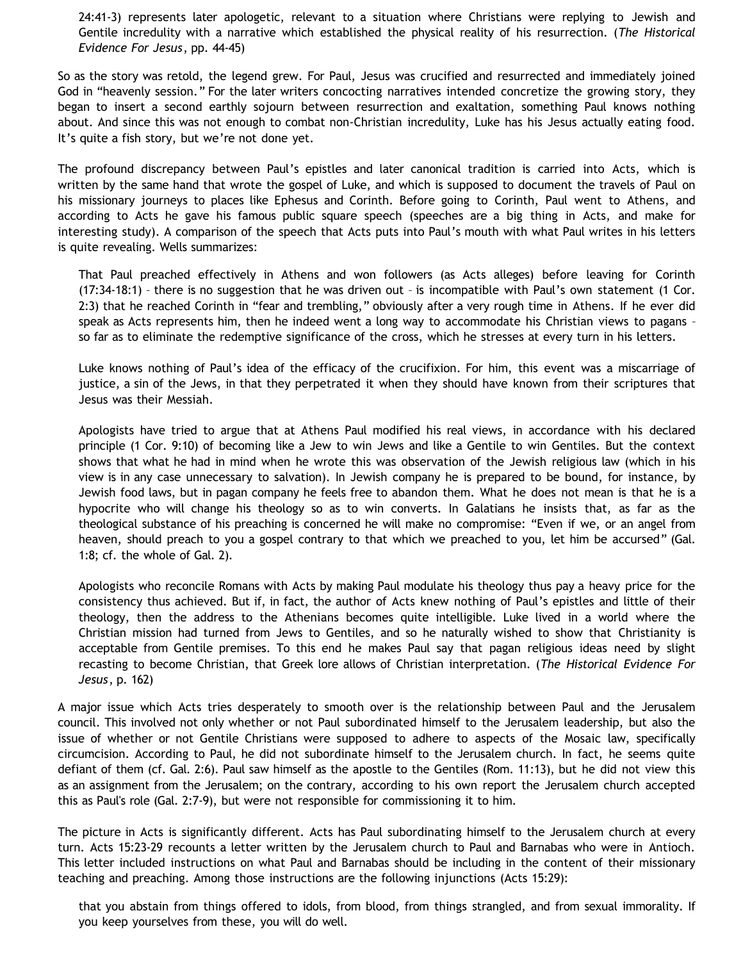24:41-3) represents later apologetic, relevant to a situation where Christians were replying to Jewish and Gentile incredulity with a narrative which established the physical reality of his resurrection. (*The Historical Evidence For Jesus*, pp. 44-45)

So as the story was retold, the legend grew. For Paul, Jesus was crucified and resurrected and immediately joined God in "heavenly session." For the later writers concocting narratives intended concretize the growing story, they began to insert a second earthly sojourn between resurrection and exaltation, something Paul knows nothing about. And since this was not enough to combat non-Christian incredulity, Luke has his Jesus actually eating food. It's quite a fish story, but we're not done yet.

The profound discrepancy between Paul's epistles and later canonical tradition is carried into Acts, which is written by the same hand that wrote the gospel of Luke, and which is supposed to document the travels of Paul on his missionary journeys to places like Ephesus and Corinth. Before going to Corinth, Paul went to Athens, and according to Acts he gave his famous public square speech (speeches are a big thing in Acts, and make for interesting study). A comparison of the speech that Acts puts into Paul's mouth with what Paul writes in his letters is quite revealing. Wells summarizes:

That Paul preached effectively in Athens and won followers (as Acts alleges) before leaving for Corinth (17:34-18:1) – there is no suggestion that he was driven out – is incompatible with Paul's own statement (1 Cor. 2:3) that he reached Corinth in "fear and trembling," obviously after a very rough time in Athens. If he ever did speak as Acts represents him, then he indeed went a long way to accommodate his Christian views to pagans – so far as to eliminate the redemptive significance of the cross, which he stresses at every turn in his letters.

Luke knows nothing of Paul's idea of the efficacy of the crucifixion. For him, this event was a miscarriage of justice, a sin of the Jews, in that they perpetrated it when they should have known from their scriptures that Jesus was their Messiah.

Apologists have tried to argue that at Athens Paul modified his real views, in accordance with his declared principle (1 Cor. 9:10) of becoming like a Jew to win Jews and like a Gentile to win Gentiles. But the context shows that what he had in mind when he wrote this was observation of the Jewish religious law (which in his view is in any case unnecessary to salvation). In Jewish company he is prepared to be bound, for instance, by Jewish food laws, but in pagan company he feels free to abandon them. What he does not mean is that he is a hypocrite who will change his theology so as to win converts. In Galatians he insists that, as far as the theological substance of his preaching is concerned he will make no compromise: "Even if we, or an angel from heaven, should preach to you a gospel contrary to that which we preached to you, let him be accursed" (Gal. 1:8; cf. the whole of Gal. 2).

Apologists who reconcile Romans with Acts by making Paul modulate his theology thus pay a heavy price for the consistency thus achieved. But if, in fact, the author of Acts knew nothing of Paul's epistles and little of their theology, then the address to the Athenians becomes quite intelligible. Luke lived in a world where the Christian mission had turned from Jews to Gentiles, and so he naturally wished to show that Christianity is acceptable from Gentile premises. To this end he makes Paul say that pagan religious ideas need by slight recasting to become Christian, that Greek lore allows of Christian interpretation. (*The Historical Evidence For Jesus*, p. 162)

A major issue which Acts tries desperately to smooth over is the relationship between Paul and the Jerusalem council. This involved not only whether or not Paul subordinated himself to the Jerusalem leadership, but also the issue of whether or not Gentile Christians were supposed to adhere to aspects of the Mosaic law, specifically circumcision. According to Paul, he did not subordinate himself to the Jerusalem church. In fact, he seems quite defiant of them (cf. Gal. 2:6). Paul saw himself as the apostle to the Gentiles (Rom. 11:13), but he did not view this as an assignment from the Jerusalem; on the contrary, according to his own report the Jerusalem church accepted this as Paul's role (Gal. 2:7-9), but were not responsible for commissioning it to him.

The picture in Acts is significantly different. Acts has Paul subordinating himself to the Jerusalem church at every turn. Acts 15:23-29 recounts a letter written by the Jerusalem church to Paul and Barnabas who were in Antioch. This letter included instructions on what Paul and Barnabas should be including in the content of their missionary teaching and preaching. Among those instructions are the following injunctions (Acts 15:29):

that you abstain from things offered to idols, from blood, from things strangled, and from sexual immorality. If you keep yourselves from these, you will do well.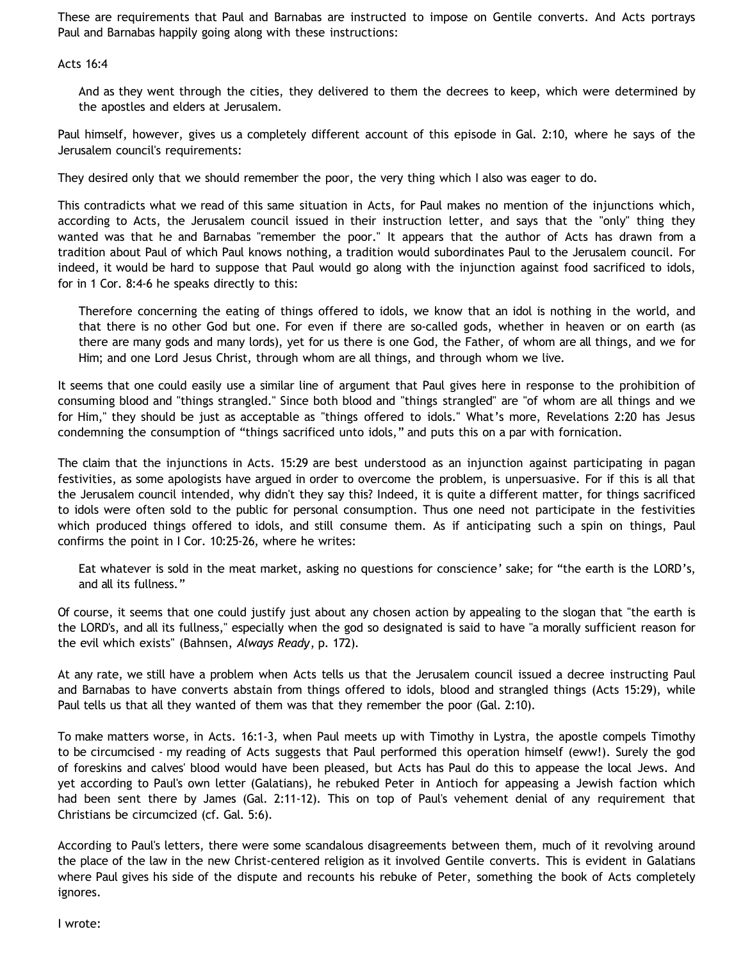These are requirements that Paul and Barnabas are instructed to impose on Gentile converts. And Acts portrays Paul and Barnabas happily going along with these instructions:

Acts 16:4

And as they went through the cities, they delivered to them the decrees to keep, which were determined by the apostles and elders at Jerusalem.

Paul himself, however, gives us a completely different account of this episode in Gal. 2:10, where he says of the Jerusalem council's requirements:

They desired only that we should remember the poor, the very thing which I also was eager to do.

This contradicts what we read of this same situation in Acts, for Paul makes no mention of the injunctions which, according to Acts, the Jerusalem council issued in their instruction letter, and says that the "only" thing they wanted was that he and Barnabas "remember the poor." It appears that the author of Acts has drawn from a tradition about Paul of which Paul knows nothing, a tradition would subordinates Paul to the Jerusalem council. For indeed, it would be hard to suppose that Paul would go along with the injunction against food sacrificed to idols, for in 1 Cor. 8:4-6 he speaks directly to this:

Therefore concerning the eating of things offered to idols, we know that an idol is nothing in the world, and that there is no other God but one. For even if there are so-called gods, whether in heaven or on earth (as there are many gods and many lords), yet for us there is one God, the Father, of whom are all things, and we for Him; and one Lord Jesus Christ, through whom are all things, and through whom we live.

It seems that one could easily use a similar line of argument that Paul gives here in response to the prohibition of consuming blood and "things strangled." Since both blood and "things strangled" are "of whom are all things and we for Him," they should be just as acceptable as "things offered to idols." What's more, Revelations 2:20 has Jesus condemning the consumption of "things sacrificed unto idols," and puts this on a par with fornication.

The claim that the injunctions in Acts. 15:29 are best understood as an injunction against participating in pagan festivities, as some apologists have argued in order to overcome the problem, is unpersuasive. For if this is all that the Jerusalem council intended, why didn't they say this? Indeed, it is quite a different matter, for things sacrificed to idols were often sold to the public for personal consumption. Thus one need not participate in the festivities which produced things offered to idols, and still consume them. As if anticipating such a spin on things, Paul confirms the point in I Cor. 10:25-26, where he writes:

Eat whatever is sold in the meat market, asking no questions for conscience' sake; for "the earth is the LORD's, and all its fullness."

Of course, it seems that one could justify just about any chosen action by appealing to the slogan that "the earth is the LORD's, and all its fullness," especially when the god so designated is said to have "a morally sufficient reason for the evil which exists" (Bahnsen, *Always Ready*, p. 172).

At any rate, we still have a problem when Acts tells us that the Jerusalem council issued a decree instructing Paul and Barnabas to have converts abstain from things offered to idols, blood and strangled things (Acts 15:29), while Paul tells us that all they wanted of them was that they remember the poor (Gal. 2:10).

To make matters worse, in Acts. 16:1-3, when Paul meets up with Timothy in Lystra, the apostle compels Timothy to be circumcised - my reading of Acts suggests that Paul performed this operation himself (eww!). Surely the god of foreskins and calves' blood would have been pleased, but Acts has Paul do this to appease the local Jews. And yet according to Paul's own letter (Galatians), he rebuked Peter in Antioch for appeasing a Jewish faction which had been sent there by James (Gal. 2:11-12). This on top of Paul's vehement denial of any requirement that Christians be circumcized (cf. Gal. 5:6).

According to Paul's letters, there were some scandalous disagreements between them, much of it revolving around the place of the law in the new Christ-centered religion as it involved Gentile converts. This is evident in Galatians where Paul gives his side of the dispute and recounts his rebuke of Peter, something the book of Acts completely ignores.

I wrote: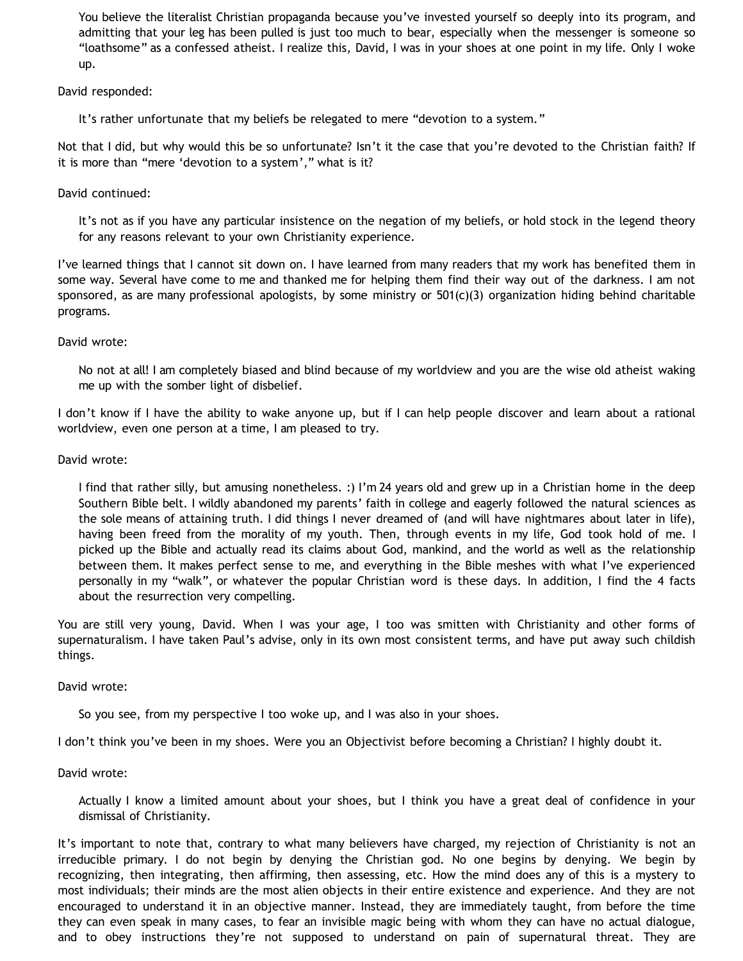You believe the literalist Christian propaganda because you've invested yourself so deeply into its program, and admitting that your leg has been pulled is just too much to bear, especially when the messenger is someone so "loathsome" as a confessed atheist. I realize this, David, I was in your shoes at one point in my life. Only I woke up.

### David responded:

It's rather unfortunate that my beliefs be relegated to mere "devotion to a system."

Not that I did, but why would this be so unfortunate? Isn't it the case that you're devoted to the Christian faith? If it is more than "mere 'devotion to a system'," what is it?

### David continued:

It's not as if you have any particular insistence on the negation of my beliefs, or hold stock in the legend theory for any reasons relevant to your own Christianity experience.

I've learned things that I cannot sit down on. I have learned from many readers that my work has benefited them in some way. Several have come to me and thanked me for helping them find their way out of the darkness. I am not sponsored, as are many professional apologists, by some ministry or 501(c)(3) organization hiding behind charitable programs.

## David wrote:

No not at all! I am completely biased and blind because of my worldview and you are the wise old atheist waking me up with the somber light of disbelief.

I don't know if I have the ability to wake anyone up, but if I can help people discover and learn about a rational worldview, even one person at a time, I am pleased to try.

## David wrote:

I find that rather silly, but amusing nonetheless. :) I'm 24 years old and grew up in a Christian home in the deep Southern Bible belt. I wildly abandoned my parents' faith in college and eagerly followed the natural sciences as the sole means of attaining truth. I did things I never dreamed of (and will have nightmares about later in life), having been freed from the morality of my youth. Then, through events in my life, God took hold of me. I picked up the Bible and actually read its claims about God, mankind, and the world as well as the relationship between them. It makes perfect sense to me, and everything in the Bible meshes with what I've experienced personally in my "walk", or whatever the popular Christian word is these days. In addition, I find the 4 facts about the resurrection very compelling.

You are still very young, David. When I was your age, I too was smitten with Christianity and other forms of supernaturalism. I have taken Paul's advise, only in its own most consistent terms, and have put away such childish things.

### David wrote:

So you see, from my perspective I too woke up, and I was also in your shoes.

I don't think you've been in my shoes. Were you an Objectivist before becoming a Christian? I highly doubt it.

### David wrote:

Actually I know a limited amount about your shoes, but I think you have a great deal of confidence in your dismissal of Christianity.

It's important to note that, contrary to what many believers have charged, my rejection of Christianity is not an irreducible primary. I do not begin by denying the Christian god. No one begins by denying. We begin by recognizing, then integrating, then affirming, then assessing, etc. How the mind does any of this is a mystery to most individuals; their minds are the most alien objects in their entire existence and experience. And they are not encouraged to understand it in an objective manner. Instead, they are immediately taught, from before the time they can even speak in many cases, to fear an invisible magic being with whom they can have no actual dialogue, and to obey instructions they're not supposed to understand on pain of supernatural threat. They are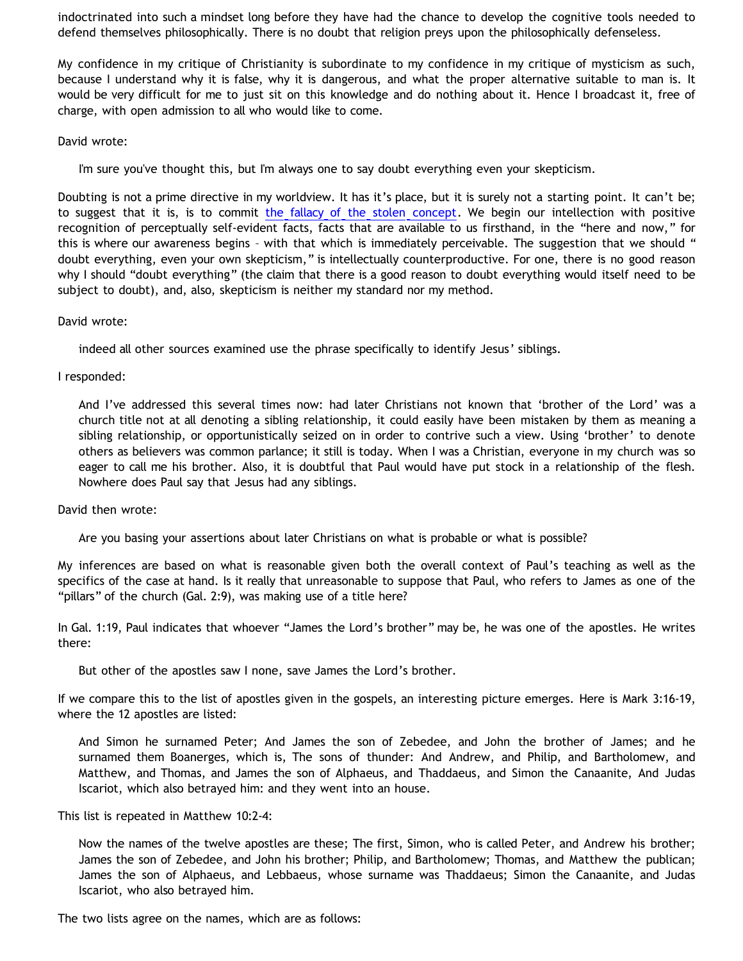indoctrinated into such a mindset long before they have had the chance to develop the cognitive tools needed to defend themselves philosophically. There is no doubt that religion preys upon the philosophically defenseless.

My confidence in my critique of Christianity is subordinate to my confidence in my critique of mysticism as such, because I understand why it is false, why it is dangerous, and what the proper alternative suitable to man is. It would be very difficult for me to just sit on this knowledge and do nothing about it. Hence I broadcast it, free of charge, with open admission to all who would like to come.

#### David wrote:

I'm sure you've thought this, but I'm always one to say doubt everything even your skepticism.

Doubting is not a prime directive in my worldview. It has it's place, but it is surely not a starting point. It can't be; to suggest that it is, is to commit [the fallacy of the stolen concept](http://bahnsenburner.blogspot.com/2008/06/stolen-concepts-and-intellectual.html). We begin our intellection with positive recognition of perceptually self-evident facts, facts that are available to us firsthand, in the "here and now," for this is where our awareness begins – with that which is immediately perceivable. The suggestion that we should " doubt everything, even your own skepticism," is intellectually counterproductive. For one, there is no good reason why I should "doubt everything" (the claim that there is a good reason to doubt everything would itself need to be subject to doubt), and, also, skepticism is neither my standard nor my method.

David wrote:

indeed all other sources examined use the phrase specifically to identify Jesus' siblings.

I responded:

And I've addressed this several times now: had later Christians not known that 'brother of the Lord' was a church title not at all denoting a sibling relationship, it could easily have been mistaken by them as meaning a sibling relationship, or opportunistically seized on in order to contrive such a view. Using 'brother' to denote others as believers was common parlance; it still is today. When I was a Christian, everyone in my church was so eager to call me his brother. Also, it is doubtful that Paul would have put stock in a relationship of the flesh. Nowhere does Paul say that Jesus had any siblings.

David then wrote:

Are you basing your assertions about later Christians on what is probable or what is possible?

My inferences are based on what is reasonable given both the overall context of Paul's teaching as well as the specifics of the case at hand. Is it really that unreasonable to suppose that Paul, who refers to James as one of the "pillars" of the church (Gal. 2:9), was making use of a title here?

In Gal. 1:19, Paul indicates that whoever "James the Lord's brother" may be, he was one of the apostles. He writes there:

But other of the apostles saw I none, save James the Lord's brother.

If we compare this to the list of apostles given in the gospels, an interesting picture emerges. Here is Mark 3:16-19, where the 12 apostles are listed:

And Simon he surnamed Peter; And James the son of Zebedee, and John the brother of James; and he surnamed them Boanerges, which is, The sons of thunder: And Andrew, and Philip, and Bartholomew, and Matthew, and Thomas, and James the son of Alphaeus, and Thaddaeus, and Simon the Canaanite, And Judas Iscariot, which also betrayed him: and they went into an house.

#### This list is repeated in Matthew 10:2-4:

Now the names of the twelve apostles are these; The first, Simon, who is called Peter, and Andrew his brother; James the son of Zebedee, and John his brother; Philip, and Bartholomew; Thomas, and Matthew the publican; James the son of Alphaeus, and Lebbaeus, whose surname was Thaddaeus; Simon the Canaanite, and Judas Iscariot, who also betrayed him.

The two lists agree on the names, which are as follows: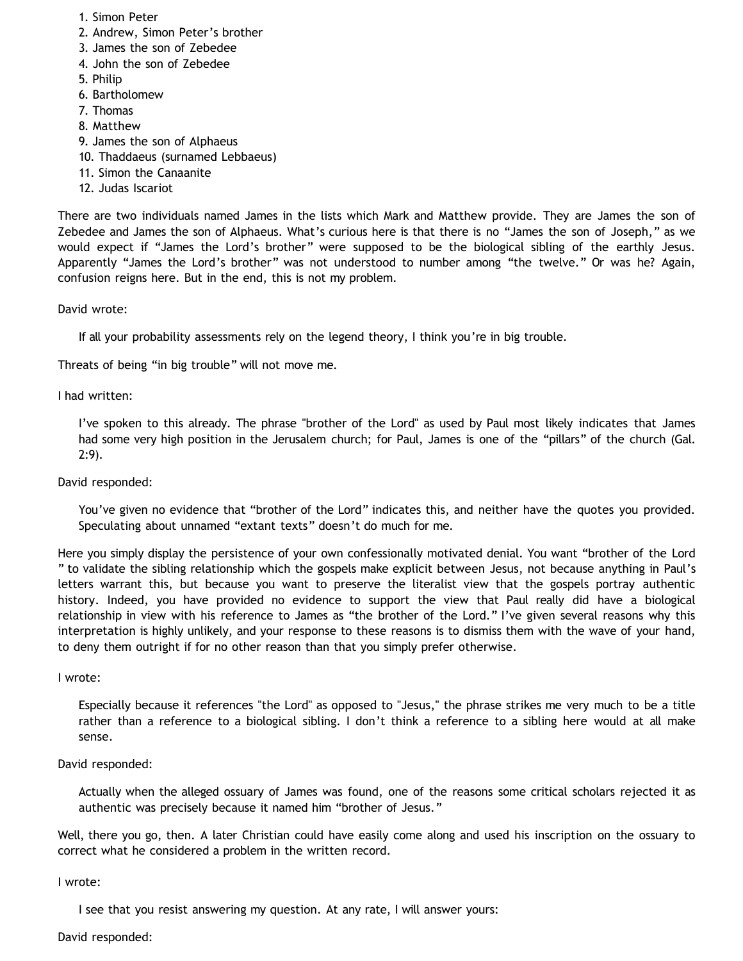- 1. Simon Peter
- 2. Andrew, Simon Peter's brother
- 3. James the son of Zebedee
- 4. John the son of Zebedee
- 5. Philip
- 6. Bartholomew
- 7. Thomas
- 8. Matthew
- 9. James the son of Alphaeus
- 10. Thaddaeus (surnamed Lebbaeus)
- 11. Simon the Canaanite
- 12. Judas Iscariot

There are two individuals named James in the lists which Mark and Matthew provide. They are James the son of Zebedee and James the son of Alphaeus. What's curious here is that there is no "James the son of Joseph," as we would expect if "James the Lord's brother" were supposed to be the biological sibling of the earthly Jesus. Apparently "James the Lord's brother" was not understood to number among "the twelve." Or was he? Again, confusion reigns here. But in the end, this is not my problem.

David wrote:

If all your probability assessments rely on the legend theory, I think you're in big trouble.

Threats of being "in big trouble" will not move me.

I had written:

I've spoken to this already. The phrase "brother of the Lord" as used by Paul most likely indicates that James had some very high position in the Jerusalem church; for Paul, James is one of the "pillars" of the church (Gal. 2:9).

David responded:

You've given no evidence that "brother of the Lord" indicates this, and neither have the quotes you provided. Speculating about unnamed "extant texts" doesn't do much for me.

Here you simply display the persistence of your own confessionally motivated denial. You want "brother of the Lord " to validate the sibling relationship which the gospels make explicit between Jesus, not because anything in Paul's letters warrant this, but because you want to preserve the literalist view that the gospels portray authentic history. Indeed, you have provided no evidence to support the view that Paul really did have a biological relationship in view with his reference to James as "the brother of the Lord." I've given several reasons why this interpretation is highly unlikely, and your response to these reasons is to dismiss them with the wave of your hand, to deny them outright if for no other reason than that you simply prefer otherwise.

# I wrote:

Especially because it references "the Lord" as opposed to "Jesus," the phrase strikes me very much to be a title rather than a reference to a biological sibling. I don't think a reference to a sibling here would at all make sense.

# David responded:

Actually when the alleged ossuary of James was found, one of the reasons some critical scholars rejected it as authentic was precisely because it named him "brother of Jesus."

Well, there you go, then. A later Christian could have easily come along and used his inscription on the ossuary to correct what he considered a problem in the written record.

### I wrote:

I see that you resist answering my question. At any rate, I will answer yours:

### David responded: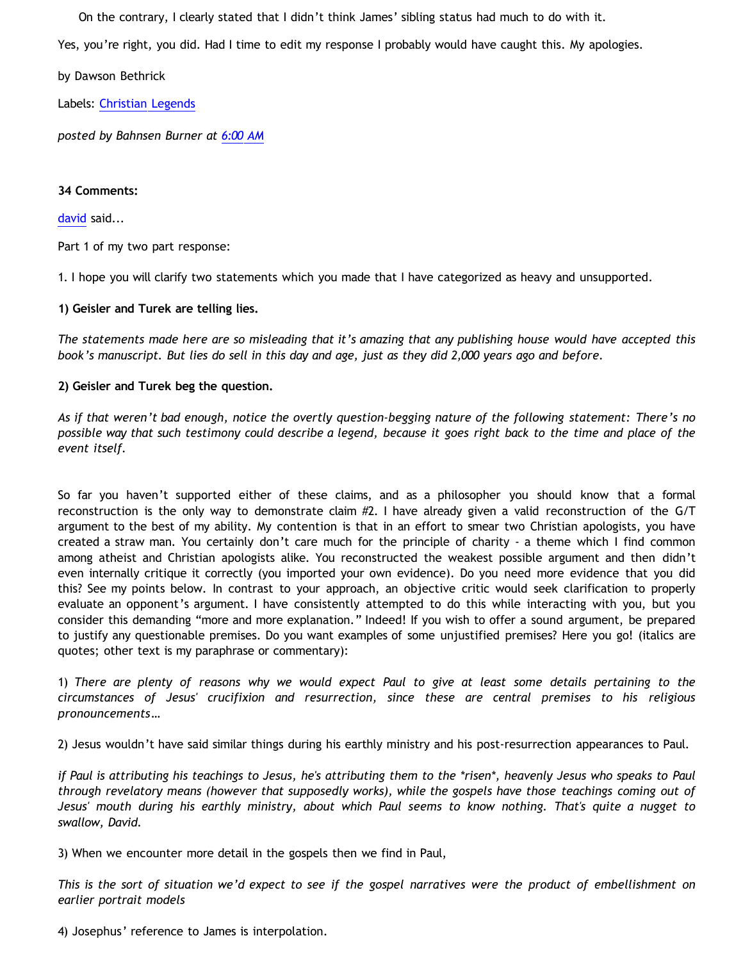On the contrary, I clearly stated that I didn't think James' sibling status had much to do with it.

Yes, you're right, you did. Had I time to edit my response I probably would have caught this. My apologies.

by Dawson Bethrick

Labels: [Christian Legends](http://bahnsenburner.blogspot.com/search/label/Christian%20Legends)

*posted by Bahnsen Burner at [6:00 AM](http://bahnsenburner.blogspot.com/2008/09/another-response-to-david-part-6-signs.html)*

### **34 Comments:**

[david](http://www.blogger.com/profile/08071763988772047093) said...

Part 1 of my two part response:

1. I hope you will clarify two statements which you made that I have categorized as heavy and unsupported.

## **1) Geisler and Turek are telling lies.**

*The statements made here are so misleading that it's amazing that any publishing house would have accepted this book's manuscript. But lies do sell in this day and age, just as they did 2,000 years ago and before.*

# **2) Geisler and Turek beg the question.**

*As if that weren't bad enough, notice the overtly question-begging nature of the following statement: There's no possible way that such testimony could describe a legend, because it goes right back to the time and place of the event itself.*

So far you haven't supported either of these claims, and as a philosopher you should know that a formal reconstruction is the only way to demonstrate claim #2. I have already given a valid reconstruction of the G/T argument to the best of my ability. My contention is that in an effort to smear two Christian apologists, you have created a straw man. You certainly don't care much for the principle of charity - a theme which I find common among atheist and Christian apologists alike. You reconstructed the weakest possible argument and then didn't even internally critique it correctly (you imported your own evidence). Do you need more evidence that you did this? See my points below. In contrast to your approach, an objective critic would seek clarification to properly evaluate an opponent's argument. I have consistently attempted to do this while interacting with you, but you consider this demanding "more and more explanation." Indeed! If you wish to offer a sound argument, be prepared to justify any questionable premises. Do you want examples of some unjustified premises? Here you go! (italics are quotes; other text is my paraphrase or commentary):

1) *There are plenty of reasons why we would expect Paul to give at least some details pertaining to the circumstances of Jesus' crucifixion and resurrection, since these are central premises to his religious pronouncements…*

2) Jesus wouldn't have said similar things during his earthly ministry and his post-resurrection appearances to Paul.

*if Paul is attributing his teachings to Jesus, he's attributing them to the \*risen\*, heavenly Jesus who speaks to Paul through revelatory means (however that supposedly works), while the gospels have those teachings coming out of Jesus' mouth during his earthly ministry, about which Paul seems to know nothing. That's quite a nugget to swallow, David.*

3) When we encounter more detail in the gospels then we find in Paul,

*This is the sort of situation we'd expect to see if the gospel narratives were the product of embellishment on earlier portrait models*

4) Josephus' reference to James is interpolation.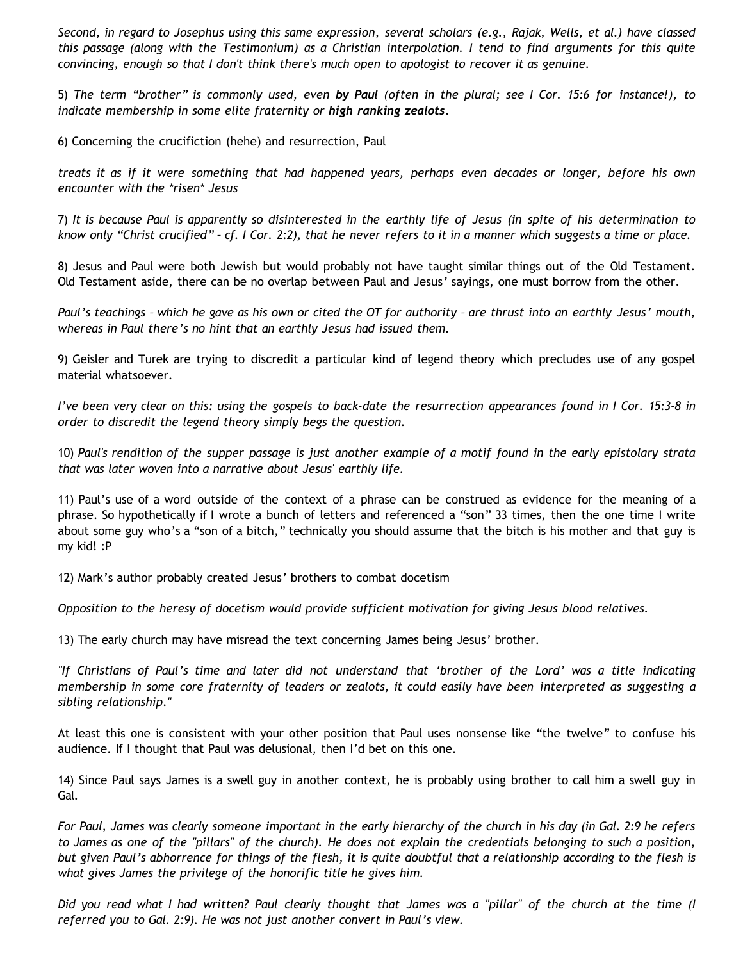*Second, in regard to Josephus using this same expression, several scholars (e.g., Rajak, Wells, et al.) have classed this passage (along with the Testimonium) as a Christian interpolation. I tend to find arguments for this quite convincing, enough so that I don't think there's much open to apologist to recover it as genuine.*

5) *The term "brother" is commonly used, even by Paul (often in the plural; see I Cor. 15:6 for instance!), to indicate membership in some elite fraternity or high ranking zealots.*

6) Concerning the crucifiction (hehe) and resurrection, Paul

*treats it as if it were something that had happened years, perhaps even decades or longer, before his own encounter with the \*risen\* Jesus*

7) *It is because Paul is apparently so disinterested in the earthly life of Jesus (in spite of his determination to know only "Christ crucified" – cf. I Cor. 2:2), that he never refers to it in a manner which suggests a time or place.*

8) Jesus and Paul were both Jewish but would probably not have taught similar things out of the Old Testament. Old Testament aside, there can be no overlap between Paul and Jesus' sayings, one must borrow from the other.

*Paul's teachings – which he gave as his own or cited the OT for authority – are thrust into an earthly Jesus' mouth, whereas in Paul there's no hint that an earthly Jesus had issued them.*

9) Geisler and Turek are trying to discredit a particular kind of legend theory which precludes use of any gospel material whatsoever.

*I've been very clear on this: using the gospels to back-date the resurrection appearances found in I Cor. 15:3-8 in order to discredit the legend theory simply begs the question.*

10) *Paul's rendition of the supper passage is just another example of a motif found in the early epistolary strata that was later woven into a narrative about Jesus' earthly life.*

11) Paul's use of a word outside of the context of a phrase can be construed as evidence for the meaning of a phrase. So hypothetically if I wrote a bunch of letters and referenced a "son" 33 times, then the one time I write about some guy who's a "son of a bitch," technically you should assume that the bitch is his mother and that guy is my kid! :P

12) Mark's author probably created Jesus' brothers to combat docetism

*Opposition to the heresy of docetism would provide sufficient motivation for giving Jesus blood relatives.*

13) The early church may have misread the text concerning James being Jesus' brother.

*"If Christians of Paul's time and later did not understand that 'brother of the Lord' was a title indicating membership in some core fraternity of leaders or zealots, it could easily have been interpreted as suggesting a sibling relationship."*

At least this one is consistent with your other position that Paul uses nonsense like "the twelve" to confuse his audience. If I thought that Paul was delusional, then I'd bet on this one.

14) Since Paul says James is a swell guy in another context, he is probably using brother to call him a swell guy in Gal.

*For Paul, James was clearly someone important in the early hierarchy of the church in his day (in Gal. 2:9 he refers to James as one of the "pillars" of the church). He does not explain the credentials belonging to such a position, but given Paul's abhorrence for things of the flesh, it is quite doubtful that a relationship according to the flesh is what gives James the privilege of the honorific title he gives him.*

*Did you read what I had written? Paul clearly thought that James was a "pillar" of the church at the time (I referred you to Gal. 2:9). He was not just another convert in Paul's view.*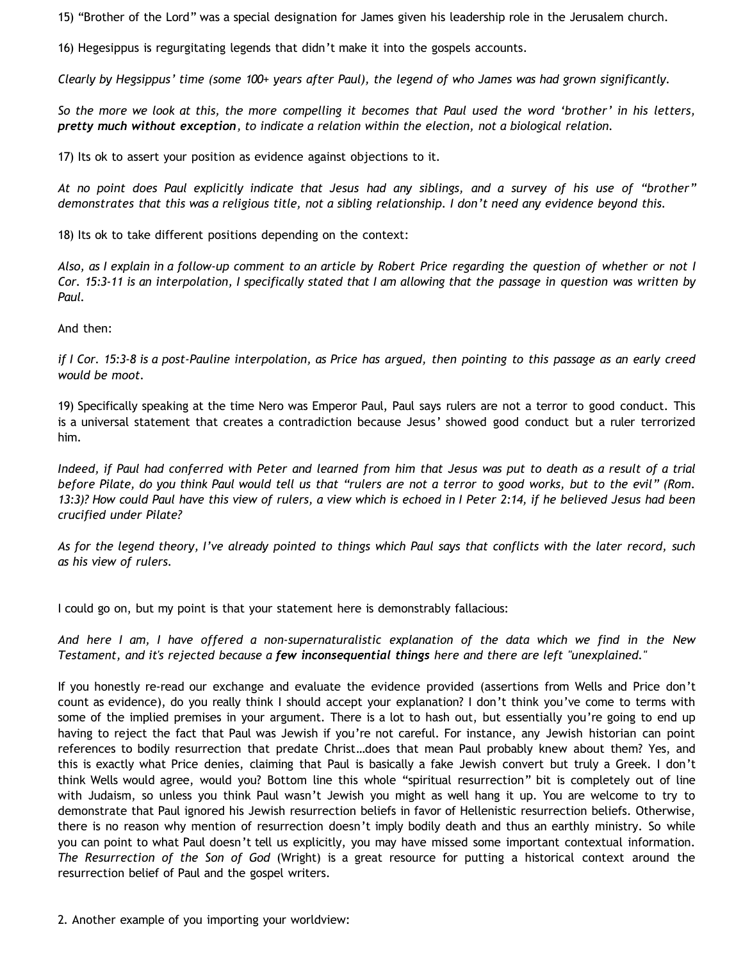15) "Brother of the Lord" was a special designation for James given his leadership role in the Jerusalem church.

16) Hegesippus is regurgitating legends that didn't make it into the gospels accounts.

*Clearly by Hegsippus' time (some 100+ years after Paul), the legend of who James was had grown significantly.*

*So the more we look at this, the more compelling it becomes that Paul used the word 'brother' in his letters, pretty much without exception, to indicate a relation within the election, not a biological relation.*

17) Its ok to assert your position as evidence against objections to it.

*At no point does Paul explicitly indicate that Jesus had any siblings, and a survey of his use of "brother" demonstrates that this was a religious title, not a sibling relationship. I don't need any evidence beyond this.*

18) Its ok to take different positions depending on the context:

*Also, as I explain in a follow-up comment to an article by Robert Price regarding the question of whether or not I Cor. 15:3-11 is an interpolation, I specifically stated that I am allowing that the passage in question was written by Paul.*

And then:

*if I Cor. 15:3-8 is a post-Pauline interpolation, as Price has argued, then pointing to this passage as an early creed would be moot.*

19) Specifically speaking at the time Nero was Emperor Paul, Paul says rulers are not a terror to good conduct. This is a universal statement that creates a contradiction because Jesus' showed good conduct but a ruler terrorized him.

*Indeed, if Paul had conferred with Peter and learned from him that Jesus was put to death as a result of a trial before Pilate, do you think Paul would tell us that "rulers are not a terror to good works, but to the evil" (Rom. 13:3)? How could Paul have this view of rulers, a view which is echoed in I Peter 2:14, if he believed Jesus had been crucified under Pilate?*

*As for the legend theory, I've already pointed to things which Paul says that conflicts with the later record, such as his view of rulers.*

I could go on, but my point is that your statement here is demonstrably fallacious:

*And here I am, I have offered a non-supernaturalistic explanation of the data which we find in the New Testament, and it's rejected because a few inconsequential things here and there are left "unexplained."*

If you honestly re-read our exchange and evaluate the evidence provided (assertions from Wells and Price don't count as evidence), do you really think I should accept your explanation? I don't think you've come to terms with some of the implied premises in your argument. There is a lot to hash out, but essentially you're going to end up having to reject the fact that Paul was Jewish if you're not careful. For instance, any Jewish historian can point references to bodily resurrection that predate Christ…does that mean Paul probably knew about them? Yes, and this is exactly what Price denies, claiming that Paul is basically a fake Jewish convert but truly a Greek. I don't think Wells would agree, would you? Bottom line this whole "spiritual resurrection" bit is completely out of line with Judaism, so unless you think Paul wasn't Jewish you might as well hang it up. You are welcome to try to demonstrate that Paul ignored his Jewish resurrection beliefs in favor of Hellenistic resurrection beliefs. Otherwise, there is no reason why mention of resurrection doesn't imply bodily death and thus an earthly ministry. So while you can point to what Paul doesn't tell us explicitly, you may have missed some important contextual information. *The Resurrection of the Son of God* (Wright) is a great resource for putting a historical context around the resurrection belief of Paul and the gospel writers.

2. Another example of you importing your worldview: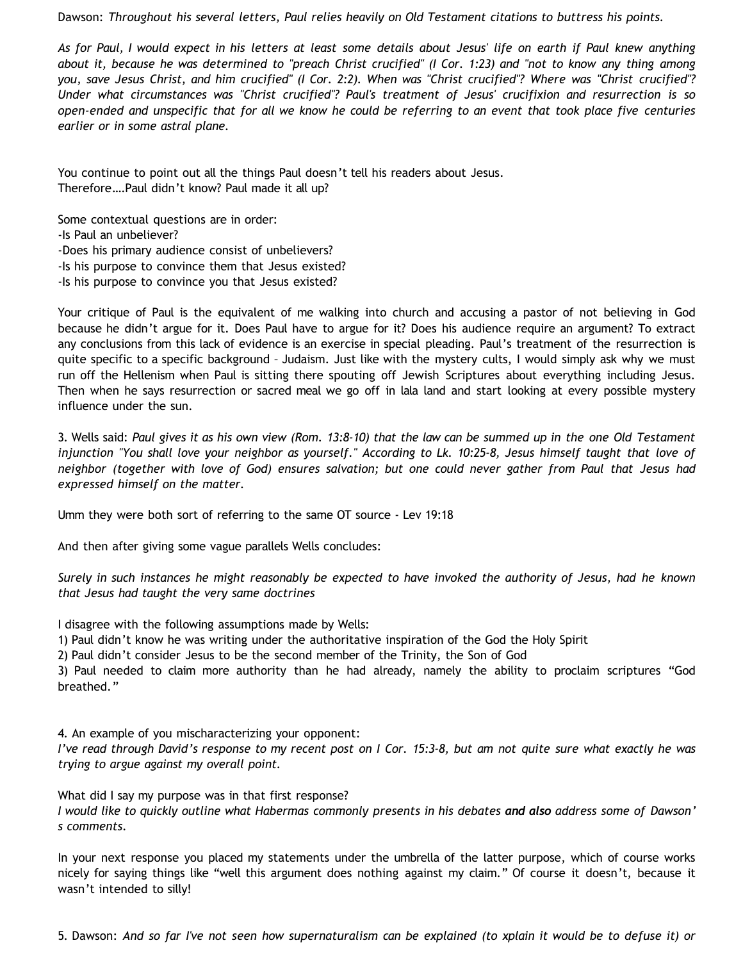Dawson: *Throughout his several letters, Paul relies heavily on Old Testament citations to buttress his points.*

*As for Paul, I would expect in his letters at least some details about Jesus' life on earth if Paul knew anything about it, because he was determined to "preach Christ crucified" (I Cor. 1:23) and "not to know any thing among you, save Jesus Christ, and him crucified" (I Cor. 2:2). When was "Christ crucified"? Where was "Christ crucified"? Under what circumstances was "Christ crucified"? Paul's treatment of Jesus' crucifixion and resurrection is so open-ended and unspecific that for all we know he could be referring to an event that took place five centuries earlier or in some astral plane.*

You continue to point out all the things Paul doesn't tell his readers about Jesus. Therefore….Paul didn't know? Paul made it all up?

Some contextual questions are in order: -Is Paul an unbeliever?

-Does his primary audience consist of unbelievers?

-Is his purpose to convince them that Jesus existed?

-Is his purpose to convince you that Jesus existed?

Your critique of Paul is the equivalent of me walking into church and accusing a pastor of not believing in God because he didn't argue for it. Does Paul have to argue for it? Does his audience require an argument? To extract any conclusions from this lack of evidence is an exercise in special pleading. Paul's treatment of the resurrection is quite specific to a specific background – Judaism. Just like with the mystery cults, I would simply ask why we must run off the Hellenism when Paul is sitting there spouting off Jewish Scriptures about everything including Jesus. Then when he says resurrection or sacred meal we go off in lala land and start looking at every possible mystery influence under the sun.

3. Wells said: *Paul gives it as his own view (Rom. 13:8-10) that the law can be summed up in the one Old Testament injunction "You shall love your neighbor as yourself." According to Lk. 10:25-8, Jesus himself taught that love of neighbor (together with love of God) ensures salvation; but one could never gather from Paul that Jesus had expressed himself on the matter.*

Umm they were both sort of referring to the same OT source - Lev 19:18

And then after giving some vague parallels Wells concludes:

*Surely in such instances he might reasonably be expected to have invoked the authority of Jesus, had he known that Jesus had taught the very same doctrines*

I disagree with the following assumptions made by Wells:

1) Paul didn't know he was writing under the authoritative inspiration of the God the Holy Spirit

2) Paul didn't consider Jesus to be the second member of the Trinity, the Son of God

3) Paul needed to claim more authority than he had already, namely the ability to proclaim scriptures "God breathed."

4. An example of you mischaracterizing your opponent:

*I've read through David's response to my recent post on I Cor. 15:3-8, but am not quite sure what exactly he was trying to argue against my overall point.*

What did I say my purpose was in that first response?

*I would like to quickly outline what Habermas commonly presents in his debates and also address some of Dawson' s comments.*

In your next response you placed my statements under the umbrella of the latter purpose, which of course works nicely for saying things like "well this argument does nothing against my claim." Of course it doesn't, because it wasn't intended to silly!

5. Dawson: *And so far I've not seen how supernaturalism can be explained (to xplain it would be to defuse it) or*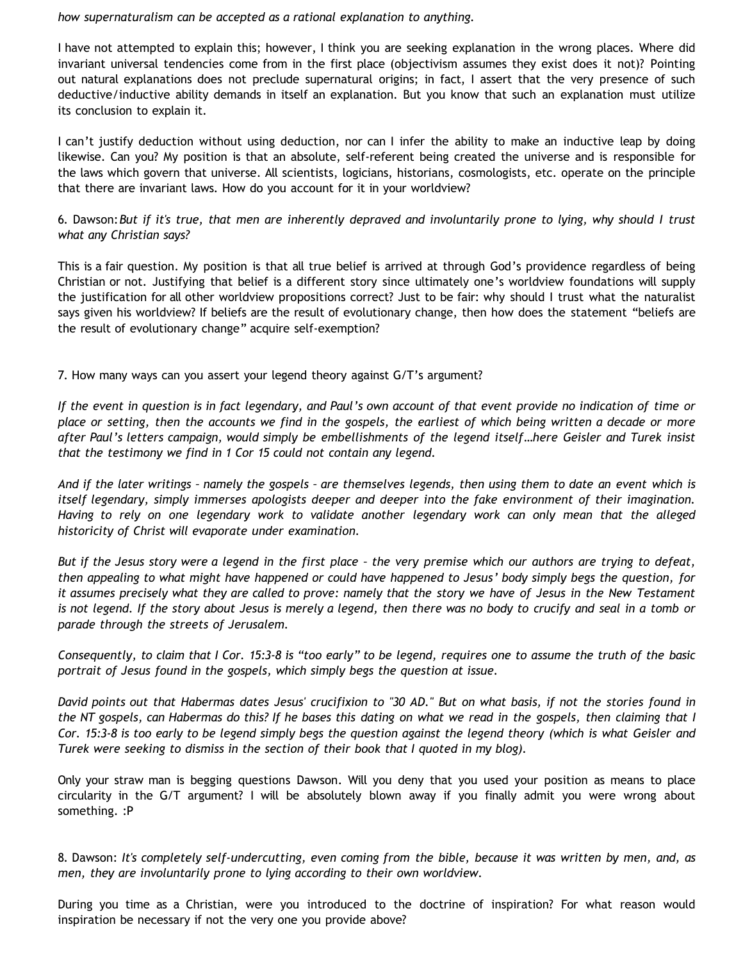*how supernaturalism can be accepted as a rational explanation to anything.*

I have not attempted to explain this; however, I think you are seeking explanation in the wrong places. Where did invariant universal tendencies come from in the first place (objectivism assumes they exist does it not)? Pointing out natural explanations does not preclude supernatural origins; in fact, I assert that the very presence of such deductive/inductive ability demands in itself an explanation. But you know that such an explanation must utilize its conclusion to explain it.

I can't justify deduction without using deduction, nor can I infer the ability to make an inductive leap by doing likewise. Can you? My position is that an absolute, self-referent being created the universe and is responsible for the laws which govern that universe. All scientists, logicians, historians, cosmologists, etc. operate on the principle that there are invariant laws. How do you account for it in your worldview?

6. Dawson:*But if it's true, that men are inherently depraved and involuntarily prone to lying, why should I trust what any Christian says?*

This is a fair question. My position is that all true belief is arrived at through God's providence regardless of being Christian or not. Justifying that belief is a different story since ultimately one's worldview foundations will supply the justification for all other worldview propositions correct? Just to be fair: why should I trust what the naturalist says given his worldview? If beliefs are the result of evolutionary change, then how does the statement "beliefs are the result of evolutionary change" acquire self-exemption?

7. How many ways can you assert your legend theory against G/T's argument?

*If the event in question is in fact legendary, and Paul's own account of that event provide no indication of time or place or setting, then the accounts we find in the gospels, the earliest of which being written a decade or more after Paul's letters campaign, would simply be embellishments of the legend itself…here Geisler and Turek insist that the testimony we find in 1 Cor 15 could not contain any legend.*

*And if the later writings – namely the gospels – are themselves legends, then using them to date an event which is itself legendary, simply immerses apologists deeper and deeper into the fake environment of their imagination. Having to rely on one legendary work to validate another legendary work can only mean that the alleged historicity of Christ will evaporate under examination.*

*But if the Jesus story were a legend in the first place – the very premise which our authors are trying to defeat, then appealing to what might have happened or could have happened to Jesus' body simply begs the question, for it assumes precisely what they are called to prove: namely that the story we have of Jesus in the New Testament is not legend. If the story about Jesus is merely a legend, then there was no body to crucify and seal in a tomb or parade through the streets of Jerusalem.*

*Consequently, to claim that I Cor. 15:3-8 is "too early" to be legend, requires one to assume the truth of the basic portrait of Jesus found in the gospels, which simply begs the question at issue.*

*David points out that Habermas dates Jesus' crucifixion to "30 AD." But on what basis, if not the stories found in the NT gospels, can Habermas do this? If he bases this dating on what we read in the gospels, then claiming that I Cor. 15:3-8 is too early to be legend simply begs the question against the legend theory (which is what Geisler and Turek were seeking to dismiss in the section of their book that I quoted in my blog).*

Only your straw man is begging questions Dawson. Will you deny that you used your position as means to place circularity in the G/T argument? I will be absolutely blown away if you finally admit you were wrong about something. :P

8. Dawson: *It's completely self-undercutting, even coming from the bible, because it was written by men, and, as men, they are involuntarily prone to lying according to their own worldview.*

During you time as a Christian, were you introduced to the doctrine of inspiration? For what reason would inspiration be necessary if not the very one you provide above?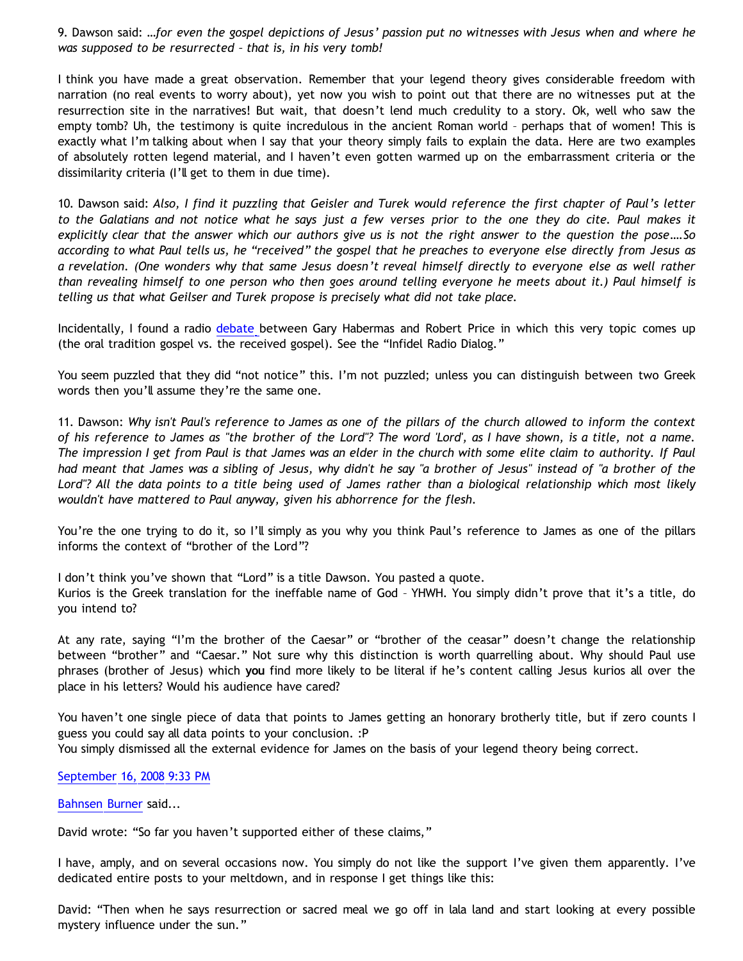9. Dawson said: *…for even the gospel depictions of Jesus' passion put no witnesses with Jesus when and where he was supposed to be resurrected – that is, in his very tomb!*

I think you have made a great observation. Remember that your legend theory gives considerable freedom with narration (no real events to worry about), yet now you wish to point out that there are no witnesses put at the resurrection site in the narratives! But wait, that doesn't lend much credulity to a story. Ok, well who saw the empty tomb? Uh, the testimony is quite incredulous in the ancient Roman world – perhaps that of women! This is exactly what I'm talking about when I say that your theory simply fails to explain the data. Here are two examples of absolutely rotten legend material, and I haven't even gotten warmed up on the embarrassment criteria or the dissimilarity criteria (I'll get to them in due time).

10. Dawson said: *Also, I find it puzzling that Geisler and Turek would reference the first chapter of Paul's letter to the Galatians and not notice what he says just a few verses prior to the one they do cite. Paul makes it explicitly clear that the answer which our authors give us is not the right answer to the question the pose….So according to what Paul tells us, he "received" the gospel that he preaches to everyone else directly from Jesus as a revelation. (One wonders why that same Jesus doesn't reveal himself directly to everyone else as well rather than revealing himself to one person who then goes around telling everyone he meets about it.) Paul himself is telling us that what Geilser and Turek propose is precisely what did not take place.*

Incidentally, I found a radio [debate](http://www.garyhabermas.com/audio/audio.htm) [b](http://www.garyhabermas.com/audio/audio.htm)etween Gary Habermas and Robert Price in which this very topic comes up (the oral tradition gospel vs. the received gospel). See the "Infidel Radio Dialog."

You seem puzzled that they did "not notice" this. I'm not puzzled; unless you can distinguish between two Greek words then you'll assume they're the same one.

11. Dawson: *Why isn't Paul's reference to James as one of the pillars of the church allowed to inform the context of his reference to James as "the brother of the Lord"? The word 'Lord', as I have shown, is a title, not a name. The impression I get from Paul is that James was an elder in the church with some elite claim to authority. If Paul had meant that James was a sibling of Jesus, why didn't he say "a brother of Jesus" instead of "a brother of the Lord"? All the data points to a title being used of James rather than a biological relationship which most likely wouldn't have mattered to Paul anyway, given his abhorrence for the flesh.*

You're the one trying to do it, so I'll simply as you why you think Paul's reference to James as one of the pillars informs the context of "brother of the Lord"?

I don't think you've shown that "Lord" is a title Dawson. You pasted a quote. Kurios is the Greek translation for the ineffable name of God – YHWH. You simply didn't prove that it's a title, do you intend to?

At any rate, saying "I'm the brother of the Caesar" or "brother of the ceasar" doesn't change the relationship between "brother" and "Caesar." Not sure why this distinction is worth quarrelling about. Why should Paul use phrases (brother of Jesus) which **you** find more likely to be literal if he's content calling Jesus kurios all over the place in his letters? Would his audience have cared?

You haven't one single piece of data that points to James getting an honorary brotherly title, but if zero counts I guess you could say all data points to your conclusion. :P

You simply dismissed all the external evidence for James on the basis of your legend theory being correct.

[September 16, 2008 9:33 PM](http://bahnsenburner.blogspot.com/2008/09/7270782364264119164)

[Bahnsen Burner](http://www.blogger.com/profile/11030029491768748360) said...

David wrote: "So far you haven't supported either of these claims,"

I have, amply, and on several occasions now. You simply do not like the support I've given them apparently. I've dedicated entire posts to your meltdown, and in response I get things like this:

David: "Then when he says resurrection or sacred meal we go off in lala land and start looking at every possible mystery influence under the sun."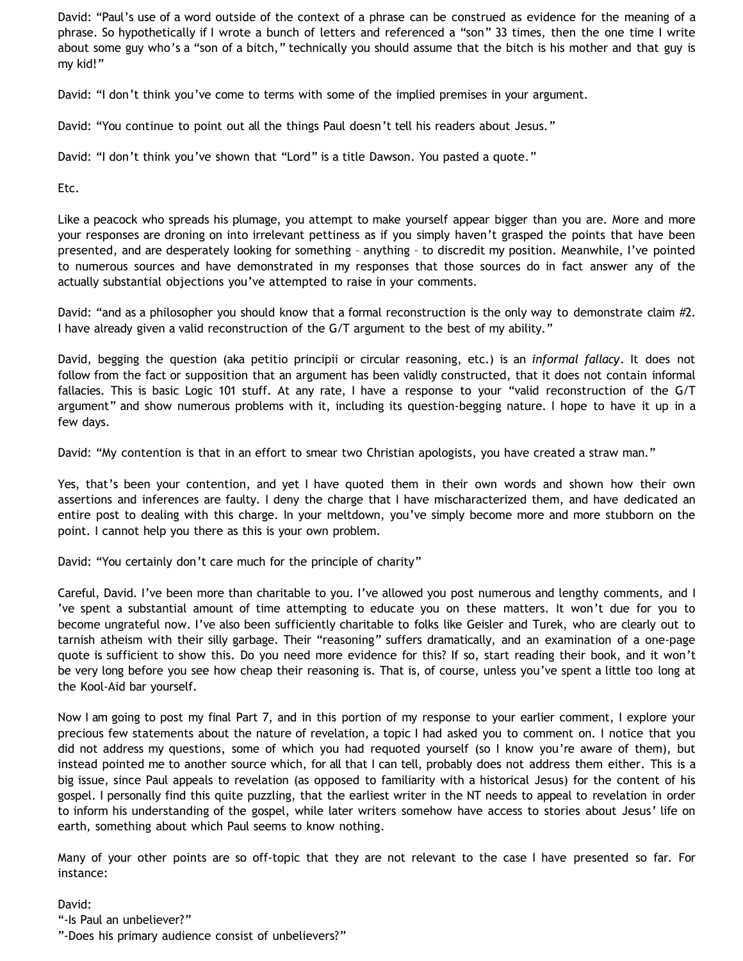David: "Paul's use of a word outside of the context of a phrase can be construed as evidence for the meaning of a phrase. So hypothetically if I wrote a bunch of letters and referenced a "son" 33 times, then the one time I write about some guy who's a "son of a bitch," technically you should assume that the bitch is his mother and that guy is my kid!"

David: "I don't think you've come to terms with some of the implied premises in your argument.

David: "You continue to point out all the things Paul doesn't tell his readers about Jesus."

David: "I don't think you've shown that "Lord" is a title Dawson. You pasted a quote."

Etc.

Like a peacock who spreads his plumage, you attempt to make yourself appear bigger than you are. More and more your responses are droning on into irrelevant pettiness as if you simply haven't grasped the points that have been presented, and are desperately looking for something – anything – to discredit my position. Meanwhile, I've pointed to numerous sources and have demonstrated in my responses that those sources do in fact answer any of the actually substantial objections you've attempted to raise in your comments.

David: "and as a philosopher you should know that a formal reconstruction is the only way to demonstrate claim #2. I have already given a valid reconstruction of the G/T argument to the best of my ability."

David, begging the question (aka petitio principii or circular reasoning, etc.) is an *informal fallacy*. It does not follow from the fact or supposition that an argument has been validly constructed, that it does not contain informal fallacies. This is basic Logic 101 stuff. At any rate, I have a response to your "valid reconstruction of the G/T argument" and show numerous problems with it, including its question-begging nature. I hope to have it up in a few days.

David: "My contention is that in an effort to smear two Christian apologists, you have created a straw man."

Yes, that's been your contention, and yet I have quoted them in their own words and shown how their own assertions and inferences are faulty. I deny the charge that I have mischaracterized them, and have dedicated an entire post to dealing with this charge. In your meltdown, you've simply become more and more stubborn on the point. I cannot help you there as this is your own problem.

David: "You certainly don't care much for the principle of charity"

Careful, David. I've been more than charitable to you. I've allowed you post numerous and lengthy comments, and I 've spent a substantial amount of time attempting to educate you on these matters. It won't due for you to become ungrateful now. I've also been sufficiently charitable to folks like Geisler and Turek, who are clearly out to tarnish atheism with their silly garbage. Their "reasoning" suffers dramatically, and an examination of a one-page quote is sufficient to show this. Do you need more evidence for this? If so, start reading their book, and it won't be very long before you see how cheap their reasoning is. That is, of course, unless you've spent a little too long at the Kool-Aid bar yourself.

Now I am going to post my final Part 7, and in this portion of my response to your earlier comment, I explore your precious few statements about the nature of revelation, a topic I had asked you to comment on. I notice that you did not address my questions, some of which you had requoted yourself (so I know you're aware of them), but instead pointed me to another source which, for all that I can tell, probably does not address them either. This is a big issue, since Paul appeals to revelation (as opposed to familiarity with a historical Jesus) for the content of his gospel. I personally find this quite puzzling, that the earliest writer in the NT needs to appeal to revelation in order to inform his understanding of the gospel, while later writers somehow have access to stories about Jesus' life on earth, something about which Paul seems to know nothing.

Many of your other points are so off-topic that they are not relevant to the case I have presented so far. For instance: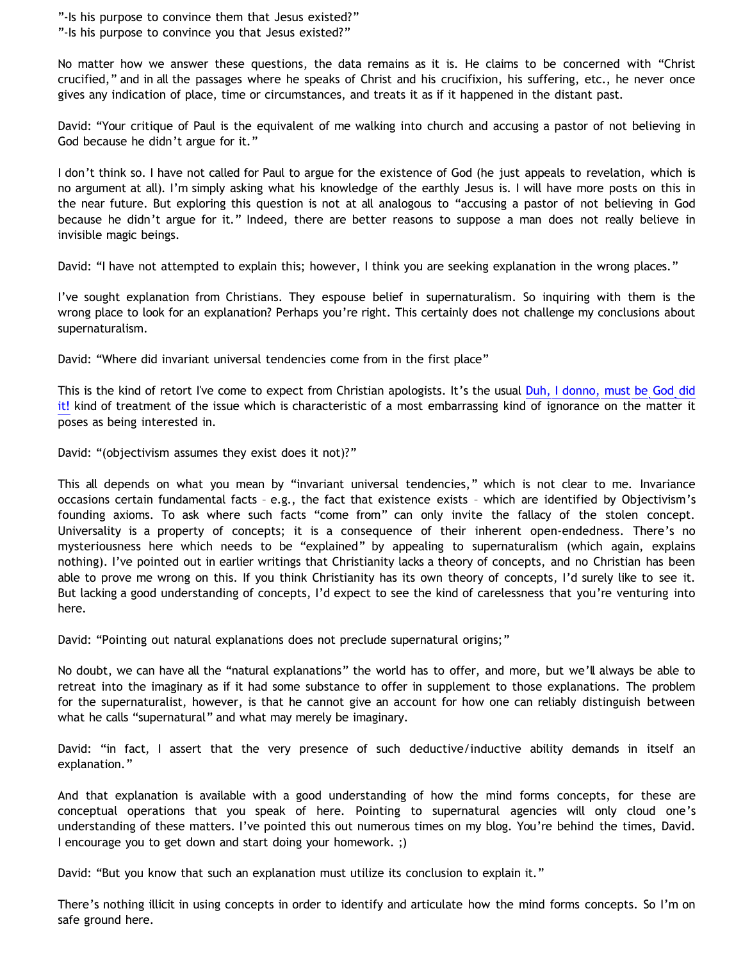"-Is his purpose to convince them that Jesus existed?" "-Is his purpose to convince you that Jesus existed?"

No matter how we answer these questions, the data remains as it is. He claims to be concerned with "Christ crucified," and in all the passages where he speaks of Christ and his crucifixion, his suffering, etc., he never once gives any indication of place, time or circumstances, and treats it as if it happened in the distant past.

David: "Your critique of Paul is the equivalent of me walking into church and accusing a pastor of not believing in God because he didn't argue for it."

I don't think so. I have not called for Paul to argue for the existence of God (he just appeals to revelation, which is no argument at all). I'm simply asking what his knowledge of the earthly Jesus is. I will have more posts on this in the near future. But exploring this question is not at all analogous to "accusing a pastor of not believing in God because he didn't argue for it." Indeed, there are better reasons to suppose a man does not really believe in invisible magic beings.

David: "I have not attempted to explain this; however, I think you are seeking explanation in the wrong places."

I've sought explanation from Christians. They espouse belief in supernaturalism. So inquiring with them is the wrong place to look for an explanation? Perhaps you're right. This certainly does not challenge my conclusions about supernaturalism.

David: "Where did invariant universal tendencies come from in the first place"

This is the kind of retort I've come to expect from Christian apologists. It's the usual [Duh, I donno, must be God did](http://www.geocities.com/katholon/duh15.wav) [it!](http://www.geocities.com/katholon/duh15.wav) kind of treatment of the issue which is characteristic of a most embarrassing kind of ignorance on the matter it poses as being interested in.

David: "(objectivism assumes they exist does it not)?"

This all depends on what you mean by "invariant universal tendencies," which is not clear to me. Invariance occasions certain fundamental facts – e.g., the fact that existence exists – which are identified by Objectivism's founding axioms. To ask where such facts "come from" can only invite the fallacy of the stolen concept. Universality is a property of concepts; it is a consequence of their inherent open-endedness. There's no mysteriousness here which needs to be "explained" by appealing to supernaturalism (which again, explains nothing). I've pointed out in earlier writings that Christianity lacks a theory of concepts, and no Christian has been able to prove me wrong on this. If you think Christianity has its own theory of concepts, I'd surely like to see it. But lacking a good understanding of concepts, I'd expect to see the kind of carelessness that you're venturing into here.

David: "Pointing out natural explanations does not preclude supernatural origins;"

No doubt, we can have all the "natural explanations" the world has to offer, and more, but we'll always be able to retreat into the imaginary as if it had some substance to offer in supplement to those explanations. The problem for the supernaturalist, however, is that he cannot give an account for how one can reliably distinguish between what he calls "supernatural" and what may merely be imaginary.

David: "in fact, I assert that the very presence of such deductive/inductive ability demands in itself an explanation."

And that explanation is available with a good understanding of how the mind forms concepts, for these are conceptual operations that you speak of here. Pointing to supernatural agencies will only cloud one's understanding of these matters. I've pointed this out numerous times on my blog. You're behind the times, David. I encourage you to get down and start doing your homework. ;)

David: "But you know that such an explanation must utilize its conclusion to explain it."

There's nothing illicit in using concepts in order to identify and articulate how the mind forms concepts. So I'm on safe ground here.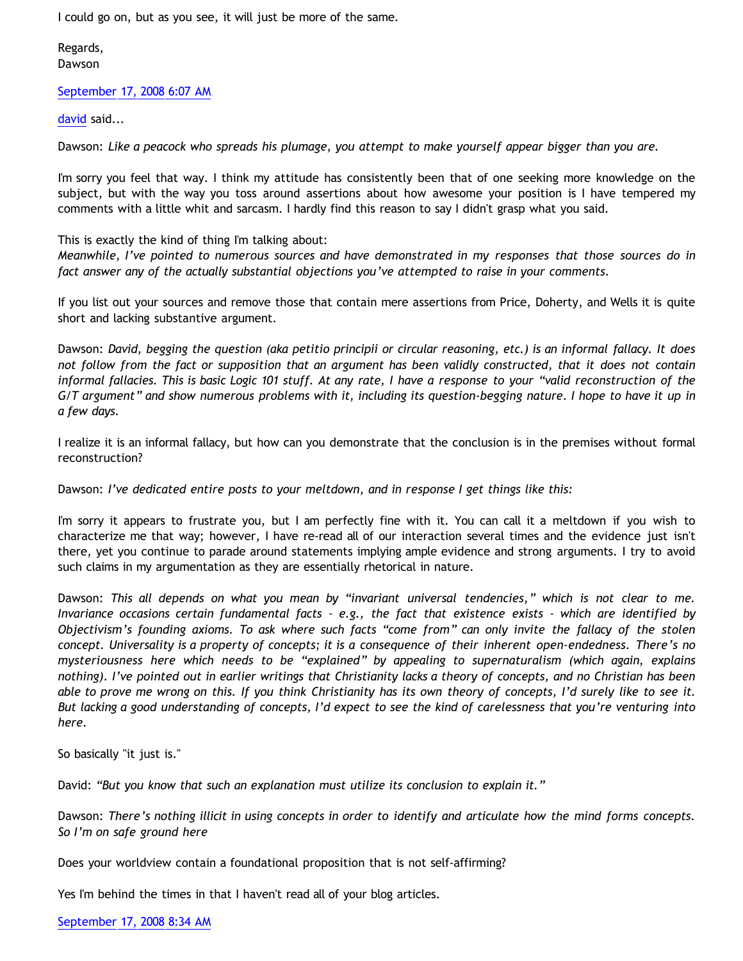I could go on, but as you see, it will just be more of the same.

Regards, Dawson

[September 17, 2008 6:07 AM](http://bahnsenburner.blogspot.com/2008/09/2940749889982726553)

[david](http://www.blogger.com/profile/08071763988772047093) said...

Dawson: *Like a peacock who spreads his plumage, you attempt to make yourself appear bigger than you are.*

I'm sorry you feel that way. I think my attitude has consistently been that of one seeking more knowledge on the subject, but with the way you toss around assertions about how awesome your position is I have tempered my comments with a little whit and sarcasm. I hardly find this reason to say I didn't grasp what you said.

This is exactly the kind of thing I'm talking about:

*Meanwhile, I've pointed to numerous sources and have demonstrated in my responses that those sources do in fact answer any of the actually substantial objections you've attempted to raise in your comments.*

If you list out your sources and remove those that contain mere assertions from Price, Doherty, and Wells it is quite short and lacking substantive argument.

Dawson: *David, begging the question (aka petitio principii or circular reasoning, etc.) is an informal fallacy. It does not follow from the fact or supposition that an argument has been validly constructed, that it does not contain informal fallacies. This is basic Logic 101 stuff. At any rate, I have a response to your "valid reconstruction of the G/T argument" and show numerous problems with it, including its question-begging nature. I hope to have it up in a few days.*

I realize it is an informal fallacy, but how can you demonstrate that the conclusion is in the premises without formal reconstruction?

Dawson: *I've dedicated entire posts to your meltdown, and in response I get things like this:*

I'm sorry it appears to frustrate you, but I am perfectly fine with it. You can call it a meltdown if you wish to characterize me that way; however, I have re-read all of our interaction several times and the evidence just isn't there, yet you continue to parade around statements implying ample evidence and strong arguments. I try to avoid such claims in my argumentation as they are essentially rhetorical in nature.

Dawson: *This all depends on what you mean by "invariant universal tendencies," which is not clear to me. Invariance occasions certain fundamental facts – e.g., the fact that existence exists – which are identified by Objectivism's founding axioms. To ask where such facts "come from" can only invite the fallacy of the stolen concept. Universality is a property of concepts; it is a consequence of their inherent open-endedness. There's no mysteriousness here which needs to be "explained" by appealing to supernaturalism (which again, explains nothing). I've pointed out in earlier writings that Christianity lacks a theory of concepts, and no Christian has been able to prove me wrong on this. If you think Christianity has its own theory of concepts, I'd surely like to see it. But lacking a good understanding of concepts, I'd expect to see the kind of carelessness that you're venturing into here.*

So basically "it just is."

David: *"But you know that such an explanation must utilize its conclusion to explain it."*

Dawson: *There's nothing illicit in using concepts in order to identify and articulate how the mind forms concepts. So I'm on safe ground here*

Does your worldview contain a foundational proposition that is not self-affirming?

Yes I'm behind the times in that I haven't read all of your blog articles.

[September 17, 2008 8:34 AM](http://bahnsenburner.blogspot.com/2008/09/8747593540753443800)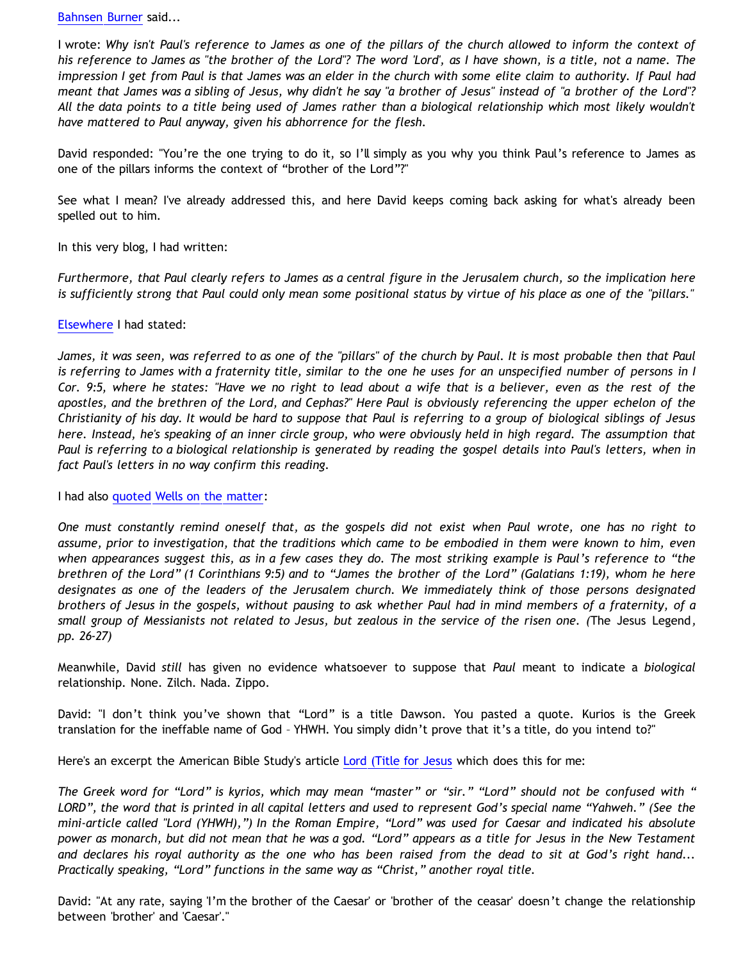[Bahnsen Burner](http://www.blogger.com/profile/11030029491768748360) said...

I wrote: *Why isn't Paul's reference to James as one of the pillars of the church allowed to inform the context of his reference to James as "the brother of the Lord"? The word 'Lord', as I have shown, is a title, not a name. The impression I get from Paul is that James was an elder in the church with some elite claim to authority. If Paul had meant that James was a sibling of Jesus, why didn't he say "a brother of Jesus" instead of "a brother of the Lord"? All the data points to a title being used of James rather than a biological relationship which most likely wouldn't have mattered to Paul anyway, given his abhorrence for the flesh.*

David responded: "You're the one trying to do it, so I'll simply as you why you think Paul's reference to James as one of the pillars informs the context of "brother of the Lord"?"

See what I mean? I've already addressed this, and here David keeps coming back asking for what's already been spelled out to him.

In this very blog, I had written:

*Furthermore, that Paul clearly refers to James as a central figure in the Jerusalem church, so the implication here is sufficiently strong that Paul could only mean some positional status by virtue of his place as one of the "pillars."*

[Elsewhere](http://bahnsenburner.blogspot.com/2008/08/another-response-to-david-part-5-pauls.html) I had stated:

*James, it was seen, was referred to as one of the "pillars" of the church by Paul. It is most probable then that Paul is referring to James with a fraternity title, similar to the one he uses for an unspecified number of persons in I Cor. 9:5, where he states: "Have we no right to lead about a wife that is a believer, even as the rest of the apostles, and the brethren of the Lord, and Cephas?" Here Paul is obviously referencing the upper echelon of the Christianity of his day. It would be hard to suppose that Paul is referring to a group of biological siblings of Jesus here. Instead, he's speaking of an inner circle group, who were obviously held in high regard. The assumption that Paul is referring to a biological relationship is generated by reading the gospel details into Paul's letters, when in fact Paul's letters in no way confirm this reading.*

I had also [quoted Wells on the matter](http://bahnsenburner.blogspot.com/2008/08/another-response-to-david-part-1-charge.html):

*One must constantly remind oneself that, as the gospels did not exist when Paul wrote, one has no right to assume, prior to investigation, that the traditions which came to be embodied in them were known to him, even when appearances suggest this, as in a few cases they do. The most striking example is Paul's reference to "the brethren of the Lord" (1 Corinthians 9:5) and to "James the brother of the Lord" (Galatians 1:19), whom he here designates as one of the leaders of the Jerusalem church. We immediately think of those persons designated brothers of Jesus in the gospels, without pausing to ask whether Paul had in mind members of a fraternity, of a small group of Messianists not related to Jesus, but zealous in the service of the risen one. (*The Jesus Legend*, pp. 26-27)*

Meanwhile, David *still* has given no evidence whatsoever to suppose that *Paul* meant to indicate a *biological* relationship. None. Zilch. Nada. Zippo.

David: "I don't think you've shown that "Lord" is a title Dawson. You pasted a quote. Kurios is the Greek translation for the ineffable name of God – YHWH. You simply didn't prove that it's a title, do you intend to?"

Here's an excerpt the American Bible Study's article [Lord \(Title for Jesus](http://www.americanbible.org/brcpages/LordTitleforJesus) which does this for me:

*The Greek word for "Lord" is kyrios, which may mean "master" or "sir." "Lord" should not be confused with " LORD", the word that is printed in all capital letters and used to represent God's special name "Yahweh." (See the mini-article called "Lord (YHWH),") In the Roman Empire, "Lord" was used for Caesar and indicated his absolute power as monarch, but did not mean that he was a god. "Lord" appears as a title for Jesus in the New Testament and declares his royal authority as the one who has been raised from the dead to sit at God's right hand... Practically speaking, "Lord" functions in the same way as "Christ," another royal title.*

David: "At any rate, saying 'I'm the brother of the Caesar' or 'brother of the ceasar' doesn't change the relationship between 'brother' and 'Caesar'."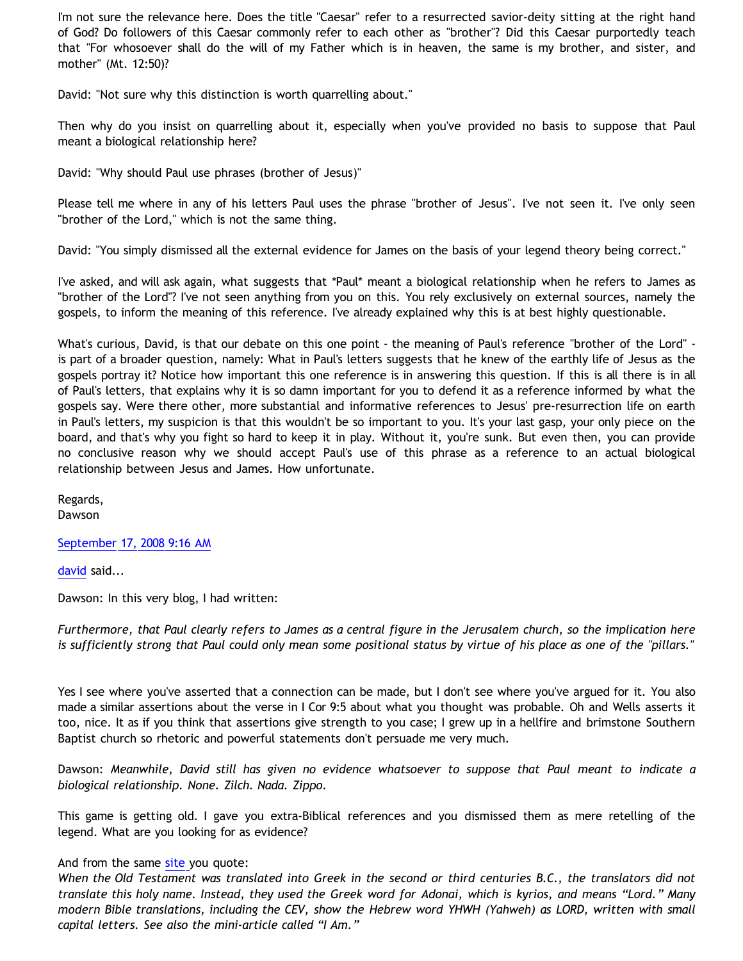I'm not sure the relevance here. Does the title "Caesar" refer to a resurrected savior-deity sitting at the right hand of God? Do followers of this Caesar commonly refer to each other as "brother"? Did this Caesar purportedly teach that "For whosoever shall do the will of my Father which is in heaven, the same is my brother, and sister, and mother" (Mt. 12:50)?

David: "Not sure why this distinction is worth quarrelling about."

Then why do you insist on quarrelling about it, especially when you've provided no basis to suppose that Paul meant a biological relationship here?

David: "Why should Paul use phrases (brother of Jesus)"

Please tell me where in any of his letters Paul uses the phrase "brother of Jesus". I've not seen it. I've only seen "brother of the Lord," which is not the same thing.

David: "You simply dismissed all the external evidence for James on the basis of your legend theory being correct."

I've asked, and will ask again, what suggests that \*Paul\* meant a biological relationship when he refers to James as "brother of the Lord"? I've not seen anything from you on this. You rely exclusively on external sources, namely the gospels, to inform the meaning of this reference. I've already explained why this is at best highly questionable.

What's curious, David, is that our debate on this one point - the meaning of Paul's reference "brother of the Lord" is part of a broader question, namely: What in Paul's letters suggests that he knew of the earthly life of Jesus as the gospels portray it? Notice how important this one reference is in answering this question. If this is all there is in all of Paul's letters, that explains why it is so damn important for you to defend it as a reference informed by what the gospels say. Were there other, more substantial and informative references to Jesus' pre-resurrection life on earth in Paul's letters, my suspicion is that this wouldn't be so important to you. It's your last gasp, your only piece on the board, and that's why you fight so hard to keep it in play. Without it, you're sunk. But even then, you can provide no conclusive reason why we should accept Paul's use of this phrase as a reference to an actual biological relationship between Jesus and James. How unfortunate.

Regards, Dawson

[September 17, 2008 9:16 AM](http://bahnsenburner.blogspot.com/2008/09/7991568816128231338)

[david](http://www.blogger.com/profile/08071763988772047093) said...

Dawson: In this very blog, I had written:

*Furthermore, that Paul clearly refers to James as a central figure in the Jerusalem church, so the implication here is sufficiently strong that Paul could only mean some positional status by virtue of his place as one of the "pillars."*

Yes I see where you've asserted that a connection can be made, but I don't see where you've argued for it. You also made a similar assertions about the verse in I Cor 9:5 about what you thought was probable. Oh and Wells asserts it too, nice. It as if you think that assertions give strength to you case; I grew up in a hellfire and brimstone Southern Baptist church so rhetoric and powerful statements don't persuade me very much.

Dawson: *Meanwhile, David still has given no evidence whatsoever to suppose that Paul meant to indicate a biological relationship. None. Zilch. Nada. Zippo.*

This game is getting old. I gave you extra-Biblical references and you dismissed them as mere retelling of the legend. What are you looking for as evidence?

# And from the same [site](http://www.americanbible.org/brcpages/LordYHWH) you quote:

*When the Old Testament was translated into Greek in the second or third centuries B.C., the translators did not translate this holy name. Instead, they used the Greek word for Adonai, which is kyrios, and means "Lord." Many modern Bible translations, including the CEV, show the Hebrew word YHWH (Yahweh) as LORD, written with small capital letters. See also the mini-article called "I Am."*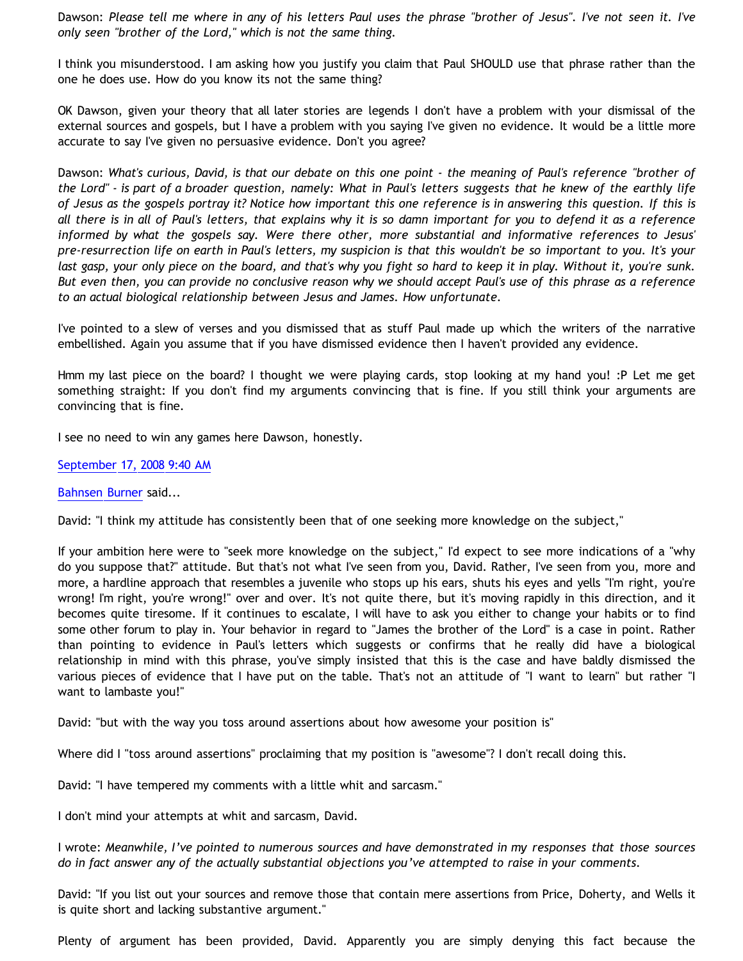Dawson: *Please tell me where in any of his letters Paul uses the phrase "brother of Jesus". I've not seen it. I've only seen "brother of the Lord," which is not the same thing.*

I think you misunderstood. I am asking how you justify you claim that Paul SHOULD use that phrase rather than the one he does use. How do you know its not the same thing?

OK Dawson, given your theory that all later stories are legends I don't have a problem with your dismissal of the external sources and gospels, but I have a problem with you saying I've given no evidence. It would be a little more accurate to say I've given no persuasive evidence. Don't you agree?

Dawson: *What's curious, David, is that our debate on this one point - the meaning of Paul's reference "brother of the Lord" - is part of a broader question, namely: What in Paul's letters suggests that he knew of the earthly life of Jesus as the gospels portray it? Notice how important this one reference is in answering this question. If this is all there is in all of Paul's letters, that explains why it is so damn important for you to defend it as a reference informed by what the gospels say. Were there other, more substantial and informative references to Jesus' pre-resurrection life on earth in Paul's letters, my suspicion is that this wouldn't be so important to you. It's your last gasp, your only piece on the board, and that's why you fight so hard to keep it in play. Without it, you're sunk. But even then, you can provide no conclusive reason why we should accept Paul's use of this phrase as a reference to an actual biological relationship between Jesus and James. How unfortunate.*

I've pointed to a slew of verses and you dismissed that as stuff Paul made up which the writers of the narrative embellished. Again you assume that if you have dismissed evidence then I haven't provided any evidence.

Hmm my last piece on the board? I thought we were playing cards, stop looking at my hand you! :P Let me get something straight: If you don't find my arguments convincing that is fine. If you still think your arguments are convincing that is fine.

I see no need to win any games here Dawson, honestly.

[September 17, 2008 9:40 AM](http://bahnsenburner.blogspot.com/2008/09/5749595364821936354)

[Bahnsen Burner](http://www.blogger.com/profile/11030029491768748360) said...

David: "I think my attitude has consistently been that of one seeking more knowledge on the subject,"

If your ambition here were to "seek more knowledge on the subject," I'd expect to see more indications of a "why do you suppose that?" attitude. But that's not what I've seen from you, David. Rather, I've seen from you, more and more, a hardline approach that resembles a juvenile who stops up his ears, shuts his eyes and yells "I'm right, you're wrong! I'm right, you're wrong!" over and over. It's not quite there, but it's moving rapidly in this direction, and it becomes quite tiresome. If it continues to escalate, I will have to ask you either to change your habits or to find some other forum to play in. Your behavior in regard to "James the brother of the Lord" is a case in point. Rather than pointing to evidence in Paul's letters which suggests or confirms that he really did have a biological relationship in mind with this phrase, you've simply insisted that this is the case and have baldly dismissed the various pieces of evidence that I have put on the table. That's not an attitude of "I want to learn" but rather "I want to lambaste you!"

David: "but with the way you toss around assertions about how awesome your position is"

Where did I "toss around assertions" proclaiming that my position is "awesome"? I don't recall doing this.

David: "I have tempered my comments with a little whit and sarcasm."

I don't mind your attempts at whit and sarcasm, David.

I wrote: *Meanwhile, I've pointed to numerous sources and have demonstrated in my responses that those sources do in fact answer any of the actually substantial objections you've attempted to raise in your comments.*

David: "If you list out your sources and remove those that contain mere assertions from Price, Doherty, and Wells it is quite short and lacking substantive argument."

Plenty of argument has been provided, David. Apparently you are simply denying this fact because the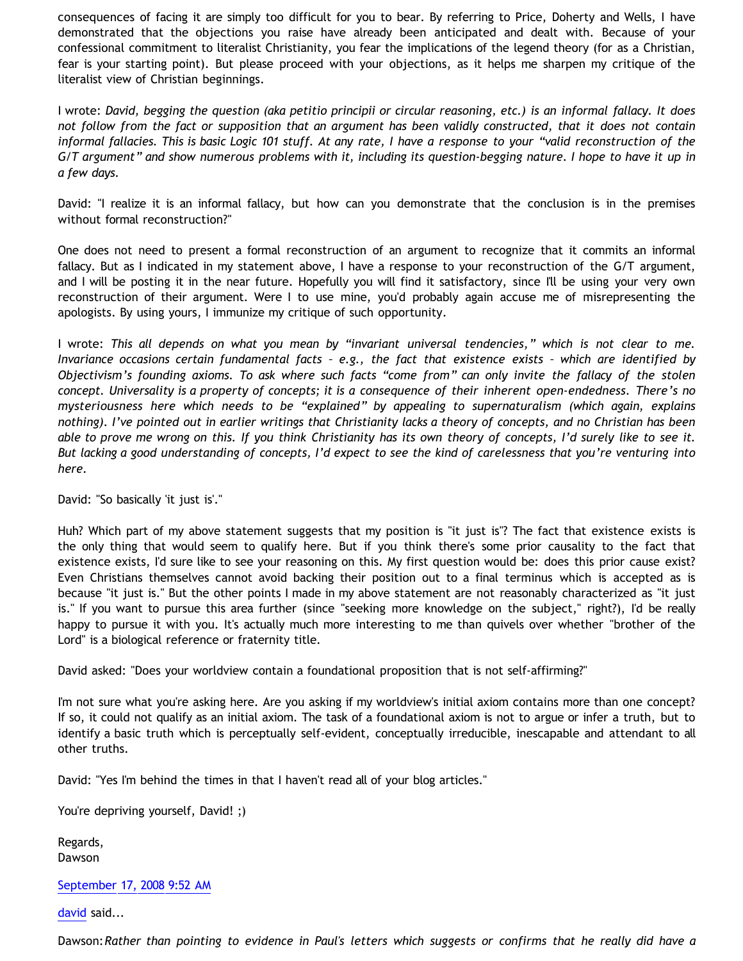consequences of facing it are simply too difficult for you to bear. By referring to Price, Doherty and Wells, I have demonstrated that the objections you raise have already been anticipated and dealt with. Because of your confessional commitment to literalist Christianity, you fear the implications of the legend theory (for as a Christian, fear is your starting point). But please proceed with your objections, as it helps me sharpen my critique of the literalist view of Christian beginnings.

I wrote: *David, begging the question (aka petitio principii or circular reasoning, etc.) is an informal fallacy. It does not follow from the fact or supposition that an argument has been validly constructed, that it does not contain informal fallacies. This is basic Logic 101 stuff. At any rate, I have a response to your "valid reconstruction of the G/T argument" and show numerous problems with it, including its question-begging nature. I hope to have it up in a few days.*

David: "I realize it is an informal fallacy, but how can you demonstrate that the conclusion is in the premises without formal reconstruction?"

One does not need to present a formal reconstruction of an argument to recognize that it commits an informal fallacy. But as I indicated in my statement above, I have a response to your reconstruction of the G/T argument, and I will be posting it in the near future. Hopefully you will find it satisfactory, since I'll be using your very own reconstruction of their argument. Were I to use mine, you'd probably again accuse me of misrepresenting the apologists. By using yours, I immunize my critique of such opportunity.

I wrote: *This all depends on what you mean by "invariant universal tendencies," which is not clear to me. Invariance occasions certain fundamental facts – e.g., the fact that existence exists – which are identified by Objectivism's founding axioms. To ask where such facts "come from" can only invite the fallacy of the stolen concept. Universality is a property of concepts; it is a consequence of their inherent open-endedness. There's no mysteriousness here which needs to be "explained" by appealing to supernaturalism (which again, explains nothing). I've pointed out in earlier writings that Christianity lacks a theory of concepts, and no Christian has been able to prove me wrong on this. If you think Christianity has its own theory of concepts, I'd surely like to see it. But lacking a good understanding of concepts, I'd expect to see the kind of carelessness that you're venturing into here.*

David: "So basically 'it just is'."

Huh? Which part of my above statement suggests that my position is "it just is"? The fact that existence exists is the only thing that would seem to qualify here. But if you think there's some prior causality to the fact that existence exists, I'd sure like to see your reasoning on this. My first question would be: does this prior cause exist? Even Christians themselves cannot avoid backing their position out to a final terminus which is accepted as is because "it just is." But the other points I made in my above statement are not reasonably characterized as "it just is." If you want to pursue this area further (since "seeking more knowledge on the subject," right?), I'd be really happy to pursue it with you. It's actually much more interesting to me than quivels over whether "brother of the Lord" is a biological reference or fraternity title.

David asked: "Does your worldview contain a foundational proposition that is not self-affirming?"

I'm not sure what you're asking here. Are you asking if my worldview's initial axiom contains more than one concept? If so, it could not qualify as an initial axiom. The task of a foundational axiom is not to argue or infer a truth, but to identify a basic truth which is perceptually self-evident, conceptually irreducible, inescapable and attendant to all other truths.

David: "Yes I'm behind the times in that I haven't read all of your blog articles."

You're depriving yourself, David!;)

Regards, Dawson

### [September 17, 2008 9:52 AM](http://bahnsenburner.blogspot.com/2008/09/4417978413155535696)

[david](http://www.blogger.com/profile/08071763988772047093) said...

Dawson:*Rather than pointing to evidence in Paul's letters which suggests or confirms that he really did have a*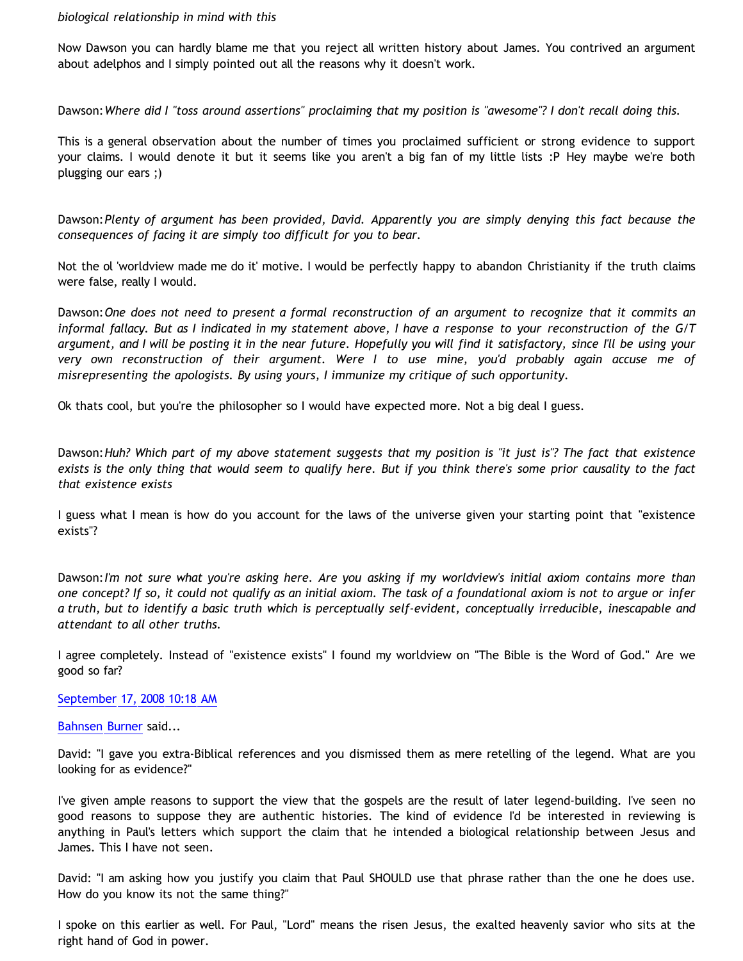#### *biological relationship in mind with this*

Now Dawson you can hardly blame me that you reject all written history about James. You contrived an argument about adelphos and I simply pointed out all the reasons why it doesn't work.

Dawson:*Where did I "toss around assertions" proclaiming that my position is "awesome"? I don't recall doing this.*

This is a general observation about the number of times you proclaimed sufficient or strong evidence to support your claims. I would denote it but it seems like you aren't a big fan of my little lists :P Hey maybe we're both plugging our ears ;)

Dawson:*Plenty of argument has been provided, David. Apparently you are simply denying this fact because the consequences of facing it are simply too difficult for you to bear.*

Not the ol 'worldview made me do it' motive. I would be perfectly happy to abandon Christianity if the truth claims were false, really I would.

Dawson:*One does not need to present a formal reconstruction of an argument to recognize that it commits an informal fallacy. But as I indicated in my statement above, I have a response to your reconstruction of the G/T argument, and I will be posting it in the near future. Hopefully you will find it satisfactory, since I'll be using your very own reconstruction of their argument. Were I to use mine, you'd probably again accuse me of misrepresenting the apologists. By using yours, I immunize my critique of such opportunity.*

Ok thats cool, but you're the philosopher so I would have expected more. Not a big deal I guess.

Dawson:*Huh? Which part of my above statement suggests that my position is "it just is"? The fact that existence exists is the only thing that would seem to qualify here. But if you think there's some prior causality to the fact that existence exists*

I guess what I mean is how do you account for the laws of the universe given your starting point that "existence exists"?

Dawson:*I'm not sure what you're asking here. Are you asking if my worldview's initial axiom contains more than one concept? If so, it could not qualify as an initial axiom. The task of a foundational axiom is not to argue or infer a truth, but to identify a basic truth which is perceptually self-evident, conceptually irreducible, inescapable and attendant to all other truths.*

I agree completely. Instead of "existence exists" I found my worldview on "The Bible is the Word of God." Are we good so far?

[September 17, 2008 10:18 AM](http://bahnsenburner.blogspot.com/2008/09/8794226815266016266)

[Bahnsen Burner](http://www.blogger.com/profile/11030029491768748360) said...

David: "I gave you extra-Biblical references and you dismissed them as mere retelling of the legend. What are you looking for as evidence?"

I've given ample reasons to support the view that the gospels are the result of later legend-building. I've seen no good reasons to suppose they are authentic histories. The kind of evidence I'd be interested in reviewing is anything in Paul's letters which support the claim that he intended a biological relationship between Jesus and James. This I have not seen.

David: "I am asking how you justify you claim that Paul SHOULD use that phrase rather than the one he does use. How do you know its not the same thing?"

I spoke on this earlier as well. For Paul, "Lord" means the risen Jesus, the exalted heavenly savior who sits at the right hand of God in power.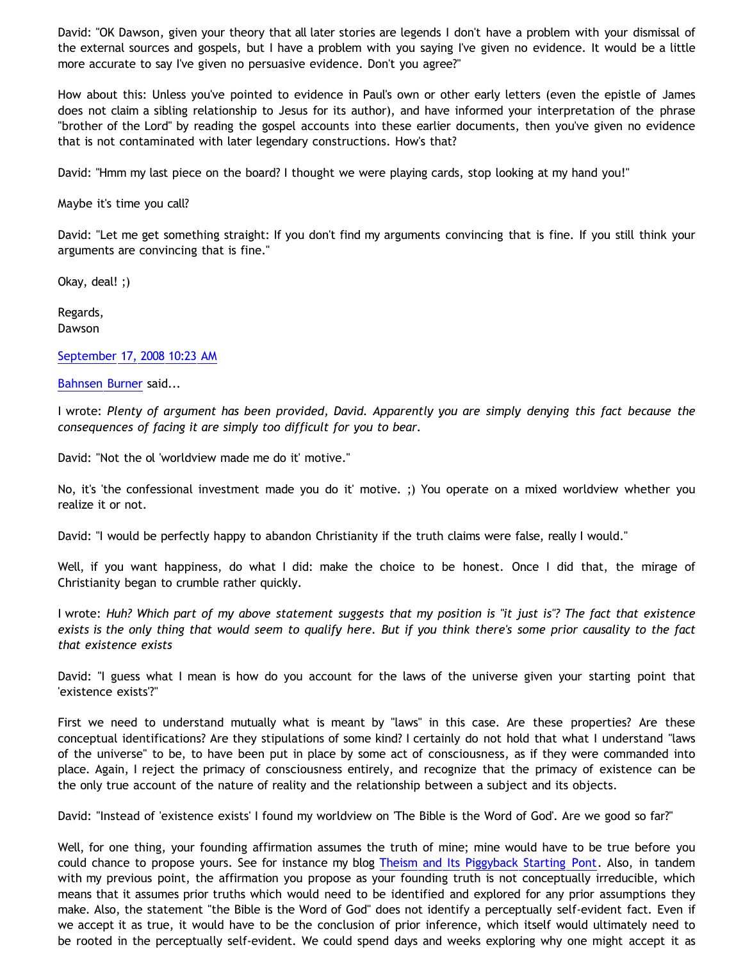David: "OK Dawson, given your theory that all later stories are legends I don't have a problem with your dismissal of the external sources and gospels, but I have a problem with you saying I've given no evidence. It would be a little more accurate to say I've given no persuasive evidence. Don't you agree?"

How about this: Unless you've pointed to evidence in Paul's own or other early letters (even the epistle of James does not claim a sibling relationship to Jesus for its author), and have informed your interpretation of the phrase "brother of the Lord" by reading the gospel accounts into these earlier documents, then you've given no evidence that is not contaminated with later legendary constructions. How's that?

David: "Hmm my last piece on the board? I thought we were playing cards, stop looking at my hand you!"

Maybe it's time you call?

David: "Let me get something straight: If you don't find my arguments convincing that is fine. If you still think your arguments are convincing that is fine."

Okay, deal! ;)

Regards, Dawson

[September 17, 2008 10:23 AM](http://bahnsenburner.blogspot.com/2008/09/7261138275821108196)

[Bahnsen Burner](http://www.blogger.com/profile/11030029491768748360) said...

I wrote: *Plenty of argument has been provided, David. Apparently you are simply denying this fact because the consequences of facing it are simply too difficult for you to bear.*

David: "Not the ol 'worldview made me do it' motive."

No, it's 'the confessional investment made you do it' motive. ;) You operate on a mixed worldview whether you realize it or not.

David: "I would be perfectly happy to abandon Christianity if the truth claims were false, really I would."

Well, if you want happiness, do what I did: make the choice to be honest. Once I did that, the mirage of Christianity began to crumble rather quickly.

I wrote: *Huh? Which part of my above statement suggests that my position is "it just is"? The fact that existence exists is the only thing that would seem to qualify here. But if you think there's some prior causality to the fact that existence exists*

David: "I guess what I mean is how do you account for the laws of the universe given your starting point that 'existence exists'?"

First we need to understand mutually what is meant by "laws" in this case. Are these properties? Are these conceptual identifications? Are they stipulations of some kind? I certainly do not hold that what I understand "laws of the universe" to be, to have been put in place by some act of consciousness, as if they were commanded into place. Again, I reject the primacy of consciousness entirely, and recognize that the primacy of existence can be the only true account of the nature of reality and the relationship between a subject and its objects.

David: "Instead of 'existence exists' I found my worldview on 'The Bible is the Word of God'. Are we good so far?"

Well, for one thing, your founding affirmation assumes the truth of mine; mine would have to be true before you could chance to propose yours. See for instance my blog [Theism and Its Piggyback Starting Pont.](http://bahnsenburner.blogspot.com/2006/07/theism-and-its-piggyback-starting.html) Also, in tandem with my previous point, the affirmation you propose as your founding truth is not conceptually irreducible, which means that it assumes prior truths which would need to be identified and explored for any prior assumptions they make. Also, the statement "the Bible is the Word of God" does not identify a perceptually self-evident fact. Even if we accept it as true, it would have to be the conclusion of prior inference, which itself would ultimately need to be rooted in the perceptually self-evident. We could spend days and weeks exploring why one might accept it as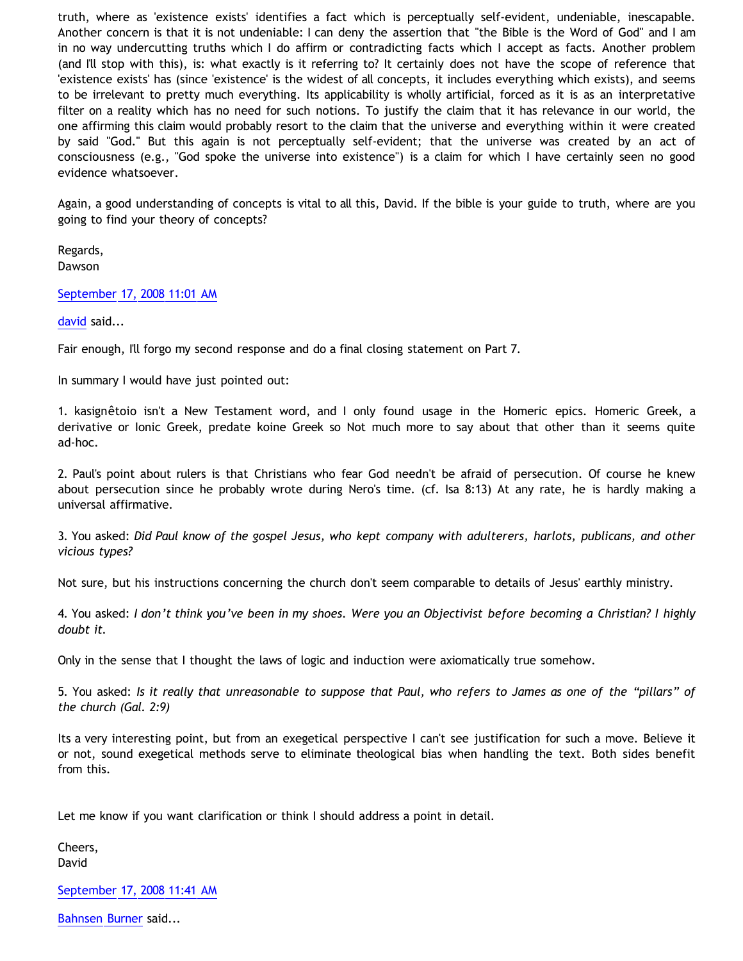truth, where as 'existence exists' identifies a fact which is perceptually self-evident, undeniable, inescapable. Another concern is that it is not undeniable: I can deny the assertion that "the Bible is the Word of God" and I am in no way undercutting truths which I do affirm or contradicting facts which I accept as facts. Another problem (and I'll stop with this), is: what exactly is it referring to? It certainly does not have the scope of reference that 'existence exists' has (since 'existence' is the widest of all concepts, it includes everything which exists), and seems to be irrelevant to pretty much everything. Its applicability is wholly artificial, forced as it is as an interpretative filter on a reality which has no need for such notions. To justify the claim that it has relevance in our world, the one affirming this claim would probably resort to the claim that the universe and everything within it were created by said "God." But this again is not perceptually self-evident; that the universe was created by an act of consciousness (e.g., "God spoke the universe into existence") is a claim for which I have certainly seen no good evidence whatsoever.

Again, a good understanding of concepts is vital to all this, David. If the bible is your guide to truth, where are you going to find your theory of concepts?

Regards, Dawson

[September 17, 2008 11:01 AM](http://bahnsenburner.blogspot.com/2008/09/8520638487165479626)

[david](http://www.blogger.com/profile/08071763988772047093) said...

Fair enough, I'll forgo my second response and do a final closing statement on Part 7.

In summary I would have just pointed out:

1. kasignêtoio isn't a New Testament word, and I only found usage in the Homeric epics. Homeric Greek, a derivative or Ionic Greek, predate koine Greek so Not much more to say about that other than it seems quite ad-hoc.

2. Paul's point about rulers is that Christians who fear God needn't be afraid of persecution. Of course he knew about persecution since he probably wrote during Nero's time. (cf. Isa 8:13) At any rate, he is hardly making a universal affirmative.

3. You asked: *Did Paul know of the gospel Jesus, who kept company with adulterers, harlots, publicans, and other vicious types?*

Not sure, but his instructions concerning the church don't seem comparable to details of Jesus' earthly ministry.

4. You asked: *I don't think you've been in my shoes. Were you an Objectivist before becoming a Christian? I highly doubt it.*

Only in the sense that I thought the laws of logic and induction were axiomatically true somehow.

5. You asked: *Is it really that unreasonable to suppose that Paul, who refers to James as one of the "pillars" of the church (Gal. 2:9)*

Its a very interesting point, but from an exegetical perspective I can't see justification for such a move. Believe it or not, sound exegetical methods serve to eliminate theological bias when handling the text. Both sides benefit from this.

Let me know if you want clarification or think I should address a point in detail.

Cheers, David

[September 17, 2008 11:41 AM](http://bahnsenburner.blogspot.com/2008/09/8916630786268542608)

[Bahnsen Burner](http://www.blogger.com/profile/11030029491768748360) said...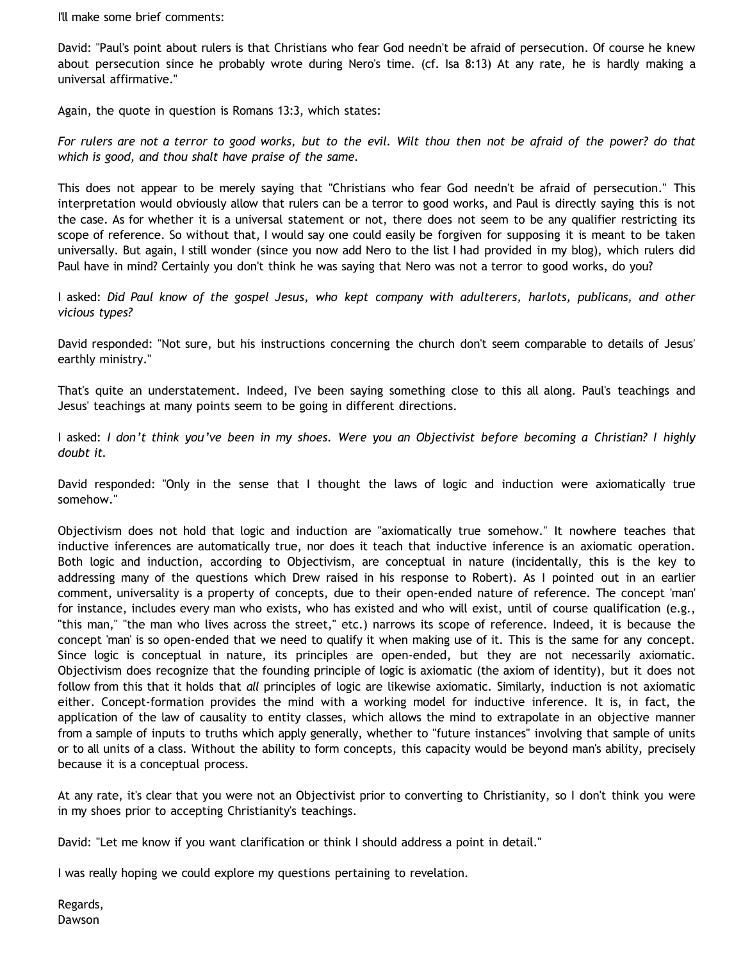I'll make some brief comments:

David: "Paul's point about rulers is that Christians who fear God needn't be afraid of persecution. Of course he knew about persecution since he probably wrote during Nero's time. (cf. Isa 8:13) At any rate, he is hardly making a universal affirmative."

Again, the quote in question is Romans 13:3, which states:

*For rulers are not a terror to good works, but to the evil. Wilt thou then not be afraid of the power? do that which is good, and thou shalt have praise of the same.*

This does not appear to be merely saying that "Christians who fear God needn't be afraid of persecution." This interpretation would obviously allow that rulers can be a terror to good works, and Paul is directly saying this is not the case. As for whether it is a universal statement or not, there does not seem to be any qualifier restricting its scope of reference. So without that, I would say one could easily be forgiven for supposing it is meant to be taken universally. But again, I still wonder (since you now add Nero to the list I had provided in my blog), which rulers did Paul have in mind? Certainly you don't think he was saying that Nero was not a terror to good works, do you?

I asked: *Did Paul know of the gospel Jesus, who kept company with adulterers, harlots, publicans, and other vicious types?*

David responded: "Not sure, but his instructions concerning the church don't seem comparable to details of Jesus' earthly ministry."

That's quite an understatement. Indeed, I've been saying something close to this all along. Paul's teachings and Jesus' teachings at many points seem to be going in different directions.

I asked: *I don't think you've been in my shoes. Were you an Objectivist before becoming a Christian? I highly doubt it.*

David responded: "Only in the sense that I thought the laws of logic and induction were axiomatically true somehow."

Objectivism does not hold that logic and induction are "axiomatically true somehow." It nowhere teaches that inductive inferences are automatically true, nor does it teach that inductive inference is an axiomatic operation. Both logic and induction, according to Objectivism, are conceptual in nature (incidentally, this is the key to addressing many of the questions which Drew raised in his response to Robert). As I pointed out in an earlier comment, universality is a property of concepts, due to their open-ended nature of reference. The concept 'man' for instance, includes every man who exists, who has existed and who will exist, until of course qualification (e.g., "this man," "the man who lives across the street," etc.) narrows its scope of reference. Indeed, it is because the concept 'man' is so open-ended that we need to qualify it when making use of it. This is the same for any concept. Since logic is conceptual in nature, its principles are open-ended, but they are not necessarily axiomatic. Objectivism does recognize that the founding principle of logic is axiomatic (the axiom of identity), but it does not follow from this that it holds that *all* principles of logic are likewise axiomatic. Similarly, induction is not axiomatic either. Concept-formation provides the mind with a working model for inductive inference. It is, in fact, the application of the law of causality to entity classes, which allows the mind to extrapolate in an objective manner from a sample of inputs to truths which apply generally, whether to "future instances" involving that sample of units or to all units of a class. Without the ability to form concepts, this capacity would be beyond man's ability, precisely because it is a conceptual process.

At any rate, it's clear that you were not an Objectivist prior to converting to Christianity, so I don't think you were in my shoes prior to accepting Christianity's teachings.

David: "Let me know if you want clarification or think I should address a point in detail."

I was really hoping we could explore my questions pertaining to revelation.

Regards, Dawson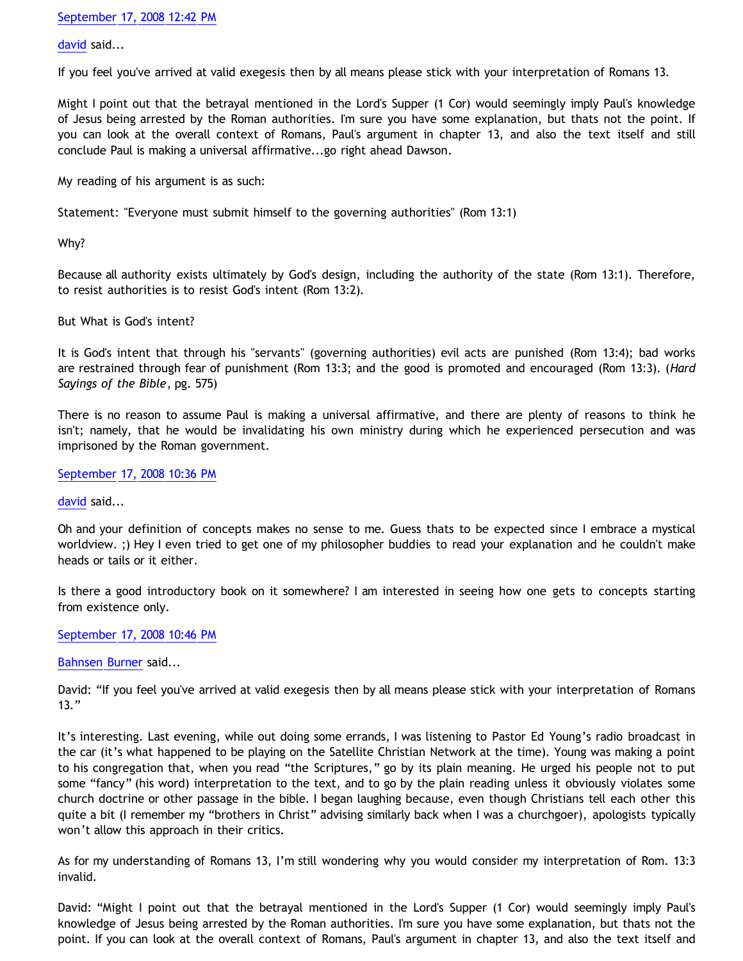[david](http://www.blogger.com/profile/08071763988772047093) said...

If you feel you've arrived at valid exegesis then by all means please stick with your interpretation of Romans 13.

Might I point out that the betrayal mentioned in the Lord's Supper (1 Cor) would seemingly imply Paul's knowledge of Jesus being arrested by the Roman authorities. I'm sure you have some explanation, but thats not the point. If you can look at the overall context of Romans, Paul's argument in chapter 13, and also the text itself and still conclude Paul is making a universal affirmative...go right ahead Dawson.

My reading of his argument is as such:

Statement: "Everyone must submit himself to the governing authorities" (Rom 13:1)

Why?

Because all authority exists ultimately by God's design, including the authority of the state (Rom 13:1). Therefore, to resist authorities is to resist God's intent (Rom 13:2).

But What is God's intent?

It is God's intent that through his "servants" (governing authorities) evil acts are punished (Rom 13:4); bad works are restrained through fear of punishment (Rom 13:3; and the good is promoted and encouraged (Rom 13:3). (*Hard Sayings of the Bible*, pg. 575)

There is no reason to assume Paul is making a universal affirmative, and there are plenty of reasons to think he isn't; namely, that he would be invalidating his own ministry during which he experienced persecution and was imprisoned by the Roman government.

[September 17, 2008 10:36 PM](http://bahnsenburner.blogspot.com/2008/09/2031128018653706358)

[david](http://www.blogger.com/profile/08071763988772047093) said...

Oh and your definition of concepts makes no sense to me. Guess thats to be expected since I embrace a mystical worldview. ;) Hey I even tried to get one of my philosopher buddies to read your explanation and he couldn't make heads or tails or it either.

Is there a good introductory book on it somewhere? I am interested in seeing how one gets to concepts starting from existence only.

[September 17, 2008 10:46 PM](http://bahnsenburner.blogspot.com/2008/09/7906849144965096618)

[Bahnsen Burner](http://www.blogger.com/profile/11030029491768748360) said...

David: "If you feel you've arrived at valid exegesis then by all means please stick with your interpretation of Romans 13."

It's interesting. Last evening, while out doing some errands, I was listening to Pastor Ed Young's radio broadcast in the car (it's what happened to be playing on the Satellite Christian Network at the time). Young was making a point to his congregation that, when you read "the Scriptures," go by its plain meaning. He urged his people not to put some "fancy" (his word) interpretation to the text, and to go by the plain reading unless it obviously violates some church doctrine or other passage in the bible. I began laughing because, even though Christians tell each other this quite a bit (I remember my "brothers in Christ" advising similarly back when I was a churchgoer), apologists typically won't allow this approach in their critics.

As for my understanding of Romans 13, I'm still wondering why you would consider my interpretation of Rom. 13:3 invalid.

David: "Might I point out that the betrayal mentioned in the Lord's Supper (1 Cor) would seemingly imply Paul's knowledge of Jesus being arrested by the Roman authorities. I'm sure you have some explanation, but thats not the point. If you can look at the overall context of Romans, Paul's argument in chapter 13, and also the text itself and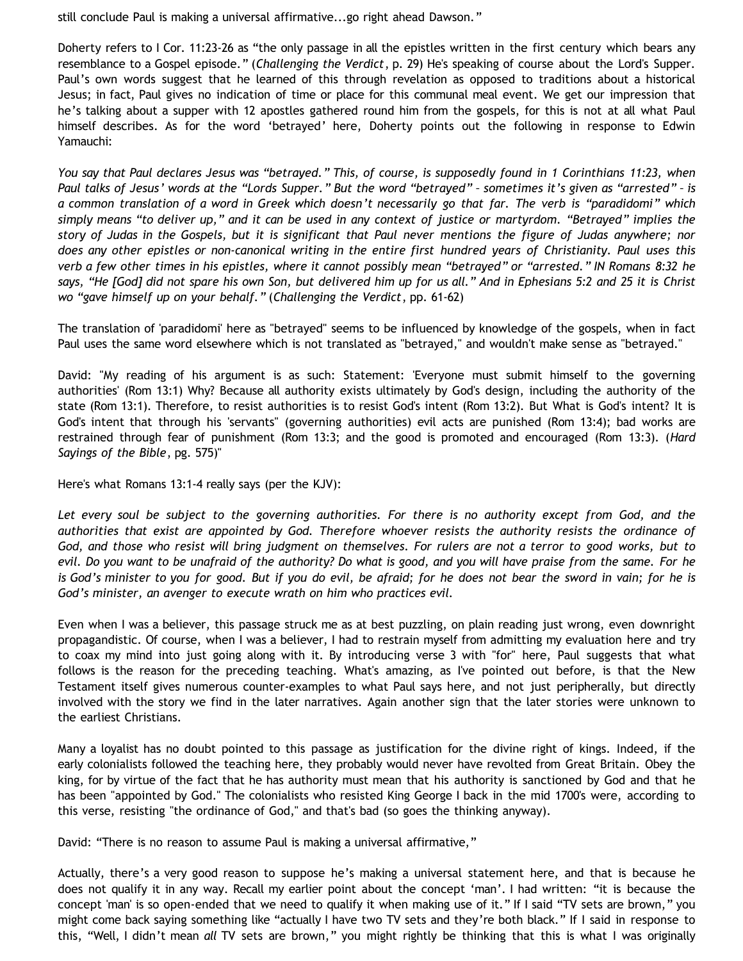still conclude Paul is making a universal affirmative...go right ahead Dawson."

Doherty refers to I Cor. 11:23-26 as "the only passage in all the epistles written in the first century which bears any resemblance to a Gospel episode." (*Challenging the Verdict*, p. 29) He's speaking of course about the Lord's Supper. Paul's own words suggest that he learned of this through revelation as opposed to traditions about a historical Jesus; in fact, Paul gives no indication of time or place for this communal meal event. We get our impression that he's talking about a supper with 12 apostles gathered round him from the gospels, for this is not at all what Paul himself describes. As for the word 'betrayed' here, Doherty points out the following in response to Edwin Yamauchi:

*You say that Paul declares Jesus was "betrayed." This, of course, is supposedly found in 1 Corinthians 11:23, when Paul talks of Jesus' words at the "Lords Supper." But the word "betrayed" – sometimes it's given as "arrested" – is a common translation of a word in Greek which doesn't necessarily go that far. The verb is "paradidomi" which simply means "to deliver up," and it can be used in any context of justice or martyrdom. "Betrayed" implies the story of Judas in the Gospels, but it is significant that Paul never mentions the figure of Judas anywhere; nor does any other epistles or non-canonical writing in the entire first hundred years of Christianity. Paul uses this verb a few other times in his epistles, where it cannot possibly mean "betrayed" or "arrested." IN Romans 8:32 he says, "He [God] did not spare his own Son, but delivered him up for us all." And in Ephesians 5:2 and 25 it is Christ wo "gave himself up on your behalf."* (*Challenging the Verdict*, pp. 61-62)

The translation of 'paradidomi' here as "betrayed" seems to be influenced by knowledge of the gospels, when in fact Paul uses the same word elsewhere which is not translated as "betrayed," and wouldn't make sense as "betrayed."

David: "My reading of his argument is as such: Statement: 'Everyone must submit himself to the governing authorities' (Rom 13:1) Why? Because all authority exists ultimately by God's design, including the authority of the state (Rom 13:1). Therefore, to resist authorities is to resist God's intent (Rom 13:2). But What is God's intent? It is God's intent that through his 'servants" (governing authorities) evil acts are punished (Rom 13:4); bad works are restrained through fear of punishment (Rom 13:3; and the good is promoted and encouraged (Rom 13:3). (*Hard Sayings of the Bible*, pg. 575)"

Here's what Romans 13:1-4 really says (per the KJV):

*Let every soul be subject to the governing authorities. For there is no authority except from God, and the authorities that exist are appointed by God. Therefore whoever resists the authority resists the ordinance of God, and those who resist will bring judgment on themselves. For rulers are not a terror to good works, but to evil. Do you want to be unafraid of the authority? Do what is good, and you will have praise from the same. For he is God's minister to you for good. But if you do evil, be afraid; for he does not bear the sword in vain; for he is God's minister, an avenger to execute wrath on him who practices evil.*

Even when I was a believer, this passage struck me as at best puzzling, on plain reading just wrong, even downright propagandistic. Of course, when I was a believer, I had to restrain myself from admitting my evaluation here and try to coax my mind into just going along with it. By introducing verse 3 with "for" here, Paul suggests that what follows is the reason for the preceding teaching. What's amazing, as I've pointed out before, is that the New Testament itself gives numerous counter-examples to what Paul says here, and not just peripherally, but directly involved with the story we find in the later narratives. Again another sign that the later stories were unknown to the earliest Christians.

Many a loyalist has no doubt pointed to this passage as justification for the divine right of kings. Indeed, if the early colonialists followed the teaching here, they probably would never have revolted from Great Britain. Obey the king, for by virtue of the fact that he has authority must mean that his authority is sanctioned by God and that he has been "appointed by God." The colonialists who resisted King George I back in the mid 1700's were, according to this verse, resisting "the ordinance of God," and that's bad (so goes the thinking anyway).

David: "There is no reason to assume Paul is making a universal affirmative,"

Actually, there's a very good reason to suppose he's making a universal statement here, and that is because he does not qualify it in any way. Recall my earlier point about the concept 'man'. I had written: "it is because the concept 'man' is so open-ended that we need to qualify it when making use of it." If I said "TV sets are brown," you might come back saying something like "actually I have two TV sets and they're both black." If I said in response to this, "Well, I didn't mean *all* TV sets are brown," you might rightly be thinking that this is what I was originally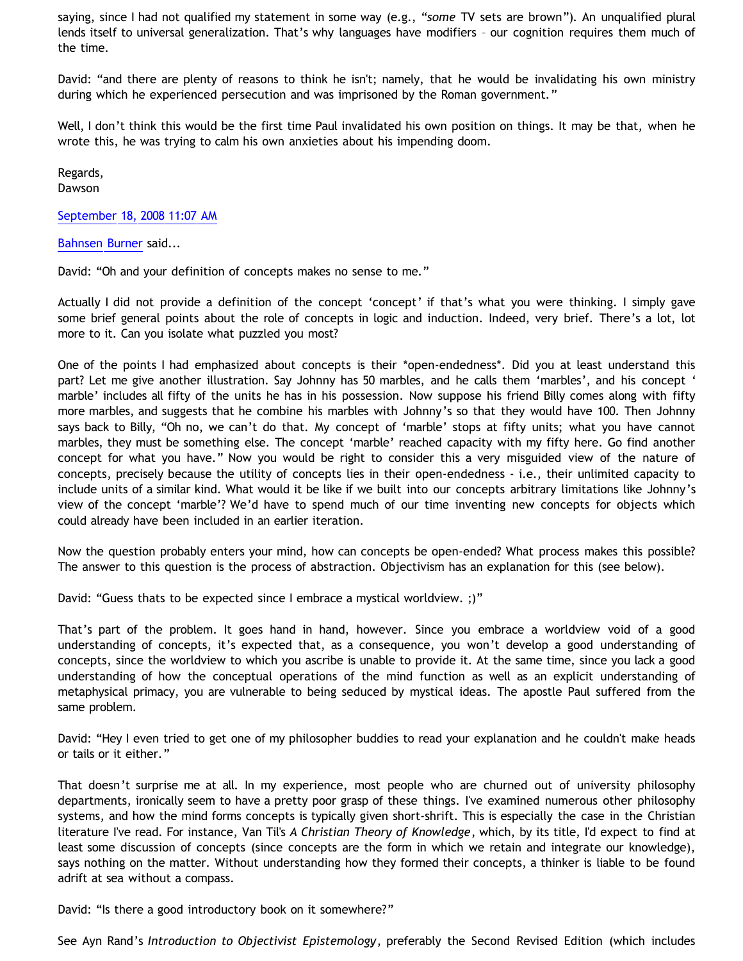saying, since I had not qualified my statement in some way (e.g., "*some* TV sets are brown"). An unqualified plural lends itself to universal generalization. That's why languages have modifiers – our cognition requires them much of the time.

David: "and there are plenty of reasons to think he isn't; namely, that he would be invalidating his own ministry during which he experienced persecution and was imprisoned by the Roman government."

Well, I don't think this would be the first time Paul invalidated his own position on things. It may be that, when he wrote this, he was trying to calm his own anxieties about his impending doom.

Regards, Dawson

[September 18, 2008 11:07 AM](http://bahnsenburner.blogspot.com/2008/09/3485368891687305206)

[Bahnsen Burner](http://www.blogger.com/profile/11030029491768748360) said...

David: "Oh and your definition of concepts makes no sense to me."

Actually I did not provide a definition of the concept 'concept' if that's what you were thinking. I simply gave some brief general points about the role of concepts in logic and induction. Indeed, very brief. There's a lot, lot more to it. Can you isolate what puzzled you most?

One of the points I had emphasized about concepts is their \*open-endedness\*. Did you at least understand this part? Let me give another illustration. Say Johnny has 50 marbles, and he calls them 'marbles', and his concept ' marble' includes all fifty of the units he has in his possession. Now suppose his friend Billy comes along with fifty more marbles, and suggests that he combine his marbles with Johnny's so that they would have 100. Then Johnny says back to Billy, "Oh no, we can't do that. My concept of 'marble' stops at fifty units; what you have cannot marbles, they must be something else. The concept 'marble' reached capacity with my fifty here. Go find another concept for what you have." Now you would be right to consider this a very misguided view of the nature of concepts, precisely because the utility of concepts lies in their open-endedness - i.e., their unlimited capacity to include units of a similar kind. What would it be like if we built into our concepts arbitrary limitations like Johnny's view of the concept 'marble'? We'd have to spend much of our time inventing new concepts for objects which could already have been included in an earlier iteration.

Now the question probably enters your mind, how can concepts be open-ended? What process makes this possible? The answer to this question is the process of abstraction. Objectivism has an explanation for this (see below).

David: "Guess thats to be expected since I embrace a mystical worldview. ;)"

That's part of the problem. It goes hand in hand, however. Since you embrace a worldview void of a good understanding of concepts, it's expected that, as a consequence, you won't develop a good understanding of concepts, since the worldview to which you ascribe is unable to provide it. At the same time, since you lack a good understanding of how the conceptual operations of the mind function as well as an explicit understanding of metaphysical primacy, you are vulnerable to being seduced by mystical ideas. The apostle Paul suffered from the same problem.

David: "Hey I even tried to get one of my philosopher buddies to read your explanation and he couldn't make heads or tails or it either."

That doesn't surprise me at all. In my experience, most people who are churned out of university philosophy departments, ironically seem to have a pretty poor grasp of these things. I've examined numerous other philosophy systems, and how the mind forms concepts is typically given short-shrift. This is especially the case in the Christian literature I've read. For instance, Van Til's *A Christian Theory of Knowledge*, which, by its title, I'd expect to find at least some discussion of concepts (since concepts are the form in which we retain and integrate our knowledge), says nothing on the matter. Without understanding how they formed their concepts, a thinker is liable to be found adrift at sea without a compass.

David: "Is there a good introductory book on it somewhere?"

See Ayn Rand's *Introduction to Objectivist Epistemology*, preferably the Second Revised Edition (which includes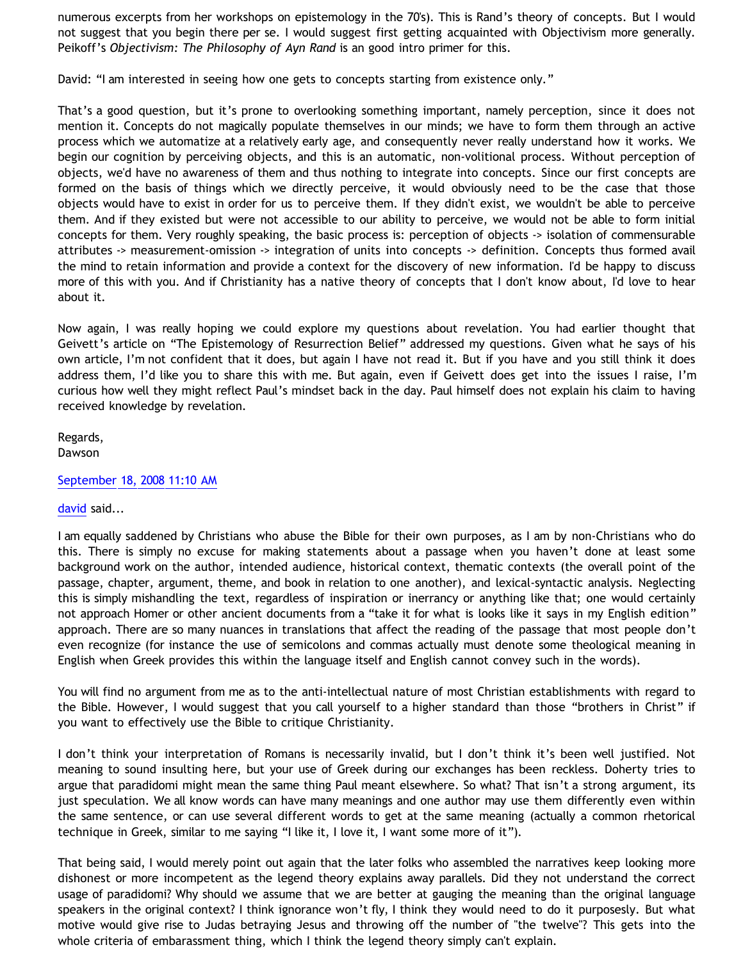numerous excerpts from her workshops on epistemology in the 70's). This is Rand's theory of concepts. But I would not suggest that you begin there per se. I would suggest first getting acquainted with Objectivism more generally. Peikoff's *Objectivism: The Philosophy of Ayn Rand* is an good intro primer for this.

David: "I am interested in seeing how one gets to concepts starting from existence only."

That's a good question, but it's prone to overlooking something important, namely perception, since it does not mention it. Concepts do not magically populate themselves in our minds; we have to form them through an active process which we automatize at a relatively early age, and consequently never really understand how it works. We begin our cognition by perceiving objects, and this is an automatic, non-volitional process. Without perception of objects, we'd have no awareness of them and thus nothing to integrate into concepts. Since our first concepts are formed on the basis of things which we directly perceive, it would obviously need to be the case that those objects would have to exist in order for us to perceive them. If they didn't exist, we wouldn't be able to perceive them. And if they existed but were not accessible to our ability to perceive, we would not be able to form initial concepts for them. Very roughly speaking, the basic process is: perception of objects -> isolation of commensurable attributes -> measurement-omission -> integration of units into concepts -> definition. Concepts thus formed avail the mind to retain information and provide a context for the discovery of new information. I'd be happy to discuss more of this with you. And if Christianity has a native theory of concepts that I don't know about, I'd love to hear about it.

Now again, I was really hoping we could explore my questions about revelation. You had earlier thought that Geivett's article on "The Epistemology of Resurrection Belief" addressed my questions. Given what he says of his own article, I'm not confident that it does, but again I have not read it. But if you have and you still think it does address them, I'd like you to share this with me. But again, even if Geivett does get into the issues I raise, I'm curious how well they might reflect Paul's mindset back in the day. Paul himself does not explain his claim to having received knowledge by revelation.

Regards, Dawson

### [September 18, 2008 11:10 AM](http://bahnsenburner.blogspot.com/2008/09/1626112907811263526)

### [david](http://www.blogger.com/profile/08071763988772047093) said...

I am equally saddened by Christians who abuse the Bible for their own purposes, as I am by non-Christians who do this. There is simply no excuse for making statements about a passage when you haven't done at least some background work on the author, intended audience, historical context, thematic contexts (the overall point of the passage, chapter, argument, theme, and book in relation to one another), and lexical-syntactic analysis. Neglecting this is simply mishandling the text, regardless of inspiration or inerrancy or anything like that; one would certainly not approach Homer or other ancient documents from a "take it for what is looks like it says in my English edition" approach. There are so many nuances in translations that affect the reading of the passage that most people don't even recognize (for instance the use of semicolons and commas actually must denote some theological meaning in English when Greek provides this within the language itself and English cannot convey such in the words).

You will find no argument from me as to the anti-intellectual nature of most Christian establishments with regard to the Bible. However, I would suggest that you call yourself to a higher standard than those "brothers in Christ" if you want to effectively use the Bible to critique Christianity.

I don't think your interpretation of Romans is necessarily invalid, but I don't think it's been well justified. Not meaning to sound insulting here, but your use of Greek during our exchanges has been reckless. Doherty tries to argue that paradidomi might mean the same thing Paul meant elsewhere. So what? That isn't a strong argument, its just speculation. We all know words can have many meanings and one author may use them differently even within the same sentence, or can use several different words to get at the same meaning (actually a common rhetorical technique in Greek, similar to me saying "I like it, I love it, I want some more of it").

That being said, I would merely point out again that the later folks who assembled the narratives keep looking more dishonest or more incompetent as the legend theory explains away parallels. Did they not understand the correct usage of paradidomi? Why should we assume that we are better at gauging the meaning than the original language speakers in the original context? I think ignorance won't fly, I think they would need to do it purposesly. But what motive would give rise to Judas betraying Jesus and throwing off the number of "the twelve"? This gets into the whole criteria of embarassment thing, which I think the legend theory simply can't explain.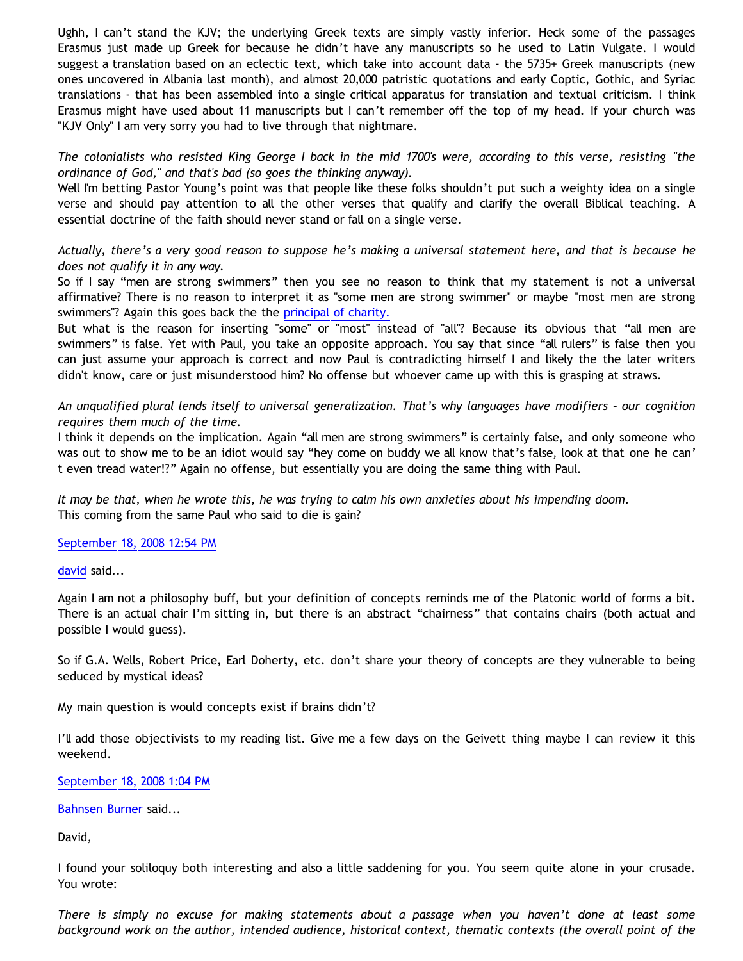Ughh, I can't stand the KJV; the underlying Greek texts are simply vastly inferior. Heck some of the passages Erasmus just made up Greek for because he didn't have any manuscripts so he used to Latin Vulgate. I would suggest a translation based on an eclectic text, which take into account data - the 5735+ Greek manuscripts (new ones uncovered in Albania last month), and almost 20,000 patristic quotations and early Coptic, Gothic, and Syriac translations - that has been assembled into a single critical apparatus for translation and textual criticism. I think Erasmus might have used about 11 manuscripts but I can't remember off the top of my head. If your church was "KJV Only" I am very sorry you had to live through that nightmare.

# *The colonialists who resisted King George I back in the mid 1700's were, according to this verse, resisting "the ordinance of God," and that's bad (so goes the thinking anyway).*

Well I'm betting Pastor Young's point was that people like these folks shouldn't put such a weighty idea on a single verse and should pay attention to all the other verses that qualify and clarify the overall Biblical teaching. A essential doctrine of the faith should never stand or fall on a single verse.

# *Actually, there's a very good reason to suppose he's making a universal statement here, and that is because he does not qualify it in any way.*

So if I say "men are strong swimmers" then you see no reason to think that my statement is not a universal affirmative? There is no reason to interpret it as "some men are strong swimmer" or maybe "most men are strong swimmers"? Again this goes back the the [principal of charity.](http://philosophy.lander.edu/oriental/charity.html)

But what is the reason for inserting "some" or "most" instead of "all"? Because its obvious that "all men are swimmers" is false. Yet with Paul, you take an opposite approach. You say that since "all rulers" is false then you can just assume your approach is correct and now Paul is contradicting himself I and likely the the later writers didn't know, care or just misunderstood him? No offense but whoever came up with this is grasping at straws.

*An unqualified plural lends itself to universal generalization. That's why languages have modifiers – our cognition requires them much of the time.*

I think it depends on the implication. Again "all men are strong swimmers" is certainly false, and only someone who was out to show me to be an idiot would say "hey come on buddy we all know that's false, look at that one he can' t even tread water!?" Again no offense, but essentially you are doing the same thing with Paul.

*It may be that, when he wrote this, he was trying to calm his own anxieties about his impending doom.* This coming from the same Paul who said to die is gain?

### [September 18, 2008 12:54 PM](http://bahnsenburner.blogspot.com/2008/09/3828742062000025292)

[david](http://www.blogger.com/profile/08071763988772047093) said...

Again I am not a philosophy buff, but your definition of concepts reminds me of the Platonic world of forms a bit. There is an actual chair I'm sitting in, but there is an abstract "chairness" that contains chairs (both actual and possible I would guess).

So if G.A. Wells, Robert Price, Earl Doherty, etc. don't share your theory of concepts are they vulnerable to being seduced by mystical ideas?

My main question is would concepts exist if brains didn't?

I'll add those objectivists to my reading list. Give me a few days on the Geivett thing maybe I can review it this weekend.

### [September 18, 2008 1:04 PM](http://bahnsenburner.blogspot.com/2008/09/4276313092020078836)

### [Bahnsen Burner](http://www.blogger.com/profile/11030029491768748360) said...

David,

I found your soliloquy both interesting and also a little saddening for you. You seem quite alone in your crusade. You wrote:

*There is simply no excuse for making statements about a passage when you haven't done at least some background work on the author, intended audience, historical context, thematic contexts (the overall point of the*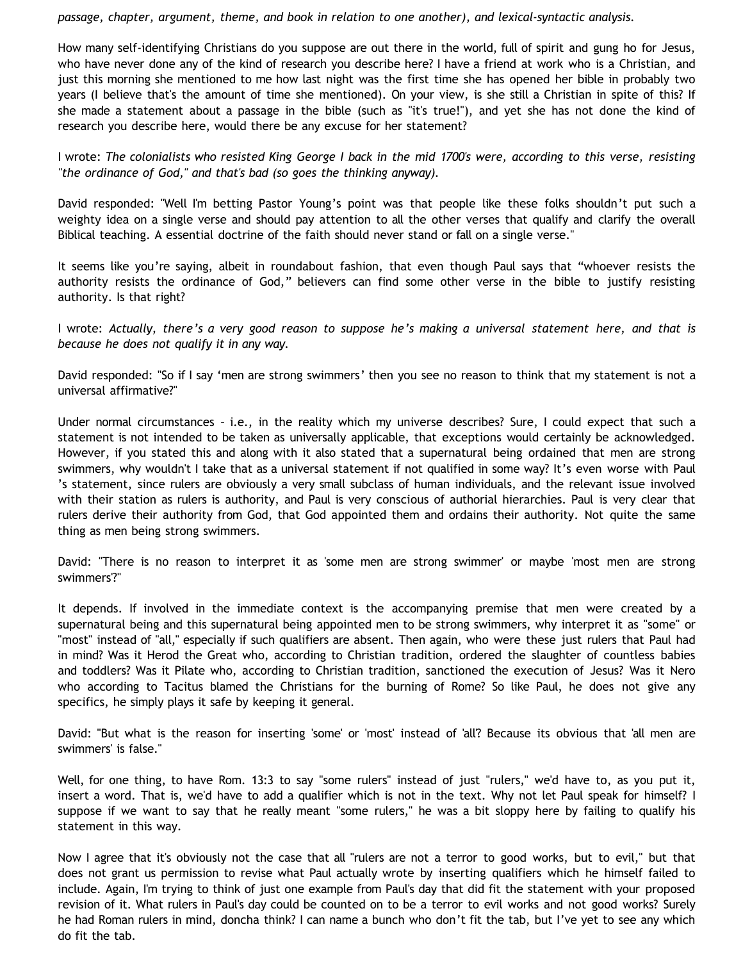*passage, chapter, argument, theme, and book in relation to one another), and lexical-syntactic analysis.*

How many self-identifying Christians do you suppose are out there in the world, full of spirit and gung ho for Jesus, who have never done any of the kind of research you describe here? I have a friend at work who is a Christian, and just this morning she mentioned to me how last night was the first time she has opened her bible in probably two years (I believe that's the amount of time she mentioned). On your view, is she still a Christian in spite of this? If she made a statement about a passage in the bible (such as "it's true!"), and yet she has not done the kind of research you describe here, would there be any excuse for her statement?

I wrote: *The colonialists who resisted King George I back in the mid 1700's were, according to this verse, resisting "the ordinance of God," and that's bad (so goes the thinking anyway).*

David responded: "Well I'm betting Pastor Young's point was that people like these folks shouldn't put such a weighty idea on a single verse and should pay attention to all the other verses that qualify and clarify the overall Biblical teaching. A essential doctrine of the faith should never stand or fall on a single verse."

It seems like you're saying, albeit in roundabout fashion, that even though Paul says that "whoever resists the authority resists the ordinance of God," believers can find some other verse in the bible to justify resisting authority. Is that right?

I wrote: *Actually, there's a very good reason to suppose he's making a universal statement here, and that is because he does not qualify it in any way.*

David responded: "So if I say 'men are strong swimmers' then you see no reason to think that my statement is not a universal affirmative?"

Under normal circumstances – i.e., in the reality which my universe describes? Sure, I could expect that such a statement is not intended to be taken as universally applicable, that exceptions would certainly be acknowledged. However, if you stated this and along with it also stated that a supernatural being ordained that men are strong swimmers, why wouldn't I take that as a universal statement if not qualified in some way? It's even worse with Paul 's statement, since rulers are obviously a very small subclass of human individuals, and the relevant issue involved with their station as rulers is authority, and Paul is very conscious of authorial hierarchies. Paul is very clear that rulers derive their authority from God, that God appointed them and ordains their authority. Not quite the same thing as men being strong swimmers.

David: "There is no reason to interpret it as 'some men are strong swimmer' or maybe 'most men are strong swimmers'?"

It depends. If involved in the immediate context is the accompanying premise that men were created by a supernatural being and this supernatural being appointed men to be strong swimmers, why interpret it as "some" or "most" instead of "all," especially if such qualifiers are absent. Then again, who were these just rulers that Paul had in mind? Was it Herod the Great who, according to Christian tradition, ordered the slaughter of countless babies and toddlers? Was it Pilate who, according to Christian tradition, sanctioned the execution of Jesus? Was it Nero who according to Tacitus blamed the Christians for the burning of Rome? So like Paul, he does not give any specifics, he simply plays it safe by keeping it general.

David: "But what is the reason for inserting 'some' or 'most' instead of 'all'? Because its obvious that 'all men are swimmers' is false."

Well, for one thing, to have Rom. 13:3 to say "some rulers" instead of just "rulers," we'd have to, as you put it, insert a word. That is, we'd have to add a qualifier which is not in the text. Why not let Paul speak for himself? I suppose if we want to say that he really meant "some rulers," he was a bit sloppy here by failing to qualify his statement in this way.

Now I agree that it's obviously not the case that all "rulers are not a terror to good works, but to evil," but that does not grant us permission to revise what Paul actually wrote by inserting qualifiers which he himself failed to include. Again, I'm trying to think of just one example from Paul's day that did fit the statement with your proposed revision of it. What rulers in Paul's day could be counted on to be a terror to evil works and not good works? Surely he had Roman rulers in mind, doncha think? I can name a bunch who don't fit the tab, but I've yet to see any which do fit the tab.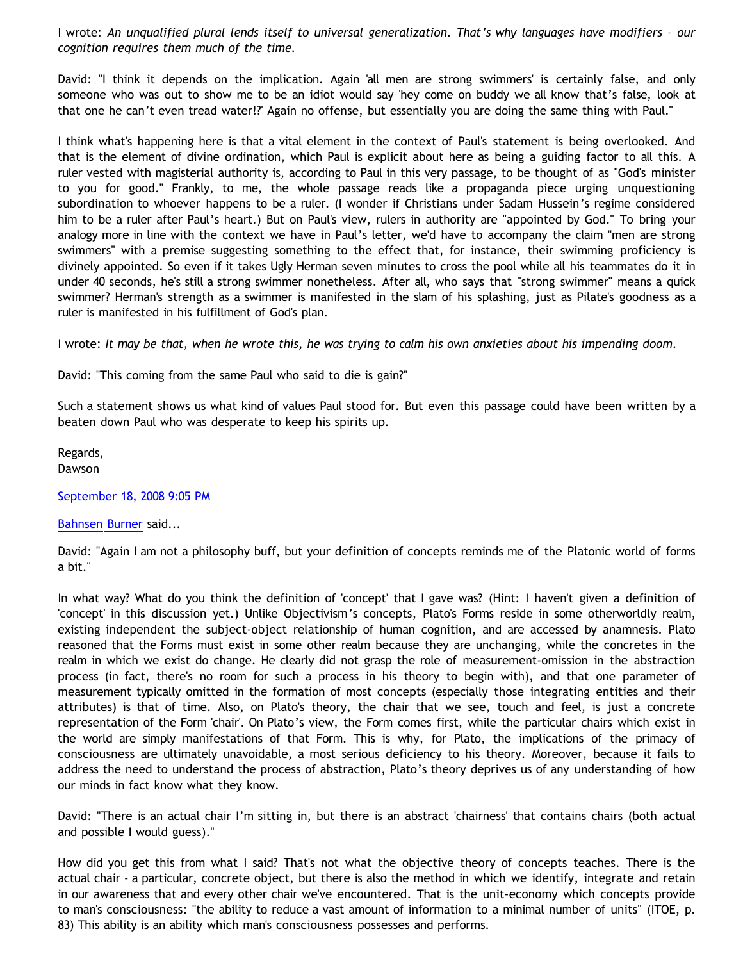I wrote: *An unqualified plural lends itself to universal generalization. That's why languages have modifiers – our cognition requires them much of the time.*

David: "I think it depends on the implication. Again 'all men are strong swimmers' is certainly false, and only someone who was out to show me to be an idiot would say 'hey come on buddy we all know that's false, look at that one he can't even tread water!?' Again no offense, but essentially you are doing the same thing with Paul."

I think what's happening here is that a vital element in the context of Paul's statement is being overlooked. And that is the element of divine ordination, which Paul is explicit about here as being a guiding factor to all this. A ruler vested with magisterial authority is, according to Paul in this very passage, to be thought of as "God's minister to you for good." Frankly, to me, the whole passage reads like a propaganda piece urging unquestioning subordination to whoever happens to be a ruler. (I wonder if Christians under Sadam Hussein's regime considered him to be a ruler after Paul's heart.) But on Paul's view, rulers in authority are "appointed by God." To bring your analogy more in line with the context we have in Paul's letter, we'd have to accompany the claim "men are strong swimmers" with a premise suggesting something to the effect that, for instance, their swimming proficiency is divinely appointed. So even if it takes Ugly Herman seven minutes to cross the pool while all his teammates do it in under 40 seconds, he's still a strong swimmer nonetheless. After all, who says that "strong swimmer" means a quick swimmer? Herman's strength as a swimmer is manifested in the slam of his splashing, just as Pilate's goodness as a ruler is manifested in his fulfillment of God's plan.

I wrote: *It may be that, when he wrote this, he was trying to calm his own anxieties about his impending doom.*

David: "This coming from the same Paul who said to die is gain?"

Such a statement shows us what kind of values Paul stood for. But even this passage could have been written by a beaten down Paul who was desperate to keep his spirits up.

Regards, Dawson

[September 18, 2008 9:05 PM](http://bahnsenburner.blogspot.com/2008/09/3785805513969005303)

#### [Bahnsen Burner](http://www.blogger.com/profile/11030029491768748360) said...

David: "Again I am not a philosophy buff, but your definition of concepts reminds me of the Platonic world of forms a bit."

In what way? What do you think the definition of 'concept' that I gave was? (Hint: I haven't given a definition of 'concept' in this discussion yet.) Unlike Objectivism's concepts, Plato's Forms reside in some otherworldly realm, existing independent the subject-object relationship of human cognition, and are accessed by anamnesis. Plato reasoned that the Forms must exist in some other realm because they are unchanging, while the concretes in the realm in which we exist do change. He clearly did not grasp the role of measurement-omission in the abstraction process (in fact, there's no room for such a process in his theory to begin with), and that one parameter of measurement typically omitted in the formation of most concepts (especially those integrating entities and their attributes) is that of time. Also, on Plato's theory, the chair that we see, touch and feel, is just a concrete representation of the Form 'chair'. On Plato's view, the Form comes first, while the particular chairs which exist in the world are simply manifestations of that Form. This is why, for Plato, the implications of the primacy of consciousness are ultimately unavoidable, a most serious deficiency to his theory. Moreover, because it fails to address the need to understand the process of abstraction, Plato's theory deprives us of any understanding of how our minds in fact know what they know.

David: "There is an actual chair I'm sitting in, but there is an abstract 'chairness' that contains chairs (both actual and possible I would guess)."

How did you get this from what I said? That's not what the objective theory of concepts teaches. There is the actual chair - a particular, concrete object, but there is also the method in which we identify, integrate and retain in our awareness that and every other chair we've encountered. That is the unit-economy which concepts provide to man's consciousness: "the ability to reduce a vast amount of information to a minimal number of units" (ITOE, p. 83) This ability is an ability which man's consciousness possesses and performs.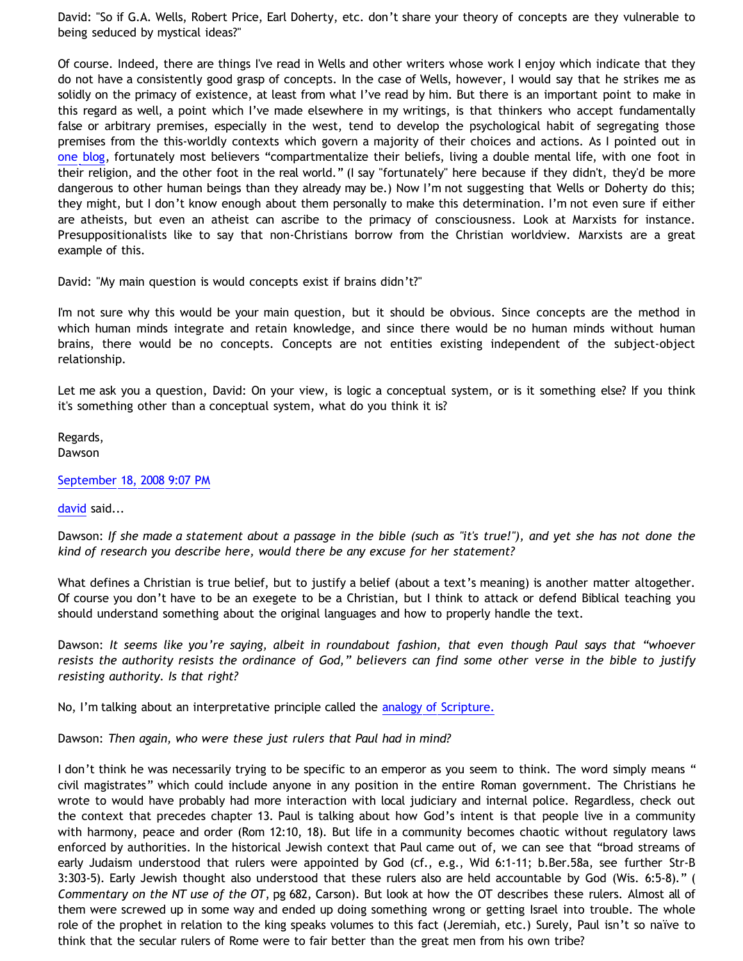David: "So if G.A. Wells, Robert Price, Earl Doherty, etc. don't share your theory of concepts are they vulnerable to being seduced by mystical ideas?"

Of course. Indeed, there are things I've read in Wells and other writers whose work I enjoy which indicate that they do not have a consistently good grasp of concepts. In the case of Wells, however, I would say that he strikes me as solidly on the primacy of existence, at least from what I've read by him. But there is an important point to make in this regard as well, a point which I've made elsewhere in my writings, is that thinkers who accept fundamentally false or arbitrary premises, especially in the west, tend to develop the psychological habit of segregating those premises from the this-worldly contexts which govern a majority of their choices and actions. As I pointed out in [one blog,](http://bahnsenburner.blogspot.com/2007/05/answering-ecualegacy-pt-4.html) fortunately most believers "compartmentalize their beliefs, living a double mental life, with one foot in their religion, and the other foot in the real world." (I say "fortunately" here because if they didn't, they'd be more dangerous to other human beings than they already may be.) Now I'm not suggesting that Wells or Doherty do this; they might, but I don't know enough about them personally to make this determination. I'm not even sure if either are atheists, but even an atheist can ascribe to the primacy of consciousness. Look at Marxists for instance. Presuppositionalists like to say that non-Christians borrow from the Christian worldview. Marxists are a great example of this.

David: "My main question is would concepts exist if brains didn't?"

I'm not sure why this would be your main question, but it should be obvious. Since concepts are the method in which human minds integrate and retain knowledge, and since there would be no human minds without human brains, there would be no concepts. Concepts are not entities existing independent of the subject-object relationship.

Let me ask you a question, David: On your view, is logic a conceptual system, or is it something else? If you think it's something other than a conceptual system, what do you think it is?

Regards, Dawson

[September 18, 2008 9:07 PM](http://bahnsenburner.blogspot.com/2008/09/8385695284295864366)

[david](http://www.blogger.com/profile/08071763988772047093) said...

Dawson: *If she made a statement about a passage in the bible (such as "it's true!"), and yet she has not done the kind of research you describe here, would there be any excuse for her statement?*

What defines a Christian is true belief, but to justify a belief (about a text's meaning) is another matter altogether. Of course you don't have to be an exegete to be a Christian, but I think to attack or defend Biblical teaching you should understand something about the original languages and how to properly handle the text.

Dawson: *It seems like you're saying, albeit in roundabout fashion, that even though Paul says that "whoever resists the authority resists the ordinance of God," believers can find some other verse in the bible to justify resisting authority. Is that right?*

No, I'm talking about an interpretative principle called the [analogy of Scripture.](http://www.bible.org/page.php?page_id=3424)

Dawson: *Then again, who were these just rulers that Paul had in mind?*

I don't think he was necessarily trying to be specific to an emperor as you seem to think. The word simply means " civil magistrates" which could include anyone in any position in the entire Roman government. The Christians he wrote to would have probably had more interaction with local judiciary and internal police. Regardless, check out the context that precedes chapter 13. Paul is talking about how God's intent is that people live in a community with harmony, peace and order (Rom 12:10, 18). But life in a community becomes chaotic without regulatory laws enforced by authorities. In the historical Jewish context that Paul came out of, we can see that "broad streams of early Judaism understood that rulers were appointed by God (cf., e.g., Wid 6:1-11; b.Ber.58a, see further Str-B 3:303-5). Early Jewish thought also understood that these rulers also are held accountable by God (Wis. 6:5-8)." ( *Commentary on the NT use of the OT*, pg 682, Carson). But look at how the OT describes these rulers. Almost all of them were screwed up in some way and ended up doing something wrong or getting Israel into trouble. The whole role of the prophet in relation to the king speaks volumes to this fact (Jeremiah, etc.) Surely, Paul isn't so naïve to think that the secular rulers of Rome were to fair better than the great men from his own tribe?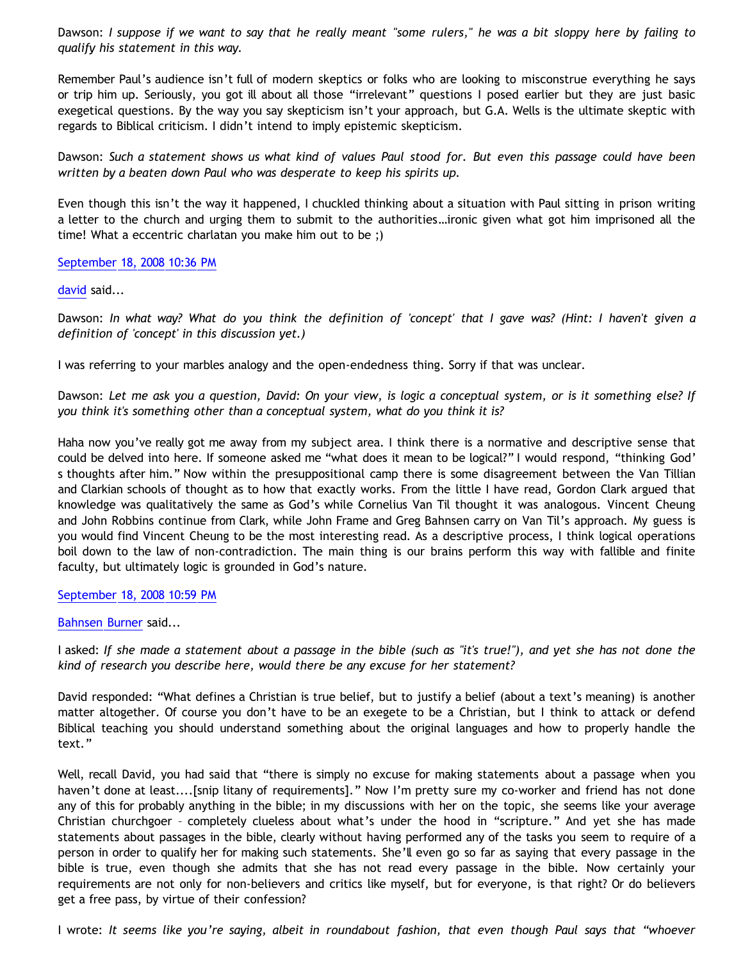Dawson: *I suppose if we want to say that he really meant "some rulers," he was a bit sloppy here by failing to qualify his statement in this way.*

Remember Paul's audience isn't full of modern skeptics or folks who are looking to misconstrue everything he says or trip him up. Seriously, you got ill about all those "irrelevant" questions I posed earlier but they are just basic exegetical questions. By the way you say skepticism isn't your approach, but G.A. Wells is the ultimate skeptic with regards to Biblical criticism. I didn't intend to imply epistemic skepticism.

Dawson: *Such a statement shows us what kind of values Paul stood for. But even this passage could have been written by a beaten down Paul who was desperate to keep his spirits up.*

Even though this isn't the way it happened, I chuckled thinking about a situation with Paul sitting in prison writing a letter to the church and urging them to submit to the authorities…ironic given what got him imprisoned all the time! What a eccentric charlatan you make him out to be ;)

#### [September 18, 2008 10:36 PM](http://bahnsenburner.blogspot.com/2008/09/9098796579651181796)

#### [david](http://www.blogger.com/profile/08071763988772047093) said...

Dawson: *In what way? What do you think the definition of 'concept' that I gave was? (Hint: I haven't given a definition of 'concept' in this discussion yet.)*

I was referring to your marbles analogy and the open-endedness thing. Sorry if that was unclear.

Dawson: *Let me ask you a question, David: On your view, is logic a conceptual system, or is it something else? If you think it's something other than a conceptual system, what do you think it is?*

Haha now you've really got me away from my subject area. I think there is a normative and descriptive sense that could be delved into here. If someone asked me "what does it mean to be logical?" I would respond, "thinking God' s thoughts after him." Now within the presuppositional camp there is some disagreement between the Van Tillian and Clarkian schools of thought as to how that exactly works. From the little I have read, Gordon Clark argued that knowledge was qualitatively the same as God's while Cornelius Van Til thought it was analogous. Vincent Cheung and John Robbins continue from Clark, while John Frame and Greg Bahnsen carry on Van Til's approach. My guess is you would find Vincent Cheung to be the most interesting read. As a descriptive process, I think logical operations boil down to the law of non-contradiction. The main thing is our brains perform this way with fallible and finite faculty, but ultimately logic is grounded in God's nature.

#### [September 18, 2008 10:59 PM](http://bahnsenburner.blogspot.com/2008/09/1319702752916942504)

#### [Bahnsen Burner](http://www.blogger.com/profile/11030029491768748360) said...

I asked: *If she made a statement about a passage in the bible (such as "it's true!"), and yet she has not done the kind of research you describe here, would there be any excuse for her statement?*

David responded: "What defines a Christian is true belief, but to justify a belief (about a text's meaning) is another matter altogether. Of course you don't have to be an exegete to be a Christian, but I think to attack or defend Biblical teaching you should understand something about the original languages and how to properly handle the text."

Well, recall David, you had said that "there is simply no excuse for making statements about a passage when you haven't done at least....[snip litany of requirements]." Now I'm pretty sure my co-worker and friend has not done any of this for probably anything in the bible; in my discussions with her on the topic, she seems like your average Christian churchgoer – completely clueless about what's under the hood in "scripture." And yet she has made statements about passages in the bible, clearly without having performed any of the tasks you seem to require of a person in order to qualify her for making such statements. She'll even go so far as saying that every passage in the bible is true, even though she admits that she has not read every passage in the bible. Now certainly your requirements are not only for non-believers and critics like myself, but for everyone, is that right? Or do believers get a free pass, by virtue of their confession?

I wrote: *It seems like you're saying, albeit in roundabout fashion, that even though Paul says that "whoever*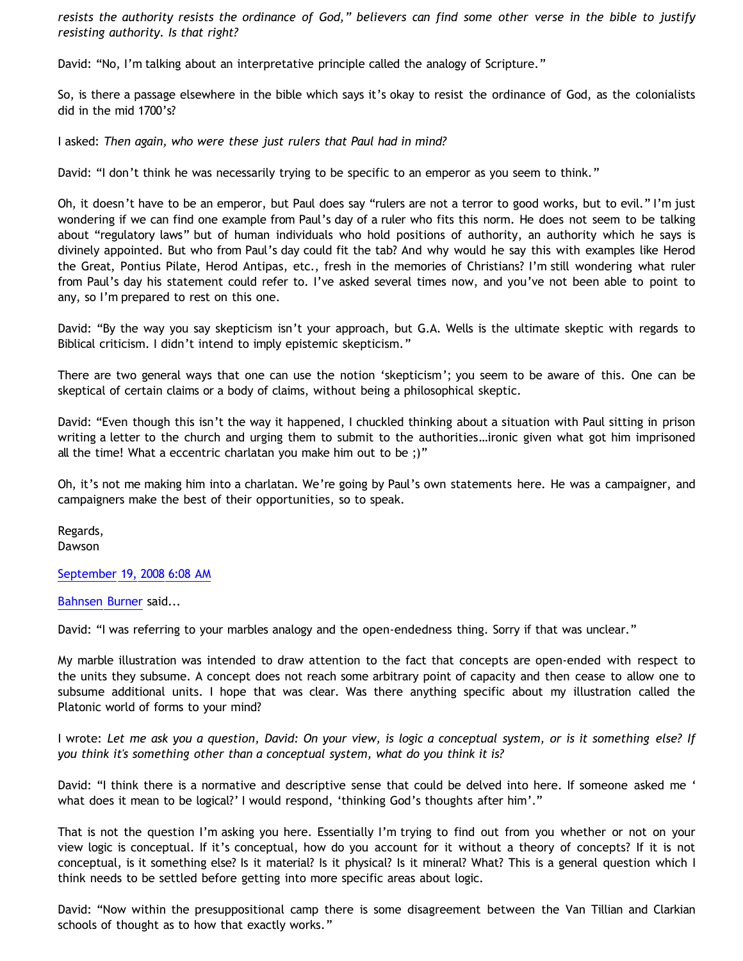*resists the authority resists the ordinance of God," believers can find some other verse in the bible to justify resisting authority. Is that right?*

David: "No, I'm talking about an interpretative principle called the analogy of Scripture."

So, is there a passage elsewhere in the bible which says it's okay to resist the ordinance of God, as the colonialists did in the mid 1700's?

I asked: *Then again, who were these just rulers that Paul had in mind?*

David: "I don't think he was necessarily trying to be specific to an emperor as you seem to think."

Oh, it doesn't have to be an emperor, but Paul does say "rulers are not a terror to good works, but to evil." I'm just wondering if we can find one example from Paul's day of a ruler who fits this norm. He does not seem to be talking about "regulatory laws" but of human individuals who hold positions of authority, an authority which he says is divinely appointed. But who from Paul's day could fit the tab? And why would he say this with examples like Herod the Great, Pontius Pilate, Herod Antipas, etc., fresh in the memories of Christians? I'm still wondering what ruler from Paul's day his statement could refer to. I've asked several times now, and you've not been able to point to any, so I'm prepared to rest on this one.

David: "By the way you say skepticism isn't your approach, but G.A. Wells is the ultimate skeptic with regards to Biblical criticism. I didn't intend to imply epistemic skepticism."

There are two general ways that one can use the notion 'skepticism'; you seem to be aware of this. One can be skeptical of certain claims or a body of claims, without being a philosophical skeptic.

David: "Even though this isn't the way it happened, I chuckled thinking about a situation with Paul sitting in prison writing a letter to the church and urging them to submit to the authorities…ironic given what got him imprisoned all the time! What a eccentric charlatan you make him out to be ;)"

Oh, it's not me making him into a charlatan. We're going by Paul's own statements here. He was a campaigner, and campaigners make the best of their opportunities, so to speak.

Regards, Dawson

[September 19, 2008 6:08 AM](http://bahnsenburner.blogspot.com/2008/09/4090264398207404006)

[Bahnsen Burner](http://www.blogger.com/profile/11030029491768748360) said...

David: "I was referring to your marbles analogy and the open-endedness thing. Sorry if that was unclear."

My marble illustration was intended to draw attention to the fact that concepts are open-ended with respect to the units they subsume. A concept does not reach some arbitrary point of capacity and then cease to allow one to subsume additional units. I hope that was clear. Was there anything specific about my illustration called the Platonic world of forms to your mind?

I wrote: *Let me ask you a question, David: On your view, is logic a conceptual system, or is it something else? If you think it's something other than a conceptual system, what do you think it is?*

David: "I think there is a normative and descriptive sense that could be delved into here. If someone asked me ' what does it mean to be logical?' I would respond, 'thinking God's thoughts after him'."

That is not the question I'm asking you here. Essentially I'm trying to find out from you whether or not on your view logic is conceptual. If it's conceptual, how do you account for it without a theory of concepts? If it is not conceptual, is it something else? Is it material? Is it physical? Is it mineral? What? This is a general question which I think needs to be settled before getting into more specific areas about logic.

David: "Now within the presuppositional camp there is some disagreement between the Van Tillian and Clarkian schools of thought as to how that exactly works."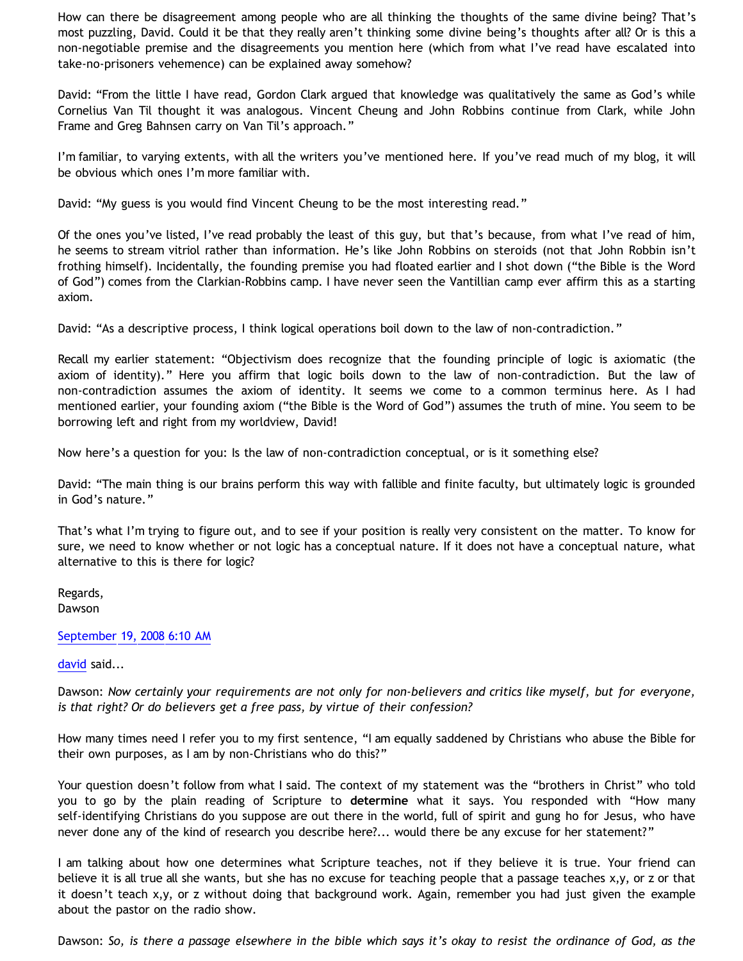How can there be disagreement among people who are all thinking the thoughts of the same divine being? That's most puzzling, David. Could it be that they really aren't thinking some divine being's thoughts after all? Or is this a non-negotiable premise and the disagreements you mention here (which from what I've read have escalated into take-no-prisoners vehemence) can be explained away somehow?

David: "From the little I have read, Gordon Clark argued that knowledge was qualitatively the same as God's while Cornelius Van Til thought it was analogous. Vincent Cheung and John Robbins continue from Clark, while John Frame and Greg Bahnsen carry on Van Til's approach."

I'm familiar, to varying extents, with all the writers you've mentioned here. If you've read much of my blog, it will be obvious which ones I'm more familiar with.

David: "My guess is you would find Vincent Cheung to be the most interesting read."

Of the ones you've listed, I've read probably the least of this guy, but that's because, from what I've read of him, he seems to stream vitriol rather than information. He's like John Robbins on steroids (not that John Robbin isn't frothing himself). Incidentally, the founding premise you had floated earlier and I shot down ("the Bible is the Word of God") comes from the Clarkian-Robbins camp. I have never seen the Vantillian camp ever affirm this as a starting axiom.

David: "As a descriptive process, I think logical operations boil down to the law of non-contradiction."

Recall my earlier statement: "Objectivism does recognize that the founding principle of logic is axiomatic (the axiom of identity)." Here you affirm that logic boils down to the law of non-contradiction. But the law of non-contradiction assumes the axiom of identity. It seems we come to a common terminus here. As I had mentioned earlier, your founding axiom ("the Bible is the Word of God") assumes the truth of mine. You seem to be borrowing left and right from my worldview, David!

Now here's a question for you: Is the law of non-contradiction conceptual, or is it something else?

David: "The main thing is our brains perform this way with fallible and finite faculty, but ultimately logic is grounded in God's nature."

That's what I'm trying to figure out, and to see if your position is really very consistent on the matter. To know for sure, we need to know whether or not logic has a conceptual nature. If it does not have a conceptual nature, what alternative to this is there for logic?

Regards, Dawson

### [September 19, 2008 6:10 AM](http://bahnsenburner.blogspot.com/2008/09/1763177560886026100)

### [david](http://www.blogger.com/profile/08071763988772047093) said...

Dawson: *Now certainly your requirements are not only for non-believers and critics like myself, but for everyone, is that right? Or do believers get a free pass, by virtue of their confession?*

How many times need I refer you to my first sentence, "I am equally saddened by Christians who abuse the Bible for their own purposes, as I am by non-Christians who do this?"

Your question doesn't follow from what I said. The context of my statement was the "brothers in Christ" who told you to go by the plain reading of Scripture to **determine** what it says. You responded with "How many self-identifying Christians do you suppose are out there in the world, full of spirit and gung ho for Jesus, who have never done any of the kind of research you describe here?... would there be any excuse for her statement?"

I am talking about how one determines what Scripture teaches, not if they believe it is true. Your friend can believe it is all true all she wants, but she has no excuse for teaching people that a passage teaches x,y, or z or that it doesn't teach x,y, or z without doing that background work. Again, remember you had just given the example about the pastor on the radio show.

Dawson: *So, is there a passage elsewhere in the bible which says it's okay to resist the ordinance of God, as the*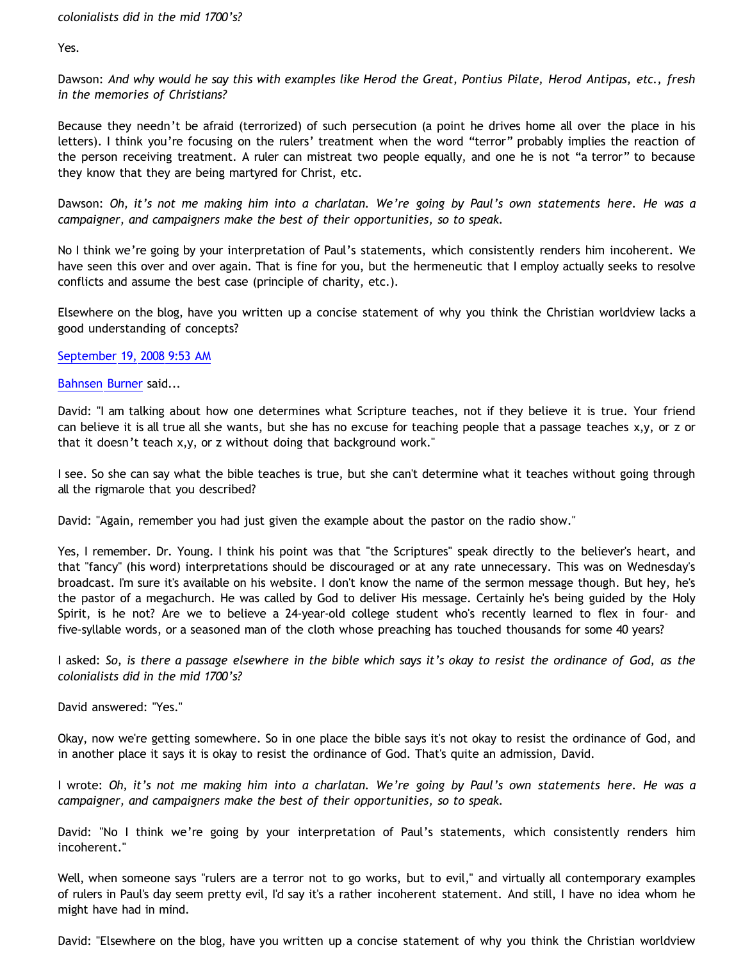Yes.

Dawson: *And why would he say this with examples like Herod the Great, Pontius Pilate, Herod Antipas, etc., fresh in the memories of Christians?*

Because they needn't be afraid (terrorized) of such persecution (a point he drives home all over the place in his letters). I think you're focusing on the rulers' treatment when the word "terror" probably implies the reaction of the person receiving treatment. A ruler can mistreat two people equally, and one he is not "a terror" to because they know that they are being martyred for Christ, etc.

Dawson: *Oh, it's not me making him into a charlatan. We're going by Paul's own statements here. He was a campaigner, and campaigners make the best of their opportunities, so to speak.*

No I think we're going by your interpretation of Paul's statements, which consistently renders him incoherent. We have seen this over and over again. That is fine for you, but the hermeneutic that I employ actually seeks to resolve conflicts and assume the best case (principle of charity, etc.).

Elsewhere on the blog, have you written up a concise statement of why you think the Christian worldview lacks a good understanding of concepts?

[September 19, 2008 9:53 AM](http://bahnsenburner.blogspot.com/2008/09/7348945262672200955)

[Bahnsen Burner](http://www.blogger.com/profile/11030029491768748360) said...

David: "I am talking about how one determines what Scripture teaches, not if they believe it is true. Your friend can believe it is all true all she wants, but she has no excuse for teaching people that a passage teaches x,y, or z or that it doesn't teach x,y, or z without doing that background work."

I see. So she can say what the bible teaches is true, but she can't determine what it teaches without going through all the rigmarole that you described?

David: "Again, remember you had just given the example about the pastor on the radio show."

Yes, I remember. Dr. Young. I think his point was that "the Scriptures" speak directly to the believer's heart, and that "fancy" (his word) interpretations should be discouraged or at any rate unnecessary. This was on Wednesday's broadcast. I'm sure it's available on his website. I don't know the name of the sermon message though. But hey, he's the pastor of a megachurch. He was called by God to deliver His message. Certainly he's being guided by the Holy Spirit, is he not? Are we to believe a 24-year-old college student who's recently learned to flex in four- and five-syllable words, or a seasoned man of the cloth whose preaching has touched thousands for some 40 years?

I asked: *So, is there a passage elsewhere in the bible which says it's okay to resist the ordinance of God, as the colonialists did in the mid 1700's?*

David answered: "Yes."

Okay, now we're getting somewhere. So in one place the bible says it's not okay to resist the ordinance of God, and in another place it says it is okay to resist the ordinance of God. That's quite an admission, David.

I wrote: *Oh, it's not me making him into a charlatan. We're going by Paul's own statements here. He was a campaigner, and campaigners make the best of their opportunities, so to speak.*

David: "No I think we're going by your interpretation of Paul's statements, which consistently renders him incoherent."

Well, when someone says "rulers are a terror not to go works, but to evil," and virtually all contemporary examples of rulers in Paul's day seem pretty evil, I'd say it's a rather incoherent statement. And still, I have no idea whom he might have had in mind.

David: "Elsewhere on the blog, have you written up a concise statement of why you think the Christian worldview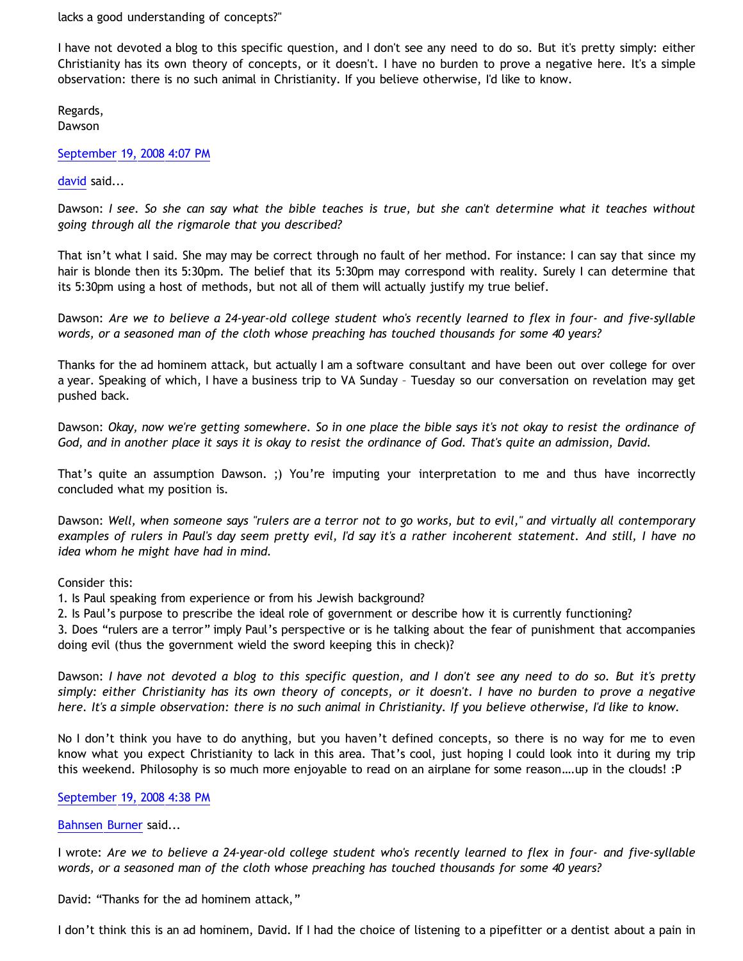lacks a good understanding of concepts?"

I have not devoted a blog to this specific question, and I don't see any need to do so. But it's pretty simply: either Christianity has its own theory of concepts, or it doesn't. I have no burden to prove a negative here. It's a simple observation: there is no such animal in Christianity. If you believe otherwise, I'd like to know.

Regards, Dawson

### [September 19, 2008 4:07 PM](http://bahnsenburner.blogspot.com/2008/09/7482689000213244985)

### [david](http://www.blogger.com/profile/08071763988772047093) said...

Dawson: *I see. So she can say what the bible teaches is true, but she can't determine what it teaches without going through all the rigmarole that you described?*

That isn't what I said. She may may be correct through no fault of her method. For instance: I can say that since my hair is blonde then its 5:30pm. The belief that its 5:30pm may correspond with reality. Surely I can determine that its 5:30pm using a host of methods, but not all of them will actually justify my true belief.

Dawson: *Are we to believe a 24-year-old college student who's recently learned to flex in four- and five-syllable words, or a seasoned man of the cloth whose preaching has touched thousands for some 40 years?*

Thanks for the ad hominem attack, but actually I am a software consultant and have been out over college for over a year. Speaking of which, I have a business trip to VA Sunday – Tuesday so our conversation on revelation may get pushed back.

Dawson: *Okay, now we're getting somewhere. So in one place the bible says it's not okay to resist the ordinance of God, and in another place it says it is okay to resist the ordinance of God. That's quite an admission, David.*

That's quite an assumption Dawson. ;) You're imputing your interpretation to me and thus have incorrectly concluded what my position is.

Dawson: *Well, when someone says "rulers are a terror not to go works, but to evil," and virtually all contemporary examples of rulers in Paul's day seem pretty evil, I'd say it's a rather incoherent statement. And still, I have no idea whom he might have had in mind.*

### Consider this:

1. Is Paul speaking from experience or from his Jewish background?

2. Is Paul's purpose to prescribe the ideal role of government or describe how it is currently functioning?

3. Does "rulers are a terror" imply Paul's perspective or is he talking about the fear of punishment that accompanies doing evil (thus the government wield the sword keeping this in check)?

Dawson: *I have not devoted a blog to this specific question, and I don't see any need to do so. But it's pretty simply: either Christianity has its own theory of concepts, or it doesn't. I have no burden to prove a negative here. It's a simple observation: there is no such animal in Christianity. If you believe otherwise, I'd like to know.*

No I don't think you have to do anything, but you haven't defined concepts, so there is no way for me to even know what you expect Christianity to lack in this area. That's cool, just hoping I could look into it during my trip this weekend. Philosophy is so much more enjoyable to read on an airplane for some reason….up in the clouds! :P

### [September 19, 2008 4:38 PM](http://bahnsenburner.blogspot.com/2008/09/5518281323370329283)

### [Bahnsen Burner](http://www.blogger.com/profile/11030029491768748360) said...

I wrote: *Are we to believe a 24-year-old college student who's recently learned to flex in four- and five-syllable words, or a seasoned man of the cloth whose preaching has touched thousands for some 40 years?*

David: "Thanks for the ad hominem attack,"

I don't think this is an ad hominem, David. If I had the choice of listening to a pipefitter or a dentist about a pain in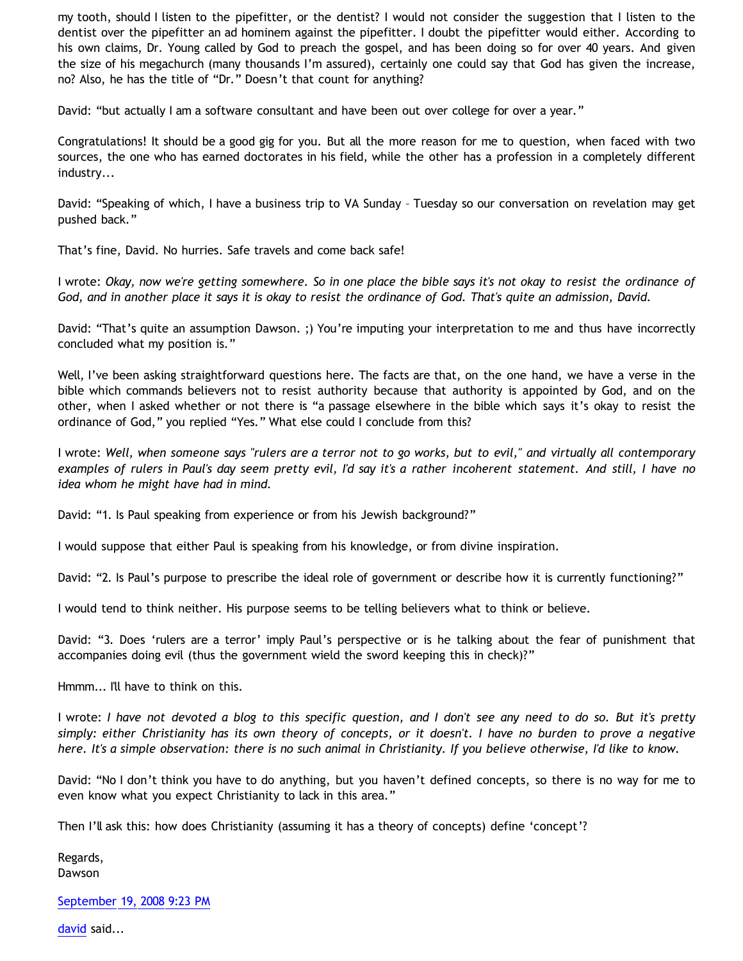my tooth, should I listen to the pipefitter, or the dentist? I would not consider the suggestion that I listen to the dentist over the pipefitter an ad hominem against the pipefitter. I doubt the pipefitter would either. According to his own claims, Dr. Young called by God to preach the gospel, and has been doing so for over 40 years. And given the size of his megachurch (many thousands I'm assured), certainly one could say that God has given the increase, no? Also, he has the title of "Dr." Doesn't that count for anything?

David: "but actually I am a software consultant and have been out over college for over a year."

Congratulations! It should be a good gig for you. But all the more reason for me to question, when faced with two sources, the one who has earned doctorates in his field, while the other has a profession in a completely different industry...

David: "Speaking of which, I have a business trip to VA Sunday – Tuesday so our conversation on revelation may get pushed back."

That's fine, David. No hurries. Safe travels and come back safe!

I wrote: *Okay, now we're getting somewhere. So in one place the bible says it's not okay to resist the ordinance of God, and in another place it says it is okay to resist the ordinance of God. That's quite an admission, David.*

David: "That's quite an assumption Dawson. ;) You're imputing your interpretation to me and thus have incorrectly concluded what my position is."

Well, I've been asking straightforward questions here. The facts are that, on the one hand, we have a verse in the bible which commands believers not to resist authority because that authority is appointed by God, and on the other, when I asked whether or not there is "a passage elsewhere in the bible which says it's okay to resist the ordinance of God," you replied "Yes." What else could I conclude from this?

I wrote: *Well, when someone says "rulers are a terror not to go works, but to evil," and virtually all contemporary examples of rulers in Paul's day seem pretty evil, I'd say it's a rather incoherent statement. And still, I have no idea whom he might have had in mind.*

David: "1. Is Paul speaking from experience or from his Jewish background?"

I would suppose that either Paul is speaking from his knowledge, or from divine inspiration.

David: "2. Is Paul's purpose to prescribe the ideal role of government or describe how it is currently functioning?"

I would tend to think neither. His purpose seems to be telling believers what to think or believe.

David: "3. Does 'rulers are a terror' imply Paul's perspective or is he talking about the fear of punishment that accompanies doing evil (thus the government wield the sword keeping this in check)?"

Hmmm... I'll have to think on this.

I wrote: *I have not devoted a blog to this specific question, and I don't see any need to do so. But it's pretty simply: either Christianity has its own theory of concepts, or it doesn't. I have no burden to prove a negative here. It's a simple observation: there is no such animal in Christianity. If you believe otherwise, I'd like to know.*

David: "No I don't think you have to do anything, but you haven't defined concepts, so there is no way for me to even know what you expect Christianity to lack in this area."

Then I'll ask this: how does Christianity (assuming it has a theory of concepts) define 'concept'?

Regards, Dawson

[September 19, 2008 9:23 PM](http://bahnsenburner.blogspot.com/2008/09/3329255078386796121)

[david](http://www.blogger.com/profile/08071763988772047093) said...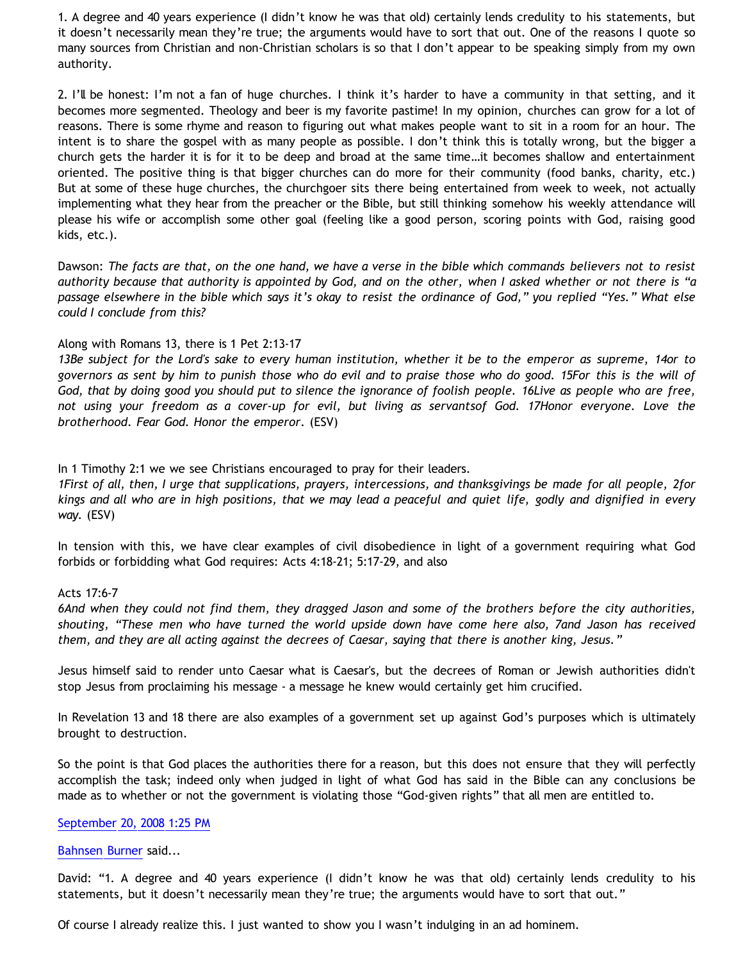1. A degree and 40 years experience (I didn't know he was that old) certainly lends credulity to his statements, but it doesn't necessarily mean they're true; the arguments would have to sort that out. One of the reasons I quote so many sources from Christian and non-Christian scholars is so that I don't appear to be speaking simply from my own authority.

2. I'll be honest: I'm not a fan of huge churches. I think it's harder to have a community in that setting, and it becomes more segmented. Theology and beer is my favorite pastime! In my opinion, churches can grow for a lot of reasons. There is some rhyme and reason to figuring out what makes people want to sit in a room for an hour. The intent is to share the gospel with as many people as possible. I don't think this is totally wrong, but the bigger a church gets the harder it is for it to be deep and broad at the same time…it becomes shallow and entertainment oriented. The positive thing is that bigger churches can do more for their community (food banks, charity, etc.) But at some of these huge churches, the churchgoer sits there being entertained from week to week, not actually implementing what they hear from the preacher or the Bible, but still thinking somehow his weekly attendance will please his wife or accomplish some other goal (feeling like a good person, scoring points with God, raising good kids, etc.).

Dawson: *The facts are that, on the one hand, we have a verse in the bible which commands believers not to resist authority because that authority is appointed by God, and on the other, when I asked whether or not there is "a passage elsewhere in the bible which says it's okay to resist the ordinance of God," you replied "Yes." What else could I conclude from this?*

# Along with Romans 13, there is 1 Pet 2:13-17

*13Be subject for the Lord's sake to every human institution, whether it be to the emperor as supreme, 14or to governors as sent by him to punish those who do evil and to praise those who do good. 15For this is the will of God, that by doing good you should put to silence the ignorance of foolish people. 16Live as people who are free, not using your freedom as a cover-up for evil, but living as servantsof God. 17Honor everyone. Love the brotherhood. Fear God. Honor the emperor.* (ESV)

In 1 Timothy 2:1 we we see Christians encouraged to pray for their leaders.

*1First of all, then, I urge that supplications, prayers, intercessions, and thanksgivings be made for all people, 2for kings and all who are in high positions, that we may lead a peaceful and quiet life, godly and dignified in every way.* (ESV)

In tension with this, we have clear examples of civil disobedience in light of a government requiring what God forbids or forbidding what God requires: Acts 4:18-21; 5:17-29, and also

### Acts 17:6-7

*6And when they could not find them, they dragged Jason and some of the brothers before the city authorities, shouting, "These men who have turned the world upside down have come here also, 7and Jason has received them, and they are all acting against the decrees of Caesar, saying that there is another king, Jesus."*

Jesus himself said to render unto Caesar what is Caesar's, but the decrees of Roman or Jewish authorities didn't stop Jesus from proclaiming his message - a message he knew would certainly get him crucified.

In Revelation 13 and 18 there are also examples of a government set up against God's purposes which is ultimately brought to destruction.

So the point is that God places the authorities there for a reason, but this does not ensure that they will perfectly accomplish the task; indeed only when judged in light of what God has said in the Bible can any conclusions be made as to whether or not the government is violating those "God-given rights" that all men are entitled to.

### [September 20, 2008 1:25 PM](http://bahnsenburner.blogspot.com/2008/09/917551845003198034)

# [Bahnsen Burner](http://www.blogger.com/profile/11030029491768748360) said...

David: "1. A degree and 40 years experience (I didn't know he was that old) certainly lends credulity to his statements, but it doesn't necessarily mean they're true; the arguments would have to sort that out."

Of course I already realize this. I just wanted to show you I wasn't indulging in an ad hominem.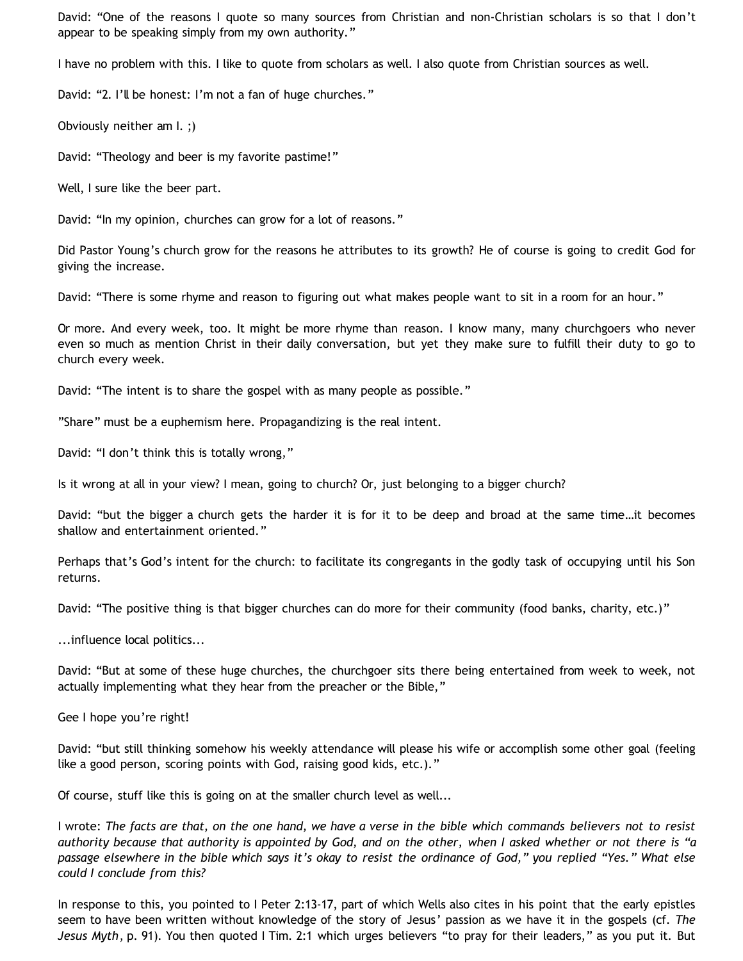David: "One of the reasons I quote so many sources from Christian and non-Christian scholars is so that I don't appear to be speaking simply from my own authority."

I have no problem with this. I like to quote from scholars as well. I also quote from Christian sources as well.

David: "2. I'll be honest: I'm not a fan of huge churches."

Obviously neither am I. ;)

David: "Theology and beer is my favorite pastime!"

Well, I sure like the beer part.

David: "In my opinion, churches can grow for a lot of reasons."

Did Pastor Young's church grow for the reasons he attributes to its growth? He of course is going to credit God for giving the increase.

David: "There is some rhyme and reason to figuring out what makes people want to sit in a room for an hour."

Or more. And every week, too. It might be more rhyme than reason. I know many, many churchgoers who never even so much as mention Christ in their daily conversation, but yet they make sure to fulfill their duty to go to church every week.

David: "The intent is to share the gospel with as many people as possible."

"Share" must be a euphemism here. Propagandizing is the real intent.

David: "I don't think this is totally wrong,"

Is it wrong at all in your view? I mean, going to church? Or, just belonging to a bigger church?

David: "but the bigger a church gets the harder it is for it to be deep and broad at the same time…it becomes shallow and entertainment oriented."

Perhaps that's God's intent for the church: to facilitate its congregants in the godly task of occupying until his Son returns.

David: "The positive thing is that bigger churches can do more for their community (food banks, charity, etc.)"

...influence local politics...

David: "But at some of these huge churches, the churchgoer sits there being entertained from week to week, not actually implementing what they hear from the preacher or the Bible,"

Gee I hope you're right!

David: "but still thinking somehow his weekly attendance will please his wife or accomplish some other goal (feeling like a good person, scoring points with God, raising good kids, etc.)."

Of course, stuff like this is going on at the smaller church level as well...

I wrote: *The facts are that, on the one hand, we have a verse in the bible which commands believers not to resist authority because that authority is appointed by God, and on the other, when I asked whether or not there is "a passage elsewhere in the bible which says it's okay to resist the ordinance of God," you replied "Yes." What else could I conclude from this?*

In response to this, you pointed to I Peter 2:13-17, part of which Wells also cites in his point that the early epistles seem to have been written without knowledge of the story of Jesus' passion as we have it in the gospels (cf. *The Jesus Myth*, p. 91). You then quoted I Tim. 2:1 which urges believers "to pray for their leaders," as you put it. But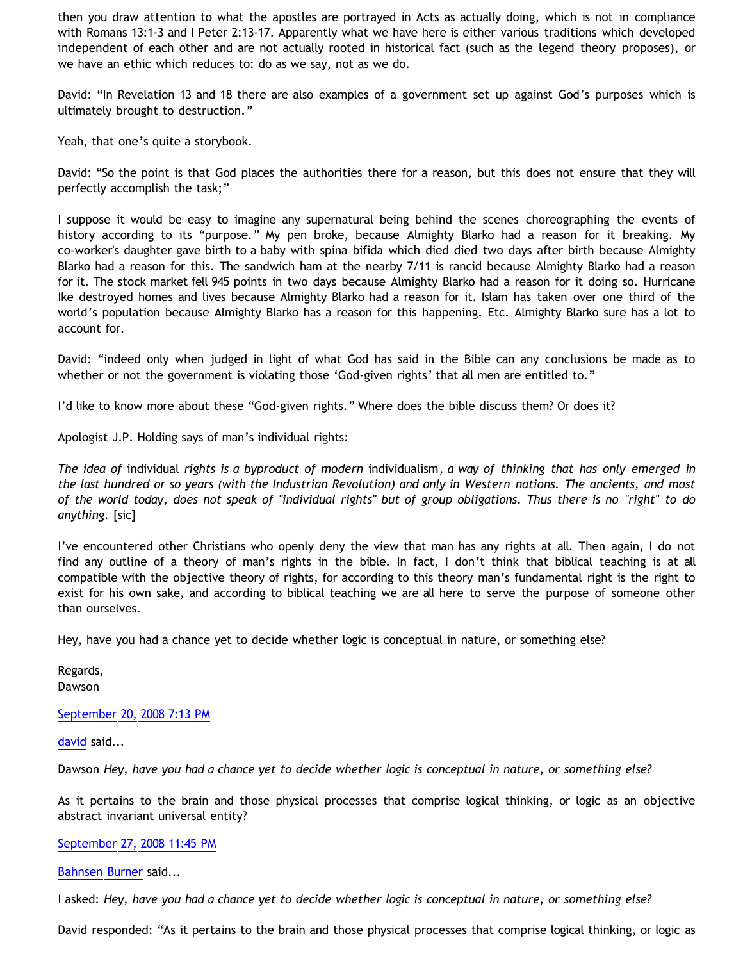then you draw attention to what the apostles are portrayed in Acts as actually doing, which is not in compliance with Romans 13:1-3 and I Peter 2:13-17. Apparently what we have here is either various traditions which developed independent of each other and are not actually rooted in historical fact (such as the legend theory proposes), or we have an ethic which reduces to: do as we say, not as we do.

David: "In Revelation 13 and 18 there are also examples of a government set up against God's purposes which is ultimately brought to destruction."

Yeah, that one's quite a storybook.

David: "So the point is that God places the authorities there for a reason, but this does not ensure that they will perfectly accomplish the task;"

I suppose it would be easy to imagine any supernatural being behind the scenes choreographing the events of history according to its "purpose." My pen broke, because Almighty Blarko had a reason for it breaking. My co-worker's daughter gave birth to a baby with spina bifida which died died two days after birth because Almighty Blarko had a reason for this. The sandwich ham at the nearby 7/11 is rancid because Almighty Blarko had a reason for it. The stock market fell 945 points in two days because Almighty Blarko had a reason for it doing so. Hurricane Ike destroyed homes and lives because Almighty Blarko had a reason for it. Islam has taken over one third of the world's population because Almighty Blarko has a reason for this happening. Etc. Almighty Blarko sure has a lot to account for.

David: "indeed only when judged in light of what God has said in the Bible can any conclusions be made as to whether or not the government is violating those 'God-given rights' that all men are entitled to."

I'd like to know more about these "God-given rights." Where does the bible discuss them? Or does it?

Apologist J.P. Holding says of man's individual rights:

*The idea of* individual *rights is a byproduct of modern* individualism*, a way of thinking that has only emerged in the last hundred or so years (with the Industrian Revolution) and only in Western nations. The ancients, and most of the world today, does not speak of "individual rights" but of group obligations. Thus there is no "right" to do anything.* [sic]

I've encountered other Christians who openly deny the view that man has any rights at all. Then again, I do not find any outline of a theory of man's rights in the bible. In fact, I don't think that biblical teaching is at all compatible with the objective theory of rights, for according to this theory man's fundamental right is the right to exist for his own sake, and according to biblical teaching we are all here to serve the purpose of someone other than ourselves.

Hey, have you had a chance yet to decide whether logic is conceptual in nature, or something else?

Regards, Dawson

[September 20, 2008 7:13 PM](http://bahnsenburner.blogspot.com/2008/09/7559372451611936719)

[david](http://www.blogger.com/profile/08071763988772047093) said...

Dawson *Hey, have you had a chance yet to decide whether logic is conceptual in nature, or something else?*

As it pertains to the brain and those physical processes that comprise logical thinking, or logic as an objective abstract invariant universal entity?

[September 27, 2008 11:45 PM](http://bahnsenburner.blogspot.com/2008/09/2976894576058047458)

[Bahnsen Burner](http://www.blogger.com/profile/11030029491768748360) said...

I asked: *Hey, have you had a chance yet to decide whether logic is conceptual in nature, or something else?*

David responded: "As it pertains to the brain and those physical processes that comprise logical thinking, or logic as